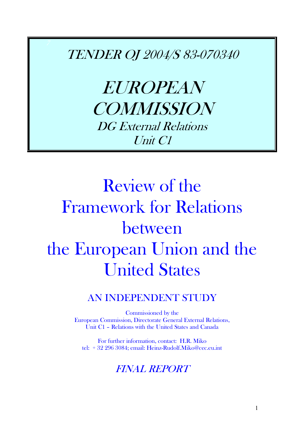TENDER OJ 2004/S 83-070340

EUROPEAN **COMMISSION** DG External Relations Unit C1

# Review of the Framework for Relations between the European Union and the United States

# AN INDEPENDENT STUDY

Commissioned by the European Commission, Directorate General External Relations, Unit C1 - Relations with the United States and Canada

For further information, contact: H.R. Miko tel: + 32 296 3084; email: Heinz-Rudolf.Miko@cec.eu.int

# FINAL REPORT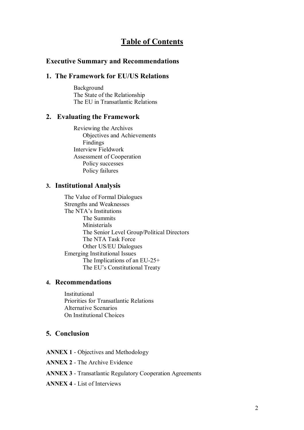# **Table of Contents**

# **Executive Summary and Recommendations**

# **1. The Framework for EU/US Relations**

Background The State of the Relationship The EU in Transatlantic Relations

# **2. Evaluating the Framework**

Reviewing the Archives Objectives and Achievements Findings Interview Fieldwork Assessment of Cooperation Policy successes Policy failures

#### **3. Institutional Analysis**

The Value of Formal Dialogues Strengths and Weaknesses The NTA's Institutions The Summits Ministerials The Senior Level Group/Political Directors The NTA Task Force Other US/EU Dialogues Emerging Institutional Issues The Implications of an EU-25+ The EU's Constitutional Treaty

# **4. Recommendations**

Institutional Priorities for Transatlantic Relations Alternative Scenarios On Institutional Choices

# **5. Conclusion**

**ANNEX 1** - Objectives and Methodology

**ANNEX 2** - The Archive Evidence

- **ANNEX 3** Transatlantic Regulatory Cooperation Agreements
- **ANNEX 4** List of Interviews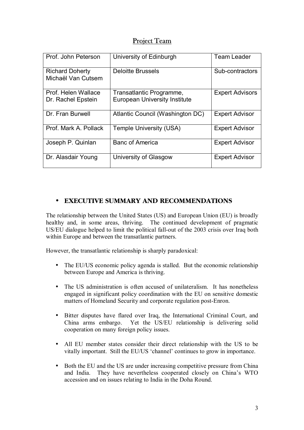# Project Team

| Prof. John Peterson                          | University of Edinburgh                                          | <b>Team Leader</b>     |
|----------------------------------------------|------------------------------------------------------------------|------------------------|
| <b>Richard Doherty</b><br>Michaël Van Cutsem | <b>Deloitte Brussels</b>                                         | Sub-contractors        |
| Prof. Helen Wallace<br>Dr. Rachel Epstein    | Transatlantic Programme,<br><b>European University Institute</b> | <b>Expert Advisors</b> |
| Dr. Fran Burwell                             | Atlantic Council (Washington DC)                                 | <b>Expert Advisor</b>  |
| Prof. Mark A. Pollack                        | <b>Temple University (USA)</b>                                   | <b>Expert Advisor</b>  |
| Joseph P. Quinlan                            | <b>Banc of America</b>                                           | <b>Expert Advisor</b>  |
| Dr. Alasdair Young                           | University of Glasgow                                            | <b>Expert Advisor</b>  |

# • **EXECUTIVE SUMMARY AND RECOMMENDATIONS**

The relationship between the United States (US) and European Union (EU) is broadly healthy and, in some areas, thriving. The continued development of pragmatic US/EU dialogue helped to limit the political fall-out of the 2003 crisis over Iraq both within Europe and between the transatlantic partners.

However, the transatlantic relationship is sharply paradoxical:

- The EU/US economic policy agenda is stalled. But the economic relationship between Europe and America is thriving.
- The US administration is often accused of unilateralism. It has nonetheless engaged in significant policy coordination with the EU on sensitive domestic matters of Homeland Security and corporate regulation post-Enron.
- Bitter disputes have flared over Iraq, the International Criminal Court, and China arms embargo. Yet the US/EU relationship is delivering solid cooperation on many foreign policy issues.
- All EU member states consider their direct relationship with the US to be vitally important. Still the EU/US 'channel' continues to grow in importance.
- Both the EU and the US are under increasing competitive pressure from China and India. They have nevertheless cooperated closely on China's WTO accession and on issues relating to India in the Doha Round.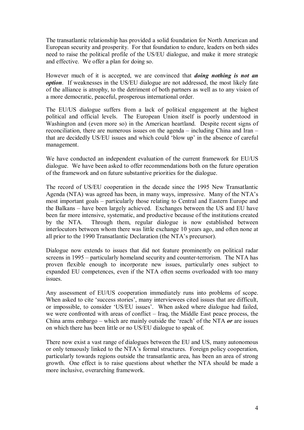The transatlantic relationship has provided a solid foundation for North American and European security and prosperity. For that foundation to endure, leaders on both sides need to raise the political profile of the US/EU dialogue, and make it more strategic and effective. We offer a plan for doing so.

However much of it is accepted, we are convinced that *doing nothing is not an option*. If weaknesses in the US/EU dialogue are not addressed, the most likely fate of the alliance is atrophy, to the detriment of both partners as well as to any vision of a more democratic, peaceful, prosperous international order.

The EU/US dialogue suffers from a lack of political engagement at the highest political and official levels. The European Union itself is poorly understood in Washington and (even more so) in the American heartland. Despite recent signs of reconciliation, there are numerous issues on the agenda  $-$  including China and Iran  $$ that are decidedly US/EU issues and which could 'blow up' in the absence of careful management.

We have conducted an independent evaluation of the current framework for EU/US dialogue. We have been asked to offer recommendations both on the future operation of the framework and on future substantive priorities for the dialogue.

The record of US/EU cooperation in the decade since the 1995 New Transatlantic Agenda (NTA) was agreed has been, in many ways, impressive. Many of the NTA's most important goals – particularly those relating to Central and Eastern Europe and the Balkans – have been largely achieved. Exchanges between the US and EU have been far more intensive, systematic, and productive because of the institutions created by the NTA. Through them, regular dialogue is now established between interlocutors between whom there was little exchange 10 years ago, and often none at all prior to the 1990 Transatlantic Declaration (the NTA's precursor).

Dialogue now extends to issues that did not feature prominently on political radar screens in 1995 – particularly homeland security and counter-terrorism. The NTA has proven flexible enough to incorporate new issues, particularly ones subject to expanded EU competences, even if the NTA often seems overloaded with too many issues.

Any assessment of EU/US cooperation immediately runs into problems of scope. When asked to cite 'success stories', many interviewees cited issues that are difficult, or impossible, to consider 'US/EU issues'. When asked where dialogue had failed, we were confronted with areas of conflict  $-$  Iraq, the Middle East peace process, the China arms embargo  $-\omega$  which are mainly outside the 'reach' of the NTA *or* are issues on which there has been little or no US/EU dialogue to speak of.

There now exist a vast range of dialogues between the EU and US, many autonomous or only tenuously linked to the NTA's formal structures. Foreign policy cooperation, particularly towards regions outside the transatlantic area, has been an area of strong growth. One effect is to raise questions about whether the NTA should be made a more inclusive, overarching framework.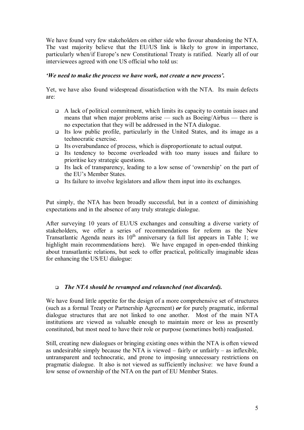We have found very few stakeholders on either side who favour abandoning the NTA. The vast majority believe that the EU/US link is likely to grow in importance, particularly when/if Europe's new Constitutional Treaty is ratified. Nearly all of our interviewees agreed with one US official who told us:

# *i*We need to make the process we have work, not create a new process'.

Yet, we have also found widespread dissatisfaction with the NTA. Its main defects are:

- $\Box$  A lack of political commitment, which limits its capacity to contain issues and means that when major problems arise  $-$  such as Boeing/Airbus  $-$  there is no expectation that they will be addressed in the NTA dialogue.
- Its low public profile, particularly in the United States, and its image as a technocratic exercise.
- ! Its overabundance of process, which is disproportionate to actual output.
- ! Its tendency to become overloaded with too many issues and failure to prioritise key strategic questions.
- Its lack of transparency, leading to a low sense of 'ownership' on the part of the EU's Member States.
- $\Box$  Its failure to involve legislators and allow them input into its exchanges.

Put simply, the NTA has been broadly successful, but in a context of diminishing expectations and in the absence of any truly strategic dialogue.

After surveying 10 years of EU/US exchanges and consulting a diverse variety of stakeholders, we offer a series of recommendations for reform as the New Transatlantic Agenda nears its  $10<sup>th</sup>$  anniversary (a full list appears in Table 1; we highlight main recommendations here). We have engaged in open-ended thinking about transatlantic relations, but seek to offer practical, politically imaginable ideas for enhancing the US/EU dialogue:

# ! *The NTA should be revamped and relaunched (not discarded).*

We have found little appetite for the design of a more comprehensive set of structures (such as a formal Treaty or Partnership Agreement) *or* for purely pragmatic, informal dialogue structures that are not linked to one another. Most of the main NTA institutions are viewed as valuable enough to maintain more or less as presently constituted, but most need to have their role or purpose (sometimes both) readjusted.

Still, creating new dialogues or bringing existing ones within the NTA is often viewed as undesirable simply because the NTA is viewed  $-$  fairly or unfairly  $-$  as inflexible, untransparent and technocratic, and prone to imposing unnecessary restrictions on pragmatic dialogue. It also is not viewed as sufficiently inclusive: we have found a low sense of ownership of the NTA on the part of EU Member States.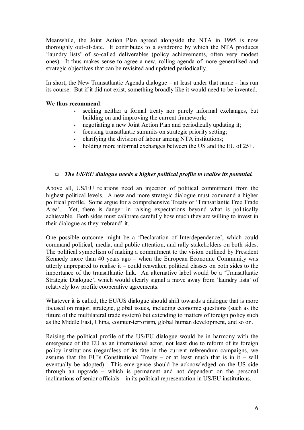Meanwhile, the Joint Action Plan agreed alongside the NTA in 1995 is now thoroughly out-of-date. It contributes to a syndrome by which the NTA produces 'laundry lists' of so-called deliverables (policy achievements, often very modest ones). It thus makes sense to agree a new, rolling agenda of more generalised and strategic objectives that can be revisited and updated periodically.

In short, the New Transatlantic Agenda dialogue  $-$  at least under that name  $-$  has run its course. But if it did not exist, something broadly like it would need to be invented.

## **We thus recommend**:

- seeking neither a formal treaty nor purely informal exchanges, but building on and improving the current framework;
- negotiating a new Joint Action Plan and periodically updating it;
- focusing transatlantic summits on strategic priority setting;
- clarifying the division of labour among NTA institutions;
- holding more informal exchanges between the US and the EU of  $25+$ .

# ! *The US/EU dialogue needs a higher political profile to realise its potential.*

Above all, US/EU relations need an injection of political commitment from the highest political levels. A new and more strategic dialogue must command a higher political profile. Some argue for a comprehensive Treaty or 'Transatlantic Free Trade Area<sup>2</sup>. Yet, there is danger in raising expectations beyond what is politically achievable. Both sides must calibrate carefully how much they are willing to invest in their dialogue as they 'rebrand' it.

One possible outcome might be a 'Declaration of Interdependence', which could command political, media, and public attention, and rally stakeholders on both sides. The political symbolism of making a commitment to the vision outlined by President Kennedy more than 40 years ago  $-$  when the European Economic Community was utterly unprepared to realise it  $\alpha$  could reawaken political classes on both sides to the importance of the transatlantic link. An alternative label would be a 'Transatlantic Strategic Dialogue', which would clearly signal a move away from 'laundry lists' of relatively low profile cooperative agreements.

Whatever it is called, the EU/US dialogue should shift towards a dialogue that is more focused on major, strategic, global issues, including economic questions (such as the future of the multilateral trade system) but extending to matters of foreign policy such as the Middle East, China, counter-terrorism, global human development, and so on.

Raising the political profile of the US/EU dialogue would be in harmony with the emergence of the EU as an international actor, not least due to reform of its foreign policy institutions (regardless of its fate in the current referendum campaigns, we assume that the EU's Constitutional Treaty – or at least much that is in it – will eventually be adopted). This emergence should be acknowledged on the US side through an upgrade  $-$  which is permanent and not dependent on the personal inclinations of senior officials  $-$  in its political representation in US/EU institutions.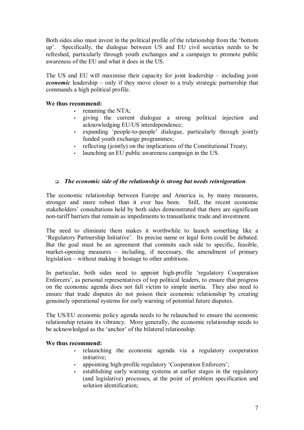Both sides also must invest in the political profile of the relationship from the 'bottom up'. Specifically, the dialogue between US and EU civil societies needs to be refreshed, particularly through youth exchanges and a campaign to promote public awareness of the EU and what it does in the US.

The US and EU will maximise their capacity for joint leadership  $-$  including joint *economic* leadership  $-$  only if they move closer to a truly strategic partnership that commands a high political profile.

# **We thus recommend:**

- renaming the NTA:
- giving the current dialogue a strong political injection and acknowledging EU/US interdependence;
- expanding 'people-to-people' dialogue, particularly through jointly funded youth exchange programmes;
- reflecting (jointly) on the implications of the Constitutional Treaty;
- launching an EU public awareness campaign in the US.

# ! *The economic side of the relationship is strong but needs reinvigoration.*

The economic relationship between Europe and America is, by many measures, stronger and more robust than it ever has been. Still, the recent economic stakeholders' consultations held by both sides demonstrated that there are significant non-tariff barriers that remain as impediments to transatlantic trade and investment.

The need to eliminate them makes it worthwhile to launch something like a Exegulatory Partnership Initiative'. Its precise name or legal form could be debated. But the goal must be an agreement that commits each side to specific, feasible, market-opening measures  $-$  including, if necessary, the amendment of primary legislation  $-$  without making it hostage to other ambitions.

In particular, both sides need to appoint high-profile ëregulatory Cooperation Enforcers<sup>'</sup>, as personal representatives of top political leaders, to ensure that progress on the economic agenda does not fall victim to simple inertia. They also need to ensure that trade disputes do not poison their economic relationship by creating genuinely operational systems for early warning of potential future disputes.

The US/EU economic policy agenda needs to be relaunched to ensure the economic relationship retains its vibrancy. More generally, the economic relationship needs to be acknowledged as the 'anchor' of the bilateral relationship.

# **We thus recommend:**

- relaunching the economic agenda via a regulatory cooperation initiative;
- appointing high-profile regulatory 'Cooperation Enforcers';
- establishing early warning systems at earlier stages in the regulatory (and legislative) processes, at the point of problem specification and solution identification;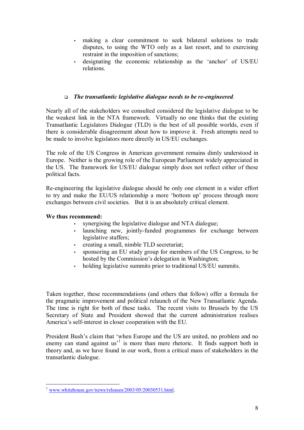- making a clear commitment to seek bilateral solutions to trade disputes, to using the WTO only as a last resort, and to exercising restraint in the imposition of sanctions;
- designating the economic relationship as the 'anchor' of US/EU relations.

# ! *The transatlantic legislative dialogue needs to be re-engineered.*

Nearly all of the stakeholders we consulted considered the legislative dialogue to be the weakest link in the NTA framework. Virtually no one thinks that the existing Transatlantic Legislators Dialogue (TLD) is the best of all possible worlds, even if there is considerable disagreement about how to improve it. Fresh attempts need to be made to involve legislators more directly in US/EU exchanges.

The role of the US Congress in American government remains dimly understood in Europe. Neither is the growing role of the European Parliament widely appreciated in the US. The framework for US/EU dialogue simply does not reflect either of these political facts.

Re-engineering the legislative dialogue should be only one element in a wider effort to try and make the EU/US relationship a more 'bottom up' process through more exchanges between civil societies. But it is an absolutely critical element.

### **We thus recommend:**

- synergising the legislative dialogue and NTA dialogue;
- launching new, jointly-funded programmes for exchange between legislative staffers;
- creating a small, nimble TLD secretariat;
- sponsoring an EU study group for members of the US Congress, to be hosted by the Commission's delegation in Washington;
- holding legislative summits prior to traditional US/EU summits.

Taken together, these recommendations (and others that follow) offer a formula for the pragmatic improvement and political relaunch of the New Transatlantic Agenda. The time is right for both of these tasks. The recent visits to Brussels by the US Secretary of State and President showed that the current administration realises America's self-interest in closer cooperation with the EU.

President Bush's claim that 'when Europe and the US are united, no problem and no enemy can stand against us<sup> $1$ </sup> is more than mere rhetoric. It finds support both in theory and, as we have found in our work, from a critical mass of stakeholders in the transatlantic dialogue.

 $\overline{a}$ www.whitehouse.gov/news/releases/2003/05/20030531.html.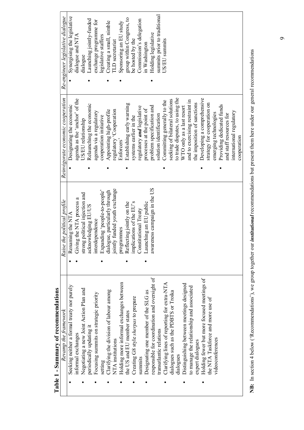| Table 1 - Summary of recommendations          |                                                                 |                                   |                                  |
|-----------------------------------------------|-----------------------------------------------------------------|-----------------------------------|----------------------------------|
| Revamp the framework                          | Raise the political profile                                     | Reinvigorate economic cooperation | Re-engineer legislative dialogue |
| Seeking neither a formal treaty nor purely    | Renaming the NTA                                                | Designating the economic          | Synergising the legislative      |
| informal exchanges                            | Giving the NTA process a                                        | agenda as the 'anchor' of the     | dialogue and NTA                 |
| Negotiating a new Joint Action Plan and       | strong political injection and                                  | US/EU relationship                | dialogue                         |
| periodically updating it                      | acknowledging EU/US                                             | Relaunching the economic          | Launching jointly-funded         |
| Focusing summits on strategic priority        | interdependence                                                 | agenda via a regulatory           | exchange programme for           |
| setting                                       | Expanding 'people-to-people'                                    | cooperation initiative            | legislative staffers             |
| Clarifying the division of labour among       | dialogue, particularly through<br>jointly funded youth exchange | Appointing high-profile           | Creating a small, nimble         |
| NTA institutions                              |                                                                 | regulatory 'Cooperation           | <b>ILD</b> secretariat           |
| Holding more informal exchanges between       | programmes                                                      | Enforcers'                        | Sponsoring an EU study           |
| the US and EU member states                   | Reflecting jointly on the                                       | Establishing early warning        | group within Congress, to        |
| Creating G8 style sherpas to prepare          | implications of the EU's                                        | systems earlier in the            | be hosted by the                 |
| summuts                                       | Constitutional Treaty                                           | regulatory and legislative        | Commission's delegation          |
| Designating one member of the SLG as          | Launching an EU public                                          | processes at the point of         | in Washington                    |
| responsible for coordination and oversight of | awareness campaign in the US                                    | problem specification and         | Holding legislative              |
| transatlantic relations                       |                                                                 | solution identification           | summits prior to traditional     |
| Clarifying lines of reporting for extra-NTA   |                                                                 | Committing generally to the       | US/EU summits                    |
| dialogues such as the PDBTS or Troika         |                                                                 | seeking of bilateral solutions    |                                  |
| dialogues                                     |                                                                 | to trade disputes, to using the   |                                  |
| Distinguishing between meetings designed      |                                                                 | WTO only as a last resort         |                                  |
| to manage the relationship and associated     |                                                                 | and to exercising restraint in    |                                  |
| expert dialogues                              |                                                                 | the imposition of sanctions       |                                  |
| Holding fewer but more focused meetings of    |                                                                 | Developing a comprehensive        |                                  |
| the NTA Taskforce and more use of             |                                                                 | strategy for cooperation on       |                                  |
| videoconferences                              |                                                                 | emerging technologies             |                                  |
|                                               |                                                                 | Providing dedicated funds         |                                  |
|                                               |                                                                 | and staff resources for           |                                  |
|                                               |                                                                 | international regulatory          |                                  |
|                                               |                                                                 | cooperation                       |                                  |

NB: In section 4 below ('Recommendations'), we group together our *institutional* recommendations but present them here under our general recommendations **NB:** In section 4 below (ëRecommendationsí), we group together our *institutional* recommendations but present them here under our general recommendations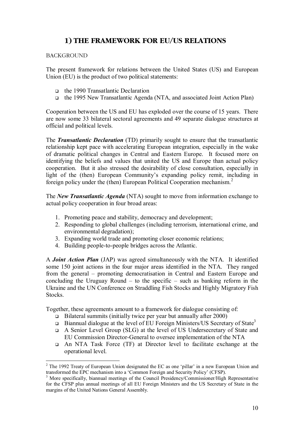# **1) THE FRAMEWORK FOR EU/US RELATIONS**

# **BACKGROUND**

The present framework for relations between the United States (US) and European Union (EU) is the product of two political statements:

- □ the 1990 Transatlantic Declaration
- ! the 1995 New Transatlantic Agenda (NTA, and associated Joint Action Plan)

Cooperation between the US and EU has exploded over the course of 15 years. There are now some 33 bilateral sectoral agreements and 49 separate dialogue structures at official and political levels.

The *Transatlantic Declaration* (TD) primarily sought to ensure that the transatlantic relationship kept pace with accelerating European integration, especially in the wake of dramatic political changes in Central and Eastern Europe. It focused more on identifying the beliefs and values that united the US and Europe than actual policy cooperation. But it also stressed the desirability of close consultation, especially in light of the (then) European Community's expanding policy remit, including in foreign policy under the (then) European Political Cooperation mechanism.<sup>2</sup>

The *New Transatlantic Agenda* (NTA) sought to move from information exchange to actual policy cooperation in four broad areas:

- 1. Promoting peace and stability, democracy and development;
- 2. Responding to global challenges (including terrorism, international crime, and environmental degradation);
- 3. Expanding world trade and promoting closer economic relations;
- 4. Building people-to-people bridges across the Atlantic.

A *Joint Action Plan* (JAP) was agreed simultaneously with the NTA. It identified some 150 joint actions in the four major areas identified in the NTA. They ranged from the general – promoting democratisation in Central and Eastern Europe and concluding the Uruguay Round  $-$  to the specific  $-$  such as banking reform in the Ukraine and the UN Conference on Straddling Fish Stocks and Highly Migratory Fish **Stocks** 

Together, these agreements amount to a framework for dialogue consisting of:

- $\Box$  Bilateral summits (initially twice per year but annually after 2000)
- **Example 1** Biannual dialogue at the level of EU Foreign Ministers/US Secretary of State<sup>3</sup>
- ! A Senior Level Group (SLG) at the level of US Undersecretary of State and EU Commission Director-General to oversee implementation of the NTA
- ! An NTA Task Force (TF) at Director level to facilitate exchange at the operational level.

 $2$  The 1992 Treaty of European Union designated the EC as one 'pillar' in a new European Union and transformed the EPC mechanism into a 'Common Foreign and Security Policy' (CFSP).

<sup>&</sup>lt;sup>3</sup> More specifically, biannual meetings of the Council Presidency/Commissioner/High Representative for the CFSP plus annual meetings of all EU Foreign Ministers and the US Secretary of State in the margins of the United Nations General Assembly.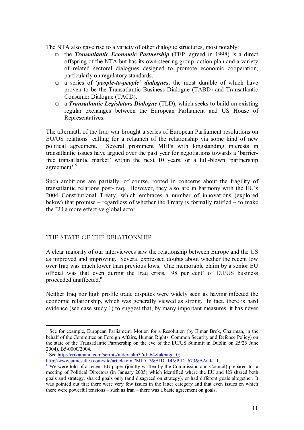The NTA also gave rise to a variety of other dialogue structures, most notably:

- ! the *Transatlantic Economic Partnership* (TEP, agreed in 1998) is a direct offspring of the NTA but has its own steering group, action plan and a variety of related sectoral dialogues designed to promote economic cooperation, particularly on regulatory standards.
- ! a series of *ëpeople-to-peopleí dialogues*, the most durable of which have proven to be the Transatlantic Business Dialogue (TABD) and Transatlantic Consumer Dialogue (TACD).
- ! a *Transatlantic Legislators Dialogue* (TLD), which seeks to build on existing regular exchanges between the European Parliament and US House of Representatives.

The aftermath of the Iraq war brought a series of European Parliament resolutions on  $EU/US$  relations<sup>4</sup> calling for a relaunch of the relationship via some kind of new political agreement. Several prominent MEPs with longstanding interests in transatlantic issues have argued over the past year for negotiations towards a ëbarrierfree transatlantic market' within the next 10 years, or a full-blown 'partnership agreement'.<sup>5</sup>

Such ambitions are partially, of course, rooted in concerns about the fragility of transatlantic relations post-Iraq. However, they also are in harmony with the EU's 2004 Constitutional Treaty, which embraces a number of innovations (explored below) that promise  $-$  regardless of whether the Treaty is formally ratified  $-$  to make the EU a more effective global actor.

# THE STATE OF THE RELATIONSHIP

 $\overline{a}$ 

A clear majority of our interviewees saw the relationship between Europe and the US as improved and improving. Several expressed doubts about whether the recent low over Iraq was much lower than previous lows. One memorable claim by a senior EU official was that even during the Iraq crisis, '98 per cent' of EU/US business proceeded unaffected.<sup>6</sup>

Neither Iraq nor high profile trade disputes were widely seen as having infected the economic relationship, which was generally viewed as strong. In fact, there is hard evidence (see case study 1) to suggest that, by many important measures, it has never

<sup>&</sup>lt;sup>4</sup> See for example, European Parliament, Motion for a Resolution (by Elmar Brok, Chairman, in the behalf of the Committee on Foreign Affairs, Human Rights, Common Security and Defence Policy) on the state of the Transatlantic Partnership on the eve of the EU/US Summit in Dublin on 25/26 June 2004), B5-0000/2004.

<sup>&</sup>lt;sup>5</sup> See http://erikamann.com/scripts/index.php3?id=64&akpage=0;

http://www.jameselles.com/site/article.cfm?MID=7&AID=14&PID=673&BACK=1.

 $\overline{6}$  We were told of a recent EU paper (jointly written by the Commission and Council) prepared for a meeting of Political Directors (in January 2005) which identified where the EU and US shared both goals and strategy, shared goals only (and disagreed on strategy), or had different goals altogether. It was pointed out that there were very few issues in the latter category and that even issues on which there were powerful tensions  $-$  such as Iran  $-$  there was a basic agreement on goals.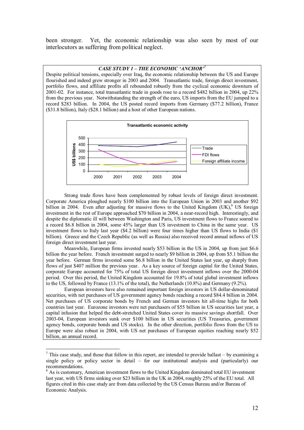been stronger. Yet, the economic relationship was also seen by most of our interlocutors as suffering from political neglect.

#### **CASE STUDY 1 - THE ECONOMIC 'ANCHOR'**

Despite political tensions, especially over Iraq, the economic relationship between the US and Europe flourished and indeed grew stronger in 2003 and 2004. Transatlantic trade, foreign direct investment, portfolio flows, and affiliate profits all rebounded robustly from the cyclical economic downturn of 2001-02. For instance, total transatlantic trade in goods rose to a record \$482 billion in 2004, up 22% from the previous year. Notwithstanding the strength of the euro, US imports from the EU jumped to a record \$283 billion. In 2004, the US posted record imports from Germany (\$77.2 billion), France (\$31.8 billion), Italy (\$28.1 billion) and a host of other European nations.



Strong trade flows have been complemented by robust levels of foreign direct investment. Corporate America ploughed nearly \$100 billion into the European Union in 2003 and another \$92 billion in 2004. Even after adjusting for massive flows to the United Kingdom  $(UK)$ , US foreign investment in the rest of Europe approached \$70 billion in 2004, a near-record high. Interestingly, and despite the diplomatic ill will between Washington and Paris, US investment flows to France soared to a record \$6.8 billion in 2004, some 45% larger than US investment to China in the same year. US investment flows to Italy last year (\$4.2 billion) were four times higher than US flows to India (\$1 billion). Greece and the Czech Republic (as well as Russia) also received record annual inflows of US foreign direct investment last year.

Meanwhile, European firms invested nearly \$53 billion in the US in 2004, up from just \$6.6 billion the year before. French investment surged to nearly \$9 billion in 2004, up from \$5.1 billion the year before. German firms invested some \$6.8 billion in the United States last year, up sharply from flows of just \$407 million the previous year. As a key source of foreign capital for the United States, corporate Europe accounted for 75% of total US foreign direct investment inflows over the 2000-04 period. Over this period, the United Kingdom accounted for 19.8% of total global investment inflows to the US, followed by France (13.1% of the total), the Netherlands (10.8%) and Germany (9.2%).

European investors have also remained important foreign investors in US dollar-denominated securities, with net purchases of US government agency bonds reaching a record \$84.4 billion in 2004. Net purchases of US corporate bonds by French and German investors hit all-time highs for both countries last year. Eurozone investors were net purchasers of \$55 billion in US securities last year, a capital infusion that helped the debt-stretched United States cover its massive savings shortfall. Over 2003-04, European investors sunk over \$100 billion in US securities (US Treasuries, government agency bonds, corporate bonds and US stocks). In the other direction, portfolio flows from the US to Europe were also robust in 2004, with US net purchases of European equities reaching nearly \$52 billion, an annual record.

<sup>&</sup>lt;sup>7</sup> This case study, and those that follow in this report, are intended to provide ballast – by examining a single policy or policy sector in detail  $-$  for our institutional analysis and (particularly) our recommendations.

 $8$  As is customary, American investment flows to the United Kingdom dominated total EU investment last year, with US firms sinking over \$23 billion in the UK in 2004, roughly 25% of the EU total. All figures cited in this case study are from data collected by the US Census Bureau and/or Bureau of Economic Analysis.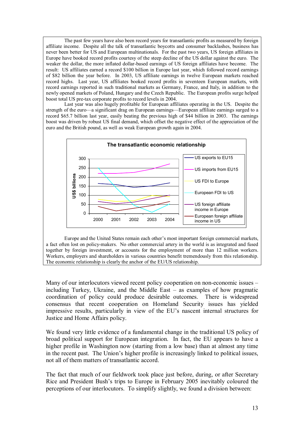The past few years have also been record years for transatlantic profits as measured by foreign affiliate income. Despite all the talk of transatlantic boycotts and consumer backlashes, business has never been better for US and European multinationals. For the past two years, US foreign affiliates in Europe have booked record profits courtesy of the steep decline of the US dollar against the euro. The weaker the dollar, the more inflated dollar-based earnings of US foreign affiliates have become. The result: US affiliates earned a record \$100 billion in Europe last year, which followed record earnings of \$82 billion the year before. In 2003, US affiliate earnings in twelve European markets reached record highs. Last year, US affiliates booked record profits in seventeen European markets, with record earnings reported in such traditional markets as Germany, France, and Italy, in addition to the newly opened markets of Poland, Hungary and the Czech Republic. The European profits surge helped boost total US pre-tax corporate profits to record levels in 2004.

Last year was also hugely profitable for European affiliates operating in the US. Despite the strength of the euro—a significant drag on European earnings—European affiliate earnings surged to a record \$65.7 billion last year, easily beating the previous high of \$44 billion in 2003. The earnings boost was driven by robust US final demand, which offset the negative effect of the appreciation of the euro and the British pound, as well as weak European growth again in 2004.



Europe and the United States remain each other's most important foreign commercial markets, a fact often lost on policy-makers. No other commercial artery in the world is as integrated and fused together by foreign investment, or accounts for the employment of more than 12 million workers. Workers, employers and shareholders in various countries benefit tremendously from this relationship. The economic relationship is clearly the anchor of the EU/US relationship.

Many of our interlocutors viewed recent policy cooperation on non-economic issues – including Turkey, Ukraine, and the Middle East  $-$  as examples of how pragmatic coordination of policy could produce desirable outcomes. There is widespread consensus that recent cooperation on Homeland Security issues has yielded impressive results, particularly in view of the EU's nascent internal structures for Justice and Home Affairs policy.

We found very little evidence of a fundamental change in the traditional US policy of broad political support for European integration. In fact, the EU appears to have a higher profile in Washington now (starting from a low base) than at almost any time in the recent past. The Union's higher profile is increasingly linked to political issues, not all of them matters of transatlantic accord.

The fact that much of our fieldwork took place just before, during, or after Secretary Rice and President Bush's trips to Europe in February 2005 inevitably coloured the perceptions of our interlocutors. To simplify slightly, we found a division between: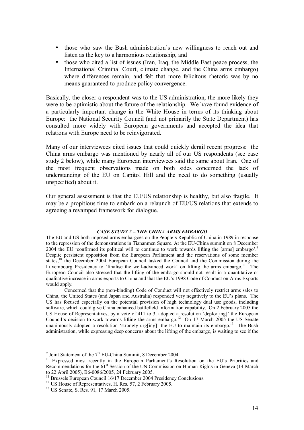- those who saw the Bush administration's new willingness to reach out and listen as the key to a harmonious relationship, and
- those who cited a list of issues (Iran, Iraq, the Middle East peace process, the International Criminal Court, climate change, and the China arms embargo) where differences remain, and felt that more felicitous rhetoric was by no means guaranteed to produce policy convergence.

Basically, the closer a respondent was to the US administration, the more likely they were to be optimistic about the future of the relationship. We have found evidence of a particularly important change in the White House in terms of its thinking about Europe: the National Security Council (and not primarily the State Department) has consulted more widely with European governments and accepted the idea that relations with Europe need to be reinvigorated.

Many of our interviewees cited issues that could quickly derail recent progress: the China arms embargo was mentioned by nearly all of our US respondents (see case study 2 below), while many European interviewees said the same about Iran. One of the most frequent observations made on both sides concerned the lack of understanding of the EU on Capitol Hill and the need to do something (usually unspecified) about it.

Our general assessment is that the EU/US relationship is healthy, but also fragile. It may be a propitious time to embark on a relaunch of EU/US relations that extends to agreeing a revamped framework for dialogue.

#### **CASE STUDY 2 - THE CHINA ARMS EMBARGO**

The EU and US both imposed arms embargoes on the People's Republic of China in 1989 in response to the repression of the demonstrations in Tiananmen Square. At the EU-China summit on 8 December 2004 the EU 'confirmed its political will to continue to work towards lifting the [arms] embargo'.<sup>9</sup> Despite persistent opposition from the European Parliament and the reservations of some member states,<sup>10</sup> the December 2004 European Council tasked the Council and the Commission during the Luxembourg Presidency to 'finalise the well-advanced work' on lifting the arms embargo.<sup>11</sup> The European Council also stressed that the lifting of the embargo should not result in a quantitative or qualitative increase in arms exports to China and that the EU's 1998 Code of Conduct on Arms Exports would apply.

Concerned that the (non-binding) Code of Conduct will not effectively restrict arms sales to China, the United States (and Japan and Australia) responded very negatively to the EU's plans. The US has focused especially on the potential provision of high technology dual use goods, including software, which could give China enhanced battlefield information capability. On 2 February 2005 the US House of Representatives, by a vote of 411 to 3, adopted a resolution 'deplor[ing]' the European Council's decision to work towards lifting the arms embargo.<sup>12</sup> On 17 March 2005 the US Senate unanimously adopted a resolution 'strongly urg[ing]' the EU to maintain its embargo.<sup>13</sup> The Bush administration, while expressing deep concerns about the lifting of the embargo, is waiting to see if the

 $9$  Joint Statement of the  $7<sup>th</sup>$  EU-China Summit, 8 December 2004.

Joint Statement of the  $7.25$  European Summit,  $8.25$  Counter 2004. Recommendations for the 61<sup>st</sup> Session of the UN Commission on Human Rights in Geneva (14 March to 22 April 2005), B6-0086/2005, 24 February 2005.

<sup>&</sup>lt;sup>11</sup> Brussels European Council 16/17 December 2004 Presidency Conclusions.<br><sup>12</sup> US House of Representatives, H. Res. 57, 2 February 2005.

<sup>13</sup> US Senate, S. Res. 91, 17 March 2005.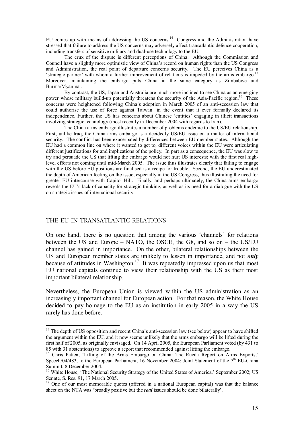EU comes up with means of addressing the US concerns.<sup>14</sup> Congress and the Administration have stressed that failure to address the US concerns may adversely affect transatlantic defence cooperation, including transfers of sensitive military and dual-use technology to the EU.

The crux of the dispute is different perceptions of China. Although the Commission and Council have a slightly more optimistic view of Chinaís record on human rights than the US Congress and Administration, the real point of departure concerns security. The EU perceives China as a 'strategic partner' with whom a further improvement of relations is impeded by the arms embargo.<sup>1</sup> Moreover, maintaining the embargo puts China in the same category as Zimbabwe and Burma/Myanmar.

By contrast, the US, Japan and Australia are much more inclined to see China as an emerging power whose military build-up potentially threatens the security of the Asia-Pacific region.<sup>16</sup> These concerns were heightened following Chinaís adoption in March 2005 of an anti-secession law that could authorise the use of force against Taiwan in the event that it ever formally declared its independence. Further, the US has concerns about Chinese 'entities' engaging in illicit transactions involving strategic technology (most recently in December 2004 with regards to Iran).

The China arms embargo illustrates a number of problems endemic to the US/EU relationship. First, unlike Iraq, the China arms embargo is a decidedly US/EU issue on a matter of international security. The conflict has been exacerbated by differences between EU member states. Although the EU had a common line on where it wanted to get to, different voices within the EU were articulating different justifications for and implications of the policy. In part as a consequence, the EU was slow to try and persuade the US that lifting the embargo would not hurt US interests; with the first real highlevel efforts not coming until mid-March 2005. The issue thus illustrates clearly that failing to engage with the US before EU positions are finalised is a recipe for trouble. Second, the EU underestimated the depth of American feeling on the issue, especially in the US Congress, thus illustrating the need for greater EU intercourse with Capitol Hill. Finally, and perhaps ultimately, the China arms embargo reveals the EU's lack of capacity for strategic thinking, as well as its need for a dialogue with the US on strategic issues of international security.

### THE EU IN TRANSATLANTIC RELATIONS

 $\overline{a}$ 

On one hand, there is no question that among the various 'channels' for relations between the US and Europe  $-$  NATO, the OSCE, the G8, and so on  $-$  the US/EU channel has gained in importance. On the other, bilateral relationships between the US and European member states are unlikely to lessen in importance, and not *only* because of attitudes in Washington.<sup>17</sup> It was repeatedly impressed upon us that most EU national capitals continue to view their relationship with the US as their most important bilateral relationship.

Nevertheless, the European Union is viewed within the US administration as an increasingly important channel for European action. For that reason, the White House decided to pay homage to the EU as an institution in early 2005 in a way the US rarely has done before.

<sup>&</sup>lt;sup>14</sup> The depth of US opposition and recent China's anti-secession law (see below) appear to have shifted the argument within the EU, and it now seems unlikely that the arms embargo will be lifted during the first half of 2005, as originally envisaged. On 14 April 2005, the European Parliament voted (by 431 to 85 with 31 abstentions) to approve a report that recommended against lifting the embargo.

<sup>&</sup>lt;sup>15</sup> Chris Patten, 'Lifting of the Arms Embargo on China: The Rueda Report on Arms Exports,' Speech/04/483, to the European Parliament, 16 November 2004; Joint Statement of the  $7<sup>th</sup>$  EU-China Summit, 8 December 2004.<br><sup>16</sup> White House, 'The National Security Strategy of the United States of America,' September 2002; US

Senate, S. Res. 91, 17 March 2005.

<sup>&</sup>lt;sup>17</sup> One of our most memorable quotes (offered in a national European capital) was that the balance sheet on the NTA was 'broadly positive but the *real* issues should be done bilaterally'.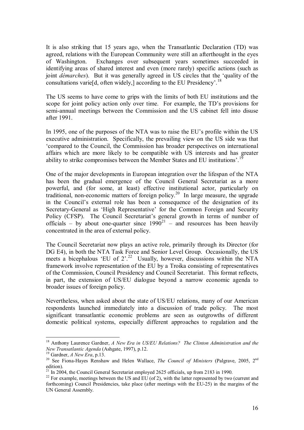It is also striking that 15 years ago, when the Transatlantic Declaration (TD) was agreed, relations with the European Community were still an afterthought in the eyes of Washington. Exchanges over subsequent years sometimes succeeded in identifying areas of shared interest and even (more rarely) specific actions (such as joint *dÈmarches*). But it was generally agreed in US circles that the ëquality of the consultations varie<sup>[d]</sup>, often widely,] according to the EU Presidency<sup> $18$ </sup>

The US seems to have come to grips with the limits of both EU institutions and the scope for joint policy action only over time. For example, the TD's provisions for semi-annual meetings between the Commission and the US cabinet fell into disuse after 1991.

In 1995, one of the purposes of the NTA was to raise the EU's profile within the US executive administration. Specifically, the prevailing view on the US side was that ëcompared to the Council, the Commission has broader perspectives on international affairs which are more likely to be compatible with US interests and has greater ability to strike compromises between the Member States and EU institutions<sup> $,1$ </sup>

One of the major developments in European integration over the lifespan of the NTA has been the gradual emergence of the Council General Secretariat as a more powerful, and (for some, at least) effective institutional actor, particularly on traditional, non-economic matters of foreign policy.<sup>20</sup> In large measure, the upgrade in the Council's external role has been a consequence of the designation of its Secretary-General as 'High Representative' for the Common Foreign and Security Policy (CFSP). The Council Secretariat's general growth in terms of number of officials – by about one-quarter since  $1990^{21}$  – and resources has been heavily concentrated in the area of external policy.

The Council Secretariat now plays an active role, primarily through its Director (for DG E4), in both the NTA Task Force and Senior Level Group. Occasionally, the US meets a bicephalous 'EU of  $2^{2}$ .<sup>22</sup> Usually, however, discussions within the NTA framework involve representation of the EU by a Troika consisting of representatives of the Commission, Council Presidency and Council Secretariat. This format reflects, in part, the extension of US/EU dialogue beyond a narrow economic agenda to broader issues of foreign policy.

Nevertheless, when asked about the state of US/EU relations, many of our American respondents launched immediately into a discussion of trade policy. The most significant transatlantic economic problems are seen as outgrowths of different domestic political systems, especially different approaches to regulation and the

<sup>&</sup>lt;sup>18</sup> Anthony Laurence Gardner, *A New Era in US/EU Relations? The Clinton Administration and the New Transatlantic Agenda (Ashgate, 1997), p.12.* 

<sup>&</sup>lt;sup>19</sup> Gardner, *A New Era*, p.13. <sup>20</sup> See Fiona-Hayes Renshaw and Helen Wallace, *The Council of Ministers* (Palgrave, 2005, 2<sup>nd</sup> edition).

<sup>&</sup>lt;sup>21</sup> In 2004, the Council General Secretariat employed 2625 officials, up from 2183 in 1990.

<sup>&</sup>lt;sup>22</sup> For example, meetings between the US and EU (of 2), with the latter represented by two (current and forthcoming) Council Presidencies, take place (after meetings with the EU-25) in the margins of the UN General Assembly.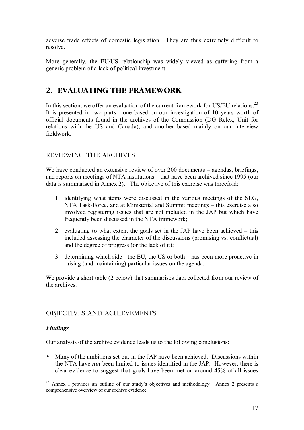adverse trade effects of domestic legislation. They are thus extremely difficult to resolve.

More generally, the EU/US relationship was widely viewed as suffering from a generic problem of a lack of political investment.

# **2. EVALUATING THE FRAMEWORK**

In this section, we offer an evaluation of the current framework for US/EU relations.<sup>23</sup> It is presented in two parts: one based on our investigation of 10 years worth of official documents found in the archives of the Commission (DG Relex, Unit for relations with the US and Canada), and another based mainly on our interview fieldwork.

# REVIEWING THE ARCHIVES

We have conducted an extensive review of over  $200$  documents  $-$  agendas, briefings, and reports on meetings of NTA institutions – that have been archived since 1995 (our data is summarised in Annex 2). The objective of this exercise was threefold:

- 1. identifying what items were discussed in the various meetings of the SLG,  $NTA$  Task-Force, and at Ministerial and Summit meetings  $-$  this exercise also involved registering issues that are not included in the JAP but which have frequently been discussed in the NTA framework;
- 2. evaluating to what extent the goals set in the JAP have been achieved  $-$  this included assessing the character of the discussions (promising vs. conflictual) and the degree of progress (or the lack of it);
- 3. determining which side  $\overline{\phantom{a}}$  the EU, the US or both  $\overline{\phantom{a}}$  has been more proactive in raising (and maintaining) particular issues on the agenda.

We provide a short table (2 below) that summarises data collected from our review of the archives.

# OBJECTIVES AND ACHIEVEMENTS

# *Findings*

 $\overline{a}$ 

Our analysis of the archive evidence leads us to the following conclusions:

• Many of the ambitions set out in the JAP have been achieved. Discussions within the NTA have *not* been limited to issues identified in the JAP. However, there is clear evidence to suggest that goals have been met on around 45% of all issues

 $^{23}$  Annex I provides an outline of our study's objectives and methodology. Annex 2 presents a comprehensive overview of our archive evidence.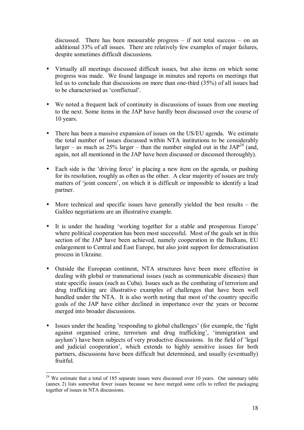discussed. There has been measurable progress  $-$  if not total success  $-$  on an additional 33% of all issues. There are relatively few examples of major failures, despite sometimes difficult discussions.

- Virtually all meetings discussed difficult issues, but also items on which some progress was made. We found language in minutes and reports on meetings that led us to conclude that discussions on more than one-third (35%) of all issues had to be characterised as 'conflictual'.
- We noted a frequent lack of continuity in discussions of issues from one meeting to the next. Some items in the JAP have hardly been discussed over the course of 10 years.
- There has been a massive expansion of issues on the US/EU agenda. We estimate the total number of issues discussed within NTA institutions to be considerably larger – as much as  $25\%$  larger – than the number singled out in the JAP<sup>24</sup> (and, again, not all mentioned in the JAP have been discussed or discussed thoroughly).
- Each side is the 'driving force' in placing a new item on the agenda, or pushing for its resolution, roughly as often as the other. A clear majority of issues are truly matters of 'joint concern', on which it is difficult or impossible to identify a lead partner.
- More technical and specific issues have generally yielded the best results  $-$  the Galileo negotiations are an illustrative example.
- It is under the heading 'working together for a stable and prosperous Europe' where political cooperation has been most successful. Most of the goals set in this section of the JAP have been achieved, namely cooperation in the Balkans, EU enlargement to Central and East Europe, but also joint support for democratisation process in Ukraine.
- Outside the European continent, NTA structures have been more effective in dealing with global or transnational issues (such as communicable diseases) than state specific issues (such as Cuba). Issues such as the combating of terrorism and drug trafficking are illustrative examples of challenges that have been well handled under the NTA. It is also worth noting that most of the country specific goals of the JAP have either declined in importance over the years or become merged into broader discussions.
- Issues under the heading 'responding to global challenges' (for example, the 'fight against organised crime, terrorism and drug trafficking', 'immigration and asylum<sup>'</sup>) have been subjects of very productive discussions. In the field of 'legal and judicial cooperation', which extends to highly sensitive issues for both partners, discussions have been difficult but determined, and usually (eventually) fruitful.

 $\overline{a}$  $2<sup>24</sup>$  We estimate that a total of 185 separate issues were discussed over 10 years. Our summary table (annex 2) lists somewhat fewer issues because we have merged some cells to reflect the packaging together of issues in NTA discussions.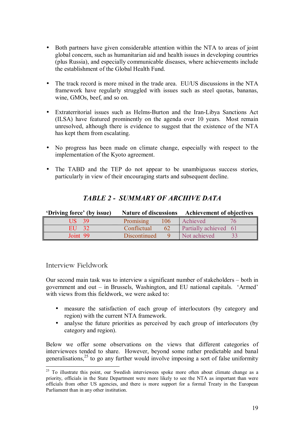- Both partners have given considerable attention within the NTA to areas of joint global concern, such as humanitarian aid and health issues in developing countries (plus Russia), and especially communicable diseases, where achievements include the establishment of the Global Health Fund.
- The track record is more mixed in the trade area. EU/US discussions in the NTA framework have regularly struggled with issues such as steel quotas, bananas, wine, GMOs, beef, and so on.
- Extraterritorial issues such as Helms-Burton and the Iran-Libya Sanctions Act (ILSA) have featured prominently on the agenda over 10 years. Most remain unresolved, although there is evidence to suggest that the existence of the NTA has kept them from escalating.
- No progress has been made on climate change, especially with respect to the implementation of the Kyoto agreement.
- The TABD and the TEP do not appear to be unambiguous success stories, particularly in view of their encouraging starts and subsequent decline.

| 'Driving force' (by issue) |                     |     | Nature of discussions Achievement of objectives |  |
|----------------------------|---------------------|-----|-------------------------------------------------|--|
|                            | Promising           | 106 | Achieved                                        |  |
| EU                         | Conflictual         |     | Partially achieved 61                           |  |
| Joint 99                   | <b>Discontinued</b> |     | Not achieved                                    |  |

# *TABLE 2 - SUMMARY OF ARCHIVE DATA*

# Interview Fieldwork

 $\overline{a}$ 

Our second main task was to interview a significant number of stakeholders  $-$  both in government and out  $-$  in Brussels, Washington, and EU national capitals.  $'Armed'$ with views from this fieldwork, we were asked to:

- measure the satisfaction of each group of interlocutors (by category and region) with the current NTA framework.
- analyse the future priorities as perceived by each group of interlocutors (by category and region).

Below we offer some observations on the views that different categories of interviewees tended to share. However, beyond some rather predictable and banal generalisations.<sup>25</sup> to go any further would involve imposing a sort of false uniformity

<sup>&</sup>lt;sup>25</sup> To illustrate this point, our Swedish interviewees spoke more often about climate change as a priority, officials in the State Department were more likely to see the NTA as important than were officials from other US agencies, and there is more support for a formal Treaty in the European Parliament than in any other institution.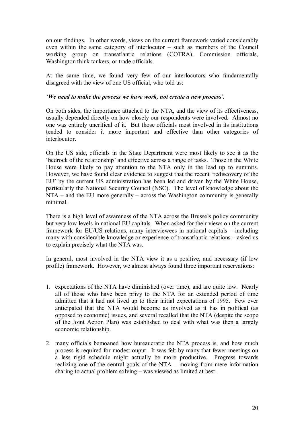on our findings. In other words, views on the current framework varied considerably even within the same category of interlocutor  $-$  such as members of the Council working group on transatlantic relations (COTRA), Commission officials, Washington think tankers, or trade officials.

At the same time, we found very few of our interlocutors who fundamentally disagreed with the view of one US official, who told us:

# *iWe need to make the process we have work, not create a new process'.*

On both sides, the importance attached to the NTA, and the view of its effectiveness, usually depended directly on how closely our respondents were involved. Almost no one was entirely uncritical of it. But those officials most involved in its institutions tended to consider it more important and effective than other categories of **interlocutor** 

On the US side, officials in the State Department were most likely to see it as the the fedrock of the relationship' and effective across a range of tasks. Those in the White House were likely to pay attention to the NTA only in the lead up to summits. However, we have found clear evidence to suggest that the recent 'rediscovery of the EU' by the current US administration has been led and driven by the White House, particularly the National Security Council (NSC). The level of knowledge about the  $NTA$  – and the EU more generally – across the Washington community is generally minimal.

There is a high level of awareness of the NTA across the Brussels policy community but very low levels in national EU capitals. When asked for their views on the current framework for EU/US relations, many interviewees in national capitals  $-$  including many with considerable knowledge or experience of transatlantic relations  $-$  asked us to explain precisely what the NTA was.

In general, most involved in the NTA view it as a positive, and necessary (if low profile) framework. However, we almost always found three important reservations:

- 1. expectations of the NTA have diminished (over time), and are quite low. Nearly all of those who have been privy to the NTA for an extended period of time admitted that it had not lived up to their initial expectations of 1995. Few ever anticipated that the NTA would become as involved as it has in political (as opposed to economic) issues, and several recalled that the NTA (despite the scope of the Joint Action Plan) was established to deal with what was then a largely economic relationship.
- 2. many officials bemoaned how bureaucratic the NTA process is, and how much process is required for modest ouput. It was felt by many that fewer meetings on a less rigid schedule might actually be more productive. Progress towards realizing one of the central goals of the  $NTA$  – moving from mere information sharing to actual problem solving  $-$  was viewed as limited at best.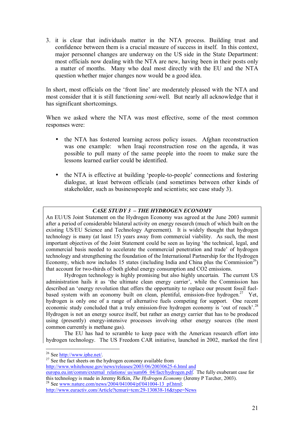3. it is clear that individuals matter in the NTA process. Building trust and confidence between them is a crucial measure of success in itself. In this context, major personnel changes are underway on the US side in the State Department: most officials now dealing with the NTA are new, having been in their posts only a matter of months. Many who deal most directly with the EU and the NTA question whether major changes now would be a good idea.

In short, most officials on the 'front line' are moderately pleased with the NTA and most consider that it is still functioning *semi-*well. But nearly all acknowledge that it has significant shortcomings.

When we asked where the NTA was most effective, some of the most common responses were:

- the NTA has fostered learning across policy issues. Afghan reconstruction was one example: when Iraqi reconstruction rose on the agenda, it was possible to pull many of the same people into the room to make sure the lessons learned earlier could be identified.
- the NTA is effective at building 'people-to-people' connections and fostering dialogue, at least between officials (and sometimes between other kinds of stakeholder, such as businesspeople and scientists; see case study 3).

# **CASE STUDY 3 - THE HYDROGEN ECONOMY**

An EU/US Joint Statement on the Hydrogen Economy was agreed at the June 2003 summit after a period of considerable bilateral activity on energy research (much of which built on the existing US/EU Science and Technology Agreement). It is widely thought that hydrogen technology is many (at least 15) years away from commercial viability. As such, the most important objectives of the Joint Statement could be seen as laying 'the technical, legal, and commercial basis needed to accelerate the commercial penetration and trade' of hydrogen technology and strengthening the foundation of the International Partnership for the Hydrogen Economy, which now includes 15 states (including India and China plus the Commission<sup>26</sup>) that account for two-thirds of both global energy consumption and CO2 emissions.

 Hydrogen technology is highly promising but also highly uncertain. The current US administration hails it as 'the ultimate clean energy carrier', while the Commission has described an ëenergy revolution that offers the opportunity to replace our present fossil fuelbased system with an economy built on clean, plentiful, emission-free hydrogen.<sup>27</sup> Yet, hydrogen is only one of a range of alternative fuels competing for support. One recent economic study concluded that a truly emission-free hydrogen economy is 'out of reach'.<sup>28</sup> Hydrogen is not an energy source itself, but rather an energy carrier that has to be produced using (presently) energy-intensive processes involving other energy sources (the most common currently is methane gas).

 The EU has had to scramble to keep pace with the American research effort into hydrogen technology. The US Freedom CAR initiative, launched in 2002, marked the first

 $\overline{a}$ 

<sup>26</sup> See  $\frac{http://www.iphe.net/}{27}$  See the fact sheets on the hydrogen economy available from http://www.whitehouse.gov/news/releases/2003/06/20030625-6.html and europa.eu.int/comm/external\_relations/ us/sum06\_04/fact/hydrogen.pdf. The fully exuberant case for this technology is made in Jeremy Rifkin. The Hydrogen Economy (Jeremy P Tarcher, 2003). <sup>28</sup> See www.nature.com/news/2004/041004/pf/041004-13\_pf.html;

http://www.euractiv.com/Article?tcmuri=tcm:29-130838-16&type=News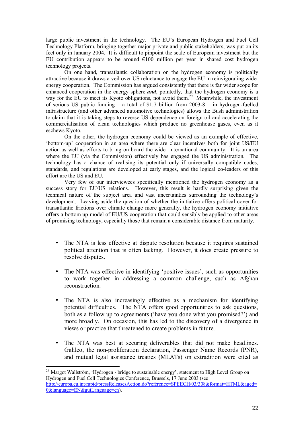large public investment in the technology. The EU's European Hydrogen and Fuel Cell Technology Platform, bringing together major private and public stakeholders, was put on its feet only in January 2004. It is difficult to pinpoint the scale of European investment but the EU contribution appears to be around  $\epsilon 100$  million per year in shared cost hydrogen technology projects.

On one hand, transatlantic collaboration on the hydrogen economy is politically attractive because it draws a veil over US reluctance to engage the EU in reinvigorating wider energy cooperation. The Commission has argued consistently that there is far wider scope for enhanced cooperation in the energy sphere *and*, pointedly, that the hydrogen economy is a way for the EU to meet its Kyoto obligations, not avoid them.<sup>29</sup> Meanwhile, the investment of serious US public funding  $\overline{a}$  a total of \$1.7 billion from 2003-8  $\overline{a}$  in hydrogen-fuelled infrastructure (and other advanced automotive technologies) allows the Bush administration to claim that it is taking steps to reverse US dependence on foreign oil and accelerating the commercialisation of clean technologies which produce no greenhouse gases, even as it eschews Kyoto.

On the other, the hydrogen economy could be viewed as an example of effective, ëbottom-upí cooperation in an area where there are clear incentives both for joint US/EU action as well as efforts to bring on board the wider international community. It is an area where the EU (via the Commission) effectively has engaged the US administration. The technology has a chance of realising its potential only if universally compatible codes, standards, and regulations are developed at early stages, and the logical co-leaders of this effort are the US and EU.

Very few of our interviewees specifically mentioned the hydrogen economy as a success story for EU/US relations. However, this result is hardly surprising given the technical nature of the subject area and vast uncertainties surrounding the technologyís development. Leaving aside the question of whether the initiative offers political cover for transatlantic frictions over climate change more generally, the hydrogen economy initiative offers a bottom up model of EU/US cooperation that could sensibly be applied to other areas of promising technology, especially those that remain a considerable distance from maturity.

- The NTA is less effective at dispute resolution because it requires sustained political attention that is often lacking. However, it does create pressure to resolve disputes.
- The NTA was effective in identifying 'positive issues', such as opportunities to work together in addressing a common challenge, such as Afghan reconstruction.
- The NTA is also increasingly effective as a mechanism for identifying potential difficulties. The NTA offers good opportunities to ask questions, both as a follow up to agreements ('have you done what you promised?') and more broadly. On occasion, this has led to the discovery of a divergence in views or practice that threatened to create problems in future.
- The NTA was best at securing deliverables that did not make headlines. Galileo, the non-proliferation declaration, Passenger Name Records (PNR), and mutual legal assistance treaties (MLATs) on extradition were cited as

<sup>&</sup>lt;sup>29</sup> Margot Wallström, 'Hydrogen - bridge to sustainable energy', statement to High Level Group on Hydrogen and Fuel Cell Technologies Conference, Brussels, 17 June 2003 (see http://europa.eu.int/rapid/pressReleasesAction.do?reference=SPEECH/03/308&format=HTML&aged= 0&language=EN&guiLanguage=en).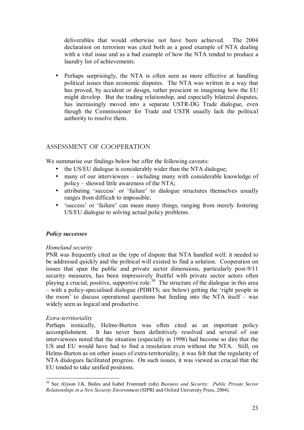deliverables that would otherwise not have been achieved. The 2004 declaration on terrorism was cited both as a good example of NTA dealing with a vital issue and as a bad example of how the NTA tended to produce a laundry list of achievements.

• Perhaps surprisingly, the NTA is often seen as more effective at handling political issues than economic disputes. The NTA was written in a way that has proved, by accident or design, rather prescient in imagining how the EU might develop. But the trading relationship, and especially bilateral disputes, has increasingly moved into a separate USTR-DG Trade dialogue, even though the Commissioner for Trade and USTR usually lack the political authority to resolve them.

# ASSESSMENT OF COOPERATION

We summarise our findings below but offer the following caveats:

- the US/EU dialogue is considerably wider than the NTA dialogue;
- many of our interviewees  $-$  including many with considerable knowledge of policy  $-$  showed little awareness of the NTA;
- attributing 'success' or 'failure' to dialogue structures themselves usually ranges from difficult to impossible;
- 'success' or 'failure' can mean many things, ranging from merely fostering US/EU dialogue to solving actual policy problems.

### *Policy successes*

### *Homeland security*

PNR was frequently cited as the type of dispute that NTA handled well: it needed to be addressed quickly and the political will existed to find a solution. Cooperation on issues that span the public and private sector dimensions, particularly post-9/11 security measures, has been impressively fruitful with private sector actors often playing a crucial, positive, supportive role.<sup>30</sup> The structure of the dialogue in this area – with a policy-specialised dialogue (PDBTS; see below) getting the 'right people in the room' to discuss operational questions but feeding into the NTA itself  $-$  was widely seen as logical and productive.

### *Extra-territoriality*

 $\overline{a}$ 

Perhaps ironically, Helms-Burton was often cited as an important policy accomplishment. It has never been definitively resolved and several of our interviewees noted that the situation (especially in 1998) had become so dire that the US and EU would have had to find a resolution even without the NTA. Still, on Helms-Burton as on other issues of extra-territoriality, it was felt that the regularity of NTA dialogues facilitated progress. On such issues, it was viewed as crucial that the EU tended to take unified positions.

<sup>30</sup> See Alyson J.K. Bailes and Isabel Frommelt (eds) *Business and Security: Public Private Sector Relationships in a New Security Environment* (SIPRI and Oxford University Press, 2004).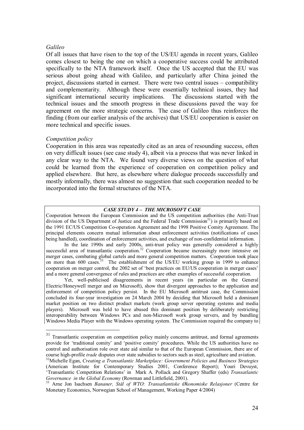## *Galileo*

Of all issues that have risen to the top of the US/EU agenda in recent years, Galileo comes closest to being the one on which a cooperative success could be attributed specifically to the NTA framework itself. Once the US accepted that the EU was serious about going ahead with Galileo, and particularly after China joined the project, discussions started in earnest. There were two central issues  $-$  compatibility and complementarity. Although these were essentially technical issues, they had significant international security implications. The discussions started with the technical issues and the smooth progress in these discussions paved the way for agreement on the more strategic concerns. The case of Galileo thus reinforces the finding (from our earlier analysis of the archives) that US/EU cooperation is easier on more technical and specific issues.

# *Competition policy*

 $\overline{a}$ 

Cooperation in this area was repeatedly cited as an area of resounding success, often on very difficult issues (see case study 4), albeit via a process that was never linked in any clear way to the NTA. We found very diverse views on the question of what could be learned from the experience of cooperation on competition policy and applied elsewhere. But here, as elsewhere where dialogue proceeds successfully and mostly informally, there was almost no suggestion that such cooperation needed to be incorporated into the formal structures of the NTA.

# **CASE STUDY 4 - THE MICROSOFT CASE**

Cooperation between the European Commission and the US competition authorities (the Anti-Trust division of the US Department of Justice and the Federal Trade Commission<sup>31</sup>) is primarily based on the 1991 EC/US Competition Co-operation Agreement and the 1998 Positive Comity Agreement. The principal elements concern mutual information about enforcement activities (notifications of cases being handled), coordination of enforcement activities, and exchange of non-confidential information.

In the late 1990s and early 2000s, anti-trust policy was generally considered a highly successful area of transatlantic cooperation.<sup>32</sup> Cooperation became increasingly more intensive on merger cases, combating global cartels and more general competition matters. Cooperation took place on more than 600 cases.<sup>33</sup> The establishment of the US/EU working group in 1999 to enhance cooperation on merger control, the 2002 set of 'best practices on EU/US cooperation in merger cases' and a more general convergence of rules and practices are other examples of successful cooperation.

Yet, well-publicised disagreements in recent years (in particular on the General Electric/Honeywell merger and on Microsoft), show that divergent approaches to the application and enforcement of competition policy persist. In the EU Microsoft antitrust case, the Commission concluded its four-year investigation on 24 March 2004 by deciding that Microsoft held a dominant market position on two distinct product markets (work group server operating systems and media players). Microsoft was held to have abused this dominant position by deliberately restricting interoperability between Windows PCs and non-Microsoft work group servers, and by bundling Windows Media Player with the Windows operating system. The Commission required the company to

 $31$  Transatlantic cooperation on competition policy mainly concerns antitrust, and formal agreements provide for ëtraditional comityí and ëpositive comityí procedures. While the US authorities have no control and authorisation role over state aid similar to that of the European Commission, there are of course high-profile *trade* disputes over state subsidies to sectors such as steel, agriculture and aviation.

<sup>&</sup>lt;sup>32</sup> Michelle *Egan, Creating a Transatlantic Marketplace: Government Policies and Business Strategies* (American Institute for Contemporary Studies 2001, Conference Report); Youri Devuyst, ëTransatlantic Competition Relationsí in Mark A. Pollack and Gregory Shaffer (eds) *Transatlantic Governance in the Global Economy* (Rowman and Littlefield, 2001).<br><sup>33</sup> Arne Jon Isachsen *Bananer, Stål of WTO: Transatlantiske Økonomiske Relasjoner* (Centre for

Monetary Economics, Norwegian School of Management, Working Paper 4/2004)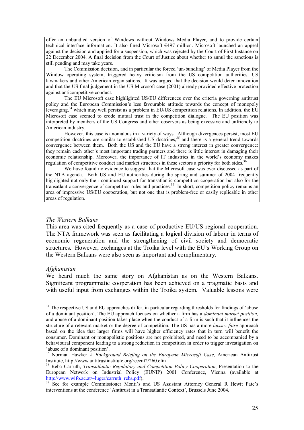offer an unbundled version of Windows without Windows Media Player, and to provide certain technical interface information. It also fined Microsoft €497 million. Microsoft launched an appeal against the decision and applied for a suspension, which was rejected by the Court of First Instance on 22 December 2004. A final decision from the Court of Justice about whether to annul the sanctions is still pending and may take years.

The Commission decision, and in particular the forced 'un-bundling' of Media Player from the Window operating system, triggered heavy criticism from the US competition authorities, US lawmakers and other American organisations. It was argued that the decision would deter innovation and that the US final judgement in the US Microsoft case (2001) already provided effective protection against anticompetitive conduct.

The EU Microsoft case highlighted US/EU differences over the criteria governing antitrust policy and the European Commission's less favourable attitude towards the concept of monopoly leveraging,34 which may well persist as a problem in EU/US competition relations. In addition, the EU Microsoft case seemed to erode mutual trust in the competition dialogue. The EU position was interpreted by members of the US Congress and other observers as being excessive and unfriendly to American industry.

However, this case is anomalous in a variety of ways. Although divergences persist, most EU competition doctrines are similar to established US doctrines,<sup>35</sup> and there is a general trend towards convergence between them. Both the US and the EU have a strong interest in greater convergence: they remain each other's most important trading partners and there is little interest in damaging their economic relationship. Moreover, the importance of IT industries in the world's economy makes regulation of competitive conduct and market structures in these sectors a priority for both sides.<sup>36</sup>

We have found no evidence to suggest that the Microsoft case was ever discussed as part of the NTA agenda. Both US and EU authorities during the spring and summer of 2004 frequently highlighted not only their continued support for transatlantic competition cooperation but also for the transatlantic convergence of competition rules and practices.<sup>37</sup> In short, competition policy remains an area of impressive US/EU cooperation, but not one that is problem-free or easily replicable in other areas of regulation.

#### *The Western Balkans*

This area was cited frequently as a case of productive EU/US regional cooperation. The NTA framework was seen as facilitating a logical division of labour in terms of economic regeneration and the strengthening of civil society and democratic structures. However, exchanges at the Troika level with the EU's Working Group on the Western Balkans were also seen as important and complimentary.

#### *Afghanistan*

 $\overline{a}$ 

We heard much the same story on Afghanistan as on the Western Balkans. Significant programmatic cooperation has been achieved on a pragmatic basis and with useful input from exchanges within the Troika system. Valuable lessons were

 $34$  The respective US and EU approaches differ, in particular regarding thresholds for findings of 'abuse of a dominant positioní. The EU approach focuses on whether a firm has a *dominant market position*, and abuse of a dominant position takes place when the conduct of a firm is such that it influences the structure of a relevant market or the degree of competition. The US has a more *laissez-faire* approach based on the idea that larger firms will have higher efficiency rates that in turn will benefit the consumer. Dominant or monopolistic positions are not prohibited, and need to be accompanied by a behavioural component leading to a strong reduction in competition in order to trigger investigation on 'abuse of a dominant position'.

<sup>35</sup> Norman Hawker *A Background Briefing on the European Microsoft Case*, American Antitrust Institute, http://www.antitrustinstitute.org/recent2/260.cfm

<sup>36</sup> Reba Carruth, *Transatlantic Regulatory and Competition Policy Cooperation*, Presentation to the European Network on Industrial Policy (EUNIP) 2001 Conference, Vienna (available at http://www.wifo.ac.at/~luger/carruth reba.pdf).

<sup>&</sup>lt;sup>37</sup> See for example Commissioner Monti's and US Assistant Attorney General R Hewit Pate's interventions at the conference 'Antitrust in a Transatlantic Context', Brussels June 2004.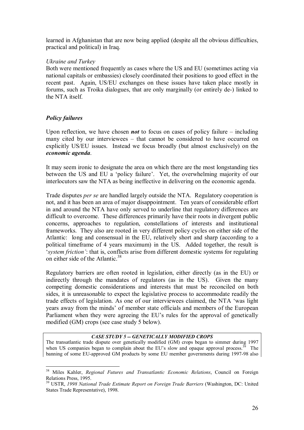learned in Afghanistan that are now being applied (despite all the obvious difficulties, practical and political) in Iraq.

# *Ukraine and Turkey*

Both were mentioned frequently as cases where the US and EU (sometimes acting via national capitals or embassies) closely coordinated their positions to good effect in the recent past. Again, US/EU exchanges on these issues have taken place mostly in forums, such as Troika dialogues, that are only marginally (or entirely de-) linked to the NTA itself.

# *Policy failures*

 $\overline{a}$ 

Upon reflection, we have chosen *not* to focus on cases of policy failure  $-$  including many cited by our interviewees  $-$  that cannot be considered to have occurred on explicitly US/EU issues. Instead we focus broadly (but almost exclusively) on the *economic agenda*.

It may seem ironic to designate the area on which there are the most longstanding ties between the US and EU a 'policy failure'. Yet, the overwhelming majority of our interlocutors saw the NTA as being ineffective in delivering on the economic agenda.

Trade disputes *per se* are handled largely outside the NTA. Regulatory cooperation is not, and it has been an area of major disappointment. Ten years of considerable effort in and around the NTA have only served to underline that regulatory differences are difficult to overcome. These differences primarily have their roots in divergent public concerns, approaches to regulation, constellations of interests and institutional frameworks. They also are rooted in very different policy cycles on either side of the Atlantic: long and consensual in the EU, relatively short and sharp (according to a political timeframe of 4 years maximum) in the US. Added together, the result is 'system *friction'*: that is, conflicts arise from different domestic systems for regulating on either side of the Atlantic.<sup>38</sup>

Regulatory barriers are often rooted in legislation, either directly (as in the EU) or indirectly through the mandates of regulators (as in the US). Given the many competing domestic considerations and interests that must be reconciled on both sides, it is unreasonable to expect the legislative process to accommodate readily the trade effects of legislation. As one of our interviewees claimed, the NTA ëwas light years away from the minds' of member state officials and members of the European Parliament when they were agreeing the EU's rules for the approval of genetically modified (GM) crops (see case study 5 below).

## *CASE STUDY 5 -- GENETICALLY MODIFIED CROPS*

The transatlantic trade dispute over genetically modified (GM) crops began to simmer during 1997 when US companies began to complain about the EU's slow and opaque approval process.<sup>39</sup> The banning of some EU-approved GM products by some EU member governments during 1997-98 also

<sup>38</sup> Miles Kahler, *Regional Futures and Transatlantic Economic Relations*, Council on Foreign Relations Press, 1995.

<sup>39</sup> USTR, *1998 National Trade Estimate Report on Foreign Trade Barriers* (Washington, DC: United States Trade Representative), 1998.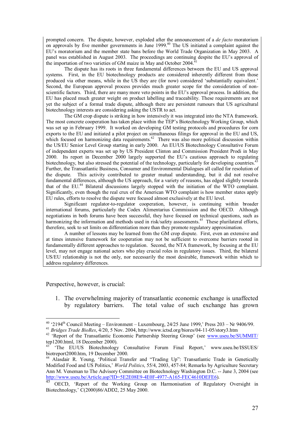prompted concern. The dispute, however, exploded after the announcement of a *de facto* moratorium on approvals by five member governments in June 1999.<sup>40</sup> The US initiated a complaint against the EU's moratorium and the member state bans before the World Trade Organization in May 2003. A panel was established in August 2003. The proceedings are continuing despite the EU's approval of the importation of two varieties of GM maize in May and October 2004.

 The dispute has its roots in three fundamental differences between the EU and US approval systems. First, in the EU biotechnology products are considered inherently different from those produced via other means, while in the US they are (for now) considered 'substantially equivalent.' Second, the European approval process provides much greater scope for the consideration of nonscientific factors. Third, there are many more veto points in the EU's approval process. In addition, the EU has placed much greater weight on product labelling and traceability. These requirements are not yet the subject of a formal trade dispute, although there are persistent rumours that US agricultural biotechnology interests are considering asking the USTR to act.

The GM crop dispute is striking in how intensively it was integrated into the NTA framework. The most concrete cooperation has taken place within the TEP's Biotechnology Working Group, which was set up in February 1999. It worked on developing GM testing protocols and procedures for corn exports to the EU and initiated a pilot project on simultaneous filings for approval in the EU and US, which focused on harmonizing data requirements.<sup>42</sup> There was also more political discussion within the US/EU Senior Level Group starting in early 2000. An EU/US Biotechnology Consultative Forum of independent experts was set up by US President Clinton and Commission President Prodi in May 2000. Its report in December 2000 largely supported the EU's cautious approach to regulating  $\frac{43}{43}$ biotechnology, but also stressed the potential of the technology, particularly for developing countries.<sup>4</sup> Further, the Transatlantic Business, Consumer and Environmental Dialogues all called for resolution of the dispute. This activity contributed to greater mutual understanding, but it did not resolve fundamental differences, although the US approach, for a variety of reasons, has edged slightly towards that of the EU.44 Bilateral discussions largely stopped with the initiation of the WTO complaint. Significantly, even though the real crux of the American WTO complaint is how member states apply EU rules, efforts to resolve the dispute were focused almost exclusively at the EU level.

Significant regulator-to-regulator cooperation, however, is continuing within broader international forums, particularly the Codex Alimentarius Commission and the OECD. Although negotiations in both forums have been successful, they have focused on technical questions, such as harmonizing the information and methods used in risk/safety assessments.<sup>45</sup> These plurilateral efforts, therefore, seek to set limits on differentiation more than they promote regulatory approximation.

A number of lessons may be learned from the GM crop dispute. First, even an extensive and at times intensive framework for cooperation may not be sufficient to overcome barriers rooted in fundamentally different approaches to regulation. Second, the NTA framework, by focusing at the EU level, may not engage national actors who play crucial roles in regulatory issues. Third, the bilateral US/EU relationship is not the only, nor necessarily the most desirable, framework within which to address regulatory differences.

Perspective, however, is crucial:

1. The overwhelming majority of transatlantic economic exchange is unaffected by regulatory barriers. The total value of such exchange has grown

<sup>&</sup>lt;sup>40</sup> '2194<sup>th</sup> Council Meeting – Environment – Luxembourg, 24/25 June 1999,' Press 203 – Nr 9406/99.

<sup>&</sup>lt;sup>41</sup> Bridges Trade BioRes,  $4/20$ , 5 Nov. 2004, http://www.ictsd.org/biores/04-11-05/story3.htm<br><sup>42</sup> 'Report of the Transatlantic Economic Partnership Steering Group' (see <u>www.useu.be/SUMMIT/</u><br>tep1200.html, 18 December 2

<sup>&</sup>lt;sup>43</sup> 'The EU/US Biotechnology Consultative Forum Final Report,' www.useu.be/ISSUES/ biotreport2000.htm, 19 December 2000.<br><sup>44</sup> Alasdair R. Young, 'Political Transfer and "Trading Up": Transatlantic Trade in Genetically

Modified Food and US Politics,<sup>*World Politics*, 55/4, 2003, 457-84; Remarks by Agriculture Secretary</sup> Ann M. Veneman to The Advisory Committee on Biotechnology Washington D.C. -- June 3, 2004 (see http://www.useu.be/Article.asp?ID=5E2E08E9-4E0F-4977-A165-FEC4610DEFE6).

<sup>45</sup> OECD, 'Report of the Working Group on Harmonisation of Regulatory Oversight in Biotechnology,' C(2000)86/ADD2, 25 May 2000.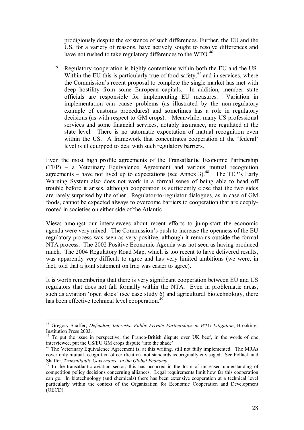prodigiously despite the existence of such differences. Further, the EU and the US, for a variety of reasons, have actively sought to resolve differences and have not rushed to take regulatory differences to the WTO.<sup>46</sup>

2. Regulatory cooperation is highly contentious within both the EU and the US. Within the EU this is particularly true of food safety, $47$  and in services, where the Commission's recent proposal to complete the single market has met with deep hostility from some European capitals. In addition, member state officials are responsible for implementing EU measures. Variation in implementation can cause problems (as illustrated by the non-regulatory example of customs procedures) and sometimes has a role in regulatory decisions (as with respect to GM crops). Meanwhile, many US professional services and some financial services, notably insurance, are regulated at the state level. There is no automatic expectation of mutual recognition even within the US. A framework that concentrates cooperation at the 'federal' level is ill equipped to deal with such regulatory barriers.

Even the most high profile agreements of the Transatlantic Economic Partnership  $(TEP)$  – a Veterinary Equivalence Agreement and various mutual recognition agreements – have not lived up to expectations (see Annex 3).<sup>48</sup> The TEP's Early Warning System also does not work in a formal sense of being able to head off trouble before it arises, although cooperation is sufficiently close that the two sides are rarely surprised by the other. Regulator-to-regulator dialogues, as in case of GM foods, cannot be expected always to overcome barriers to cooperation that are deeplyrooted in societies on either side of the Atlantic.

Views amongst our interviewees about recent efforts to jump-start the economic agenda were very mixed. The Commission's push to increase the openness of the EU regulatory process was seen as very positive, although it remains outside the formal NTA process. The 2002 Positive Economic Agenda was not seen as having produced much. The 2004 Regulatory Road Map, which is too recent to have delivered results, was apparently very difficult to agree and has very limited ambitions (we were, in fact, told that a joint statement on Iraq was easier to agree).

It is worth remembering that there is very significant cooperation between EU and US regulators that does not fall formally within the NTA. Even in problematic areas, such as aviation 'open skies' (see case study  $6$ ) and agricultural biotechnology, there has been effective technical level cooperation.<sup>49</sup>

 $\overline{a}$ 46 Gregory Shaffer, *Defending Interests: Public-Private Partnerships in WTO Litigation*, Brookings Institution Press 2003.

 $47$  To put the issue in perspective, the Franco-British dispute over UK beef, in the words of one interviewee, put the US/EU GM crops dispute 'into the shade'.

<sup>&</sup>lt;sup>48</sup> The Veterinary Equivalence Agreement is, at this writing, still not fully implemented. The MRAs cover only mutual recognition of certification, not standards as originally envisaged. See Pollack and Shaffer, *Transatlantic Governance in the Global Economy*. 49 In the transatlantic aviation sector, this has occurred in the form of increased understanding of

competition policy decisions concerning alliances. Legal requirements limit how far this cooperation can go. In biotechnology (and chemicals) there has been extensive cooperation at a technical level particularly within the context of the Organization for Economic Cooperation and Development (OECD).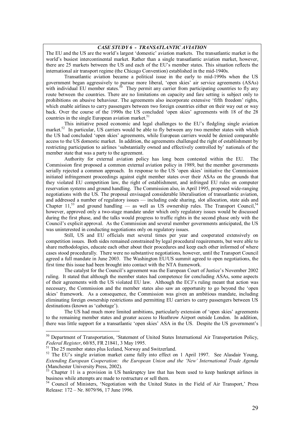#### *CASE STUDY 6 - TRANSATLANTIC AVIATION*

The EU and the US are the world's largest 'domestic' aviation markets. The transatlantic market is the world's busiest intercontinental market. Rather than a single transatlantic aviation market, however, there are 25 markets between the US and each of the EU's member states. This situation reflects the international air transport regime (the Chicago Convention) established in the mid-1940s.

Transatlantic aviation became a political issue in the early to mid-1990s when the US government began aggressively to pursue more liberal, 'open skies' air service agreements (ASAs) with individual EU member states.<sup>50</sup> They permit any carrier from participating countries to fly any route between the countries. There are no limitations on capacity and fare setting is subject only to prohibitions on abusive behaviour. The agreements also incorporate extensive 'fifth freedom' rights, which enable airlines to carry passengers between two foreign countries either on their way out or way back. Over the course of the 1990s the US concluded 'open skies' agreements with 18 of the 28 countries in the single European aviation market.<sup>5</sup>

This initiative posed economic and legal challenges to the EU's fledgling single aviation market.<sup>52</sup> In particular, US carriers would be able to fly between any two member states with which the US had concluded ëopen skiesí agreements, while European carriers would be denied comparable access to the US domestic market. In addition, the agreements challenged the right of establishment by restricting participation to airlines 'substantially owned and effectively controlled by' nationals of the member state that was a party to the agreement.

Authority for external aviation policy has long been contested within the EU. The Commission first proposed a common external aviation policy in 1989, but the member governments serially rejected a common approach. In response to the US 'open skies' initiative the Commission initiated infringement proceedings against eight member states over their ASAs on the grounds that they violated EU competition law, the right of establishment, and infringed EU rules on computer reservation systems and ground handling. The Commission also, in April 1995, proposed wide-ranging negotiations with the US. The proposal envisaged considerable liberalisation of transatlantic aviation, and addressed a number of regulatory issues — including code sharing, slot allocation, state aids and Chapter 11,<sup>53</sup> and ground handling — as well as US ownership rules. The Transport Council,<sup>54</sup> however, approved only a two-stage mandate under which only regulatory issues would be discussed during the first phase, and the talks would progress to traffic rights in the second phase only with the Council's explicit approval. As the Commission and several member governments anticipated, the US was uninterested in conducting negotiations only on regulatory issues.

Still, US and EU officials met several times per year and cooperated extensively on competition issues. Both sides remained constrained by legal procedural requirements, but were able to share methodologies, educate each other about their procedures and keep each other informed of where cases stood procedurally. There were no substantive negotiations, however, until the Transport Council agreed a full mandate in June 2003. The Washington EU/US summit agreed to open negotiations, the first time this issue had been brought into contact with the NTA framework.

The catalyst for the Council's agreement was the European Court of Justice's November 2002 ruling. It stated that although the member states had competence for concluding ASAs, some aspects of their agreements with the US violated EU law. Although the ECJ's ruling meant that action was necessary, the Commission and the member states also saw an opportunity to go beyond the 'open skiesí framework. As a consequence, the Commission was given an ambitious mandate, including eliminating foreign ownership restrictions and permitting EU carriers to carry passengers between US destinations (known as 'cabotage').

The US had much more limited ambitions, particularly extension of 'open skies' agreements to the remaining member states and greater access to Heathrow Airport outside London. In addition, there was little support for a transatlantic 'open skies' ASA in the US. Despite the US government's

<sup>&</sup>lt;sup>50</sup> Department of Transportation, 'Statement of United States International Air Transportation Policy, *Federal Register*, 60/85, FR 21841, 3 May 1995.<br><sup>51</sup> The 25 member states plus Iceland, Norway and Switzerland.

<sup>&</sup>lt;sup>52</sup> The EU's single aviation market came fully into effect on 1 April 1997. See Alasdair Young, *Extending European Cooperation: the European Union and the ëNewí International Trade Agenda*  (Manchester University Press, 2002).

 $\frac{33}{12}$  Chapter 11 is a provision in US bankruptcy law that has been used to keep bankrupt airlines in business while attempts are made to restructure or sell them.

<sup>&</sup>lt;sup>54</sup> Council of Ministers, 'Negotiation with the United States in the Field of Air Transport,' Press Release: 172 – Nr. 8079/96, 17 June 1996.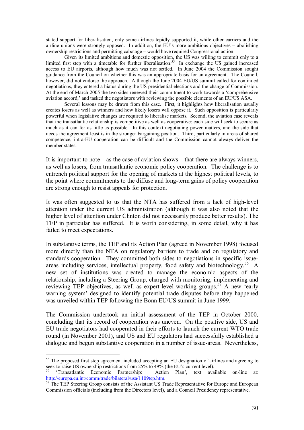stated support for liberalisation, only some airlines tepidly supported it, while other carriers and the airline unions were strongly opposed. In addition, the EU's more ambitious objectives  $-$  abolishing ownership restrictions and permitting cabotage – would have required Congressional action.

Given its limited ambitions and domestic opposition, the US was willing to commit only to a limited first step with a timetable for further liberalisation.<sup>55</sup> In exchange the US gained increased access to EU airports, although how much was not settled. In June 2004 the Commission sought guidance from the Council on whether this was an appropriate basis for an agreement. The Council, however, did not endorse the approach. Although the June 2004 EU/US summit called for continued negotiations, they entered a hiatus during the US presidential elections and the change of Commission. At the end of March 2005 the two sides renewed their commitment to work towards a ëcomprehensive aviation accord,' and tasked the negotiators with reviewing the possible elements of an EU/US ASA.

Several lessons may be drawn from this case. First, it highlights how liberalisation usually creates losers as well as winners and how likely losers will oppose it. Such opposition is particularly powerful when legislative changes are required to liberalise markets. Second, the aviation case reveals that the transatlantic relationship is competitive as well as cooperative: each side will seek to secure as much as it can for as little as possible. In this context negotiating power matters, and the side that needs the agreement least is in the stronger bargaining position. Third, particularly in areas of shared competence, intra-EU cooperation can be difficult and the Commission cannot always deliver the member states.

It is important to note  $-\text{ as the case of }$  aviation shows  $-\text{ that }$  there are always winners, as well as losers, from transatlantic economic policy cooperation. The challenge is to entrench political support for the opening of markets at the highest political levels, to the point where commitments to the diffuse and long-term gains of policy cooperation are strong enough to resist appeals for protection.

It was often suggested to us that the NTA has suffered from a lack of high-level attention under the current US administration (although it was also noted that the higher level of attention under Clinton did not necessarily produce better results). The TEP in particular has suffered. It is worth considering, in some detail, why it has failed to meet expectations.

In substantive terms, the TEP and its Action Plan (agreed in November 1998) focused more directly than the NTA on regulatory barriers to trade and on regulatory and standards cooperation. They committed both sides to negotiations in specific issueareas including services, intellectual property, food safety and biotechnology.<sup>56</sup> A new set of institutions was created to manage the economic aspects of the relationship, including a Steering Group, charged with monitoring, implementing and reviewing TEP objectives, as well as expert-level working groups.<sup>57</sup> A new 'early warning system<sup>3</sup> designed to identify potential trade disputes before they happened was unveiled within TEP following the Bonn EU/US summit in June 1999.

The Commission undertook an initial assessment of the TEP in October 2000, concluding that its record of cooperation was uneven. On the positive side, US and EU trade negotiators had cooperated in their efforts to launch the current WTO trade round (in November 2001), and US and EU regulators had successfully established a dialogue and begun substantive cooperation in a number of issue-areas. Nevertheless,

<sup>&</sup>lt;sup>55</sup> The proposed first step agreement included accepting an EU designation of airlines and agreeing to seek to raise US ownership restrictions from 25% to 49% (the EU's current level).

<sup>&</sup>lt;sup>56</sup> 'Transatlantic Economic Partnership: Action Plan', text available on-line at:<br>http://europa.eu.int/comm/trade/bilateral/usa/1109tep.htm.

 $\frac{1}{57}$  The TEP Steering Group consists of the Assistant US Trade Representative for Europe and European Commission officials (including from the Directors level), and a Council Presidency representative.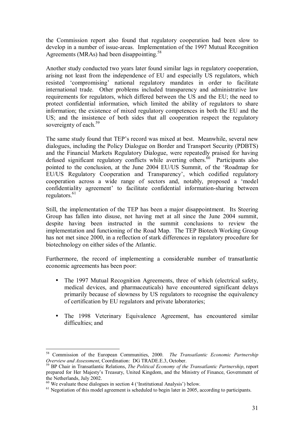the Commission report also found that regulatory cooperation had been slow to develop in a number of issue-areas. Implementation of the 1997 Mutual Recognition Agreements (MRAs) had been disappointing.<sup>58</sup>

Another study conducted two years later found similar lags in regulatory cooperation, arising not least from the independence of EU and especially US regulators, which resisted 'compromising' national regulatory mandates in order to facilitate international trade. Other problems included transparency and administrative law requirements for regulators, which differed between the US and the EU; the need to protect confidential information, which limited the ability of regulators to share information; the existence of mixed regulatory competences in both the EU and the US; and the insistence of both sides that all cooperation respect the regulatory sovereignty of each.<sup>59</sup>

The same study found that TEP's record was mixed at best. Meanwhile, several new dialogues, including the Policy Dialogue on Border and Transport Security (PDBTS) and the Financial Markets Regulatory Dialogue, were repeatedly praised for having defused significant regulatory conflicts while averting others.<sup> $60$ </sup> Participants also pointed to the conclusion, at the June 2004 EU/US Summit, of the 'Roadmap for EU/US Regulatory Cooperation and Transparency', which codified regulatory cooperation across a wide range of sectors and, notably, proposed a 'model confidentiality agreement' to facilitate confidential information-sharing between regulators. $61$ 

Still, the implementation of the TEP has been a major disappointment. Its Steering Group has fallen into disuse, not having met at all since the June 2004 summit, despite having been instructed in the summit conclusions to review the implementation and functioning of the Road Map. The TEP Biotech Working Group has not met since 2000, in a reflection of stark differences in regulatory procedure for biotechnology on either sides of the Atlantic.

Furthermore, the record of implementing a considerable number of transatlantic economic agreements has been poor:

- The 1997 Mutual Recognition Agreements, three of which (electrical safety, medical devices, and pharmaceuticals) have encountered significant delays primarily because of slowness by US regulators to recognise the equivalency of certification by EU regulators and private laboratories;
- The 1998 Veterinary Equivalence Agreement, has encountered similar difficulties; and

<sup>&</sup>lt;sup>58</sup> Commission of the European Communities, 2000. *The Transatlantic Economic Partnership Overview and Assessment*, Coordination: DG TRADE.E.3, October.

<sup>&</sup>lt;sup>59</sup> BP Chair in Transatlantic Relations, *The Political Economy of the Transatlantic Partnership*, report prepared for Her Majestyís Treasury, United Kingdom, and the Ministry of Finance, Government of the Netherlands, July 2002.

 $60$  We evaluate these dialogues in section 4 ('Institutional Analysis') below.

 $<sup>61</sup>$  Negotiation of this model agreement is scheduled to begin later in 2005, according to participants.</sup>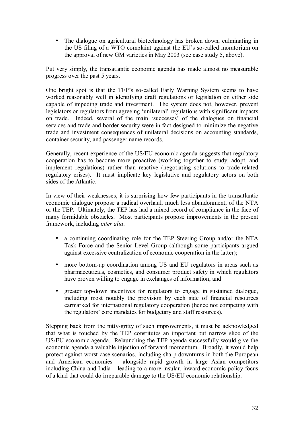• The dialogue on agricultural biotechnology has broken down, culminating in the US filing of a WTO complaint against the EU's so-called moratorium on the approval of new GM varieties in May 2003 (see case study 5, above).

Put very simply, the transatlantic economic agenda has made almost no measurable progress over the past 5 years.

One bright spot is that the TEP's so-called Early Warning System seems to have worked reasonably well in identifying draft regulations or legislation on either side capable of impeding trade and investment. The system does not, however, prevent legislators or regulators from agreeing 'unilateral' regulations with significant impacts on trade. Indeed, several of the main 'successes' of the dialogues on financial services and trade and border security were in fact designed to minimize the negative trade and investment consequences of unilateral decisions on accounting standards, container security, and passenger name records.

Generally, recent experience of the US/EU economic agenda suggests that regulatory cooperation has to become more proactive (working together to study, adopt, and implement regulations) rather than reactive (negotiating solutions to trade-related regulatory crises). It must implicate key legislative and regulatory actors on both sides of the Atlantic.

In view of their weaknesses, it is surprising how few participants in the transatlantic economic dialogue propose a radical overhaul, much less abandonment, of the NTA or the TEP. Ultimately, the TEP has had a mixed record of compliance in the face of many formidable obstacles. Most participants propose improvements in the present framework, including *inter alia*:

- a continuing coordinating role for the TEP Steering Group and/or the NTA Task Force and the Senior Level Group (although some participants argued against excessive centralization of economic cooperation in the latter);
- more bottom-up coordination among US and EU regulators in areas such as pharmaceuticals, cosmetics, and consumer product safety in which regulators have proven willing to engage in exchanges of information; and
- greater top-down incentives for regulators to engage in sustained dialogue, including most notably the provision by each side of financial resources earmarked for international regulatory cooperation (hence not competing with the regulators' core mandates for budgetary and staff resources).

Stepping back from the nitty-gritty of such improvements, it must be acknowledged that what is touched by the TEP constitutes an important but narrow slice of the US/EU economic agenda. Relaunching the TEP agenda successfully would give the economic agenda a valuable injection of forward momentum. Broadly, it would help protect against worst case scenarios, including sharp downturns in both the European and American economies  $-$  alongside rapid growth in large Asian competitors including China and India  $-$  leading to a more insular, inward economic policy focus of a kind that could do irreparable damage to the US/EU economic relationship.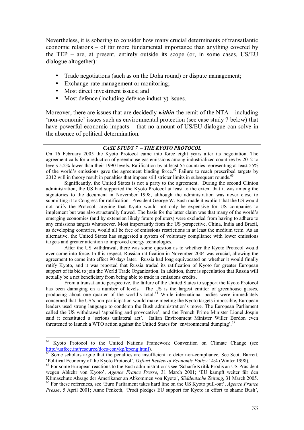Nevertheless, it is sobering to consider how many crucial determinants of transatlantic economic relations  $-$  of far more fundamental importance than anything covered by the TEP  $-$  are, at present, entirely outside its scope (or, in some cases, US/EU dialogue altogether):

- Trade negotiations (such as on the Doha round) or dispute management;
- Exchange-rate management or monitoring;
- Most direct investment issues; and

 $\overline{a}$ 

• Most defence (including defence industry) issues.

Moreover, there are issues that are decidedly *within* the remit of the NTA – including ënon-economicí issues such as environmental protection (see case study 7 below) that have powerful economic impacts  $-$  that no amount of US/EU dialogue can solve in the absence of political determination.

#### **CASE STUDY 7 - THE KYOTO PROTOCOL**

On 16 February 2005 the Kyoto Protocol came into force eight years after its negotiation. The agreement calls for a reduction of greenhouse gas emissions among industrialized countries by 2012 to levels 5.2% lower than their 1990 levels. Ratification by at least 55 countries representing at least 55% of the world's emissions gave the agreement binding force.<sup>62</sup> Failure to reach prescribed targets by 2012 will in theory result in penalties that impose still stricter limits in subsequent rounds.<sup>63</sup>

Significantly, the United States is not a party to the agreement. During the second Clinton administration, the US had supported the Kyoto Protocol at least to the extent that it was among the signatories to the document in November 1998, although the administration was never close to submitting it to Congress for ratification. President George W. Bush made it explicit that the US would not ratify the Protocol, arguing that Kyoto would not only be expensive for US companies to implement but was also structurally flawed. The basis for the latter claim was that many of the world's emerging economies (and by extension likely future polluters) were excluded from having to adhere to any emissions targets whatsoever. Most importantly from the US perspective, China, India and Brazil, as developing countries, would all be free of emissions restrictions in at least the medium term. As an alternative, the United States has suggested a system of voluntary compliance with lower emissions targets and greater attention to improved energy technologies.

 After the US withdrawal, there was some question as to whether the Kyoto Protocol would ever come into force. In this respect, Russian ratification in November 2004 was crucial, allowing the agreement to come into effect 90 days later. Russia had long equivocated on whether it would finally ratify Kyoto, and it was reported that Russia traded its ratification of Kyoto for greater European support of its bid to join the World Trade Organization. In addition, there is speculation that Russia will actually be a net beneficiary from being able to trade in emissions credits.

 From a transatlantic perspective, the failure of the United States to support the Kyoto Protocol has been damaging on a number of levels. The US is the largest emitter of greenhouse gasses, producing about one quarter of the world's total.<sup>64</sup> While international bodies were immediately concerned that the US's non-participation would make meeting the Kyoto targets impossible, European leaders used strong language to condemn the Bush administration's move. The European Parliament called the US withdrawal 'appalling and provocative', and the French Prime Minister Lionel Jospin said it constituted a 'serious unilateral act'. Italian Environment Minister Willer Bordon even threatened to launch a WTO action against the United States for 'environmental dumping'.<sup>65</sup>

<sup>&</sup>lt;sup>62</sup> Kyoto Protocol to the United Nations Framework Convention on Climate Change (see

http://unfccc.int/resource/docs/convkp/kpeng.html).<br><sup>63</sup> Some scholars argue that the penalties are insufficient to deter non-compliance. See Scott Barrett,<br>'Political Economy of the Kyoto Protocol', *Oxford Review of Econ* 

<sup>&</sup>lt;sup>64</sup> For some European reactions to the Bush administration's see 'Scharfe Kritik Prodis an US-Präsident wegen Abkehr von Kyoto', *Agence France Presse*, 31 March 2001; 'EU kämpft weiter für den Klimaschutz Absage der Amerikaner an Abkommen von Kyoto'. Süddeutsche Zeitung, 31 March 2005. <sup>65</sup> For these references, see 'Euro Parliament takes hard line on the US Kyoto pull-out', *Agence France* 

*Presse*, 5 April 2001; Anne Penketh, 'Prodi pledges EU support for Kyoto in effort to shame Bush',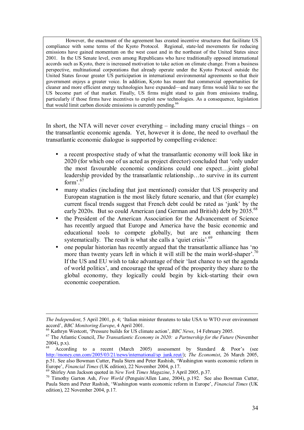However, the enactment of the agreement has created incentive structures that facilitate US compliance with some terms of the Kyoto Protocol. Regional, state-led movements for reducing emissions have gained momentum on the west coast and in the northeast of the United States since 2001. In the US Senate level, even among Republicans who have traditionally opposed international accords such as Kyoto, there is increased motivation to take action on climate change. From a business perspective, multinational corporations that already operate under the Kyoto Protocol outside the United States favour greater US participation in international environmental agreements so that their government enjoys a greater voice. In addition, Kyoto has meant that commercial opportunities for cleaner and more efficient energy technologies have expanded—and many firms would like to see the US become part of that market. Finally, US firms might stand to gain from emissions trading, particularly if those firms have incentives to exploit new technologies. As a consequence, legislation that would limit carbon dioxide emissions is currently pending.<sup>66</sup>

In short, the NTA will never cover everything  $-$  including many crucial things  $-$  on the transatlantic economic agenda. Yet, however it is done, the need to overhaul the transatlantic economic dialogue is supported by compelling evidence:

- a recent prospective study of what the transatlantic economy will look like in 2020 (for which one of us acted as project director) concluded that 'only under the most favourable economic conditions could one expectÖjoint global leadership provided by the transatlantic relationship...to survive in its current form<sup> $, 67$ </sup>
- many studies (including that just mentioned) consider that US prosperity and European stagnation is the most likely future scenario, and that (for example) current fiscal trends suggest that French debt could be rated as 'junk' by the early 2020s. But so could American (and German and British) debt by 2035.<sup>68</sup>
- the President of the American Association for the Advancement of Science has recently argued that Europe and America have the basic economic and educational tools to compete globally, but are not enhancing them systematically. The result is what she calls a 'quiet crisis'. $69$
- one popular historian has recently argued that the transatlantic alliance has 'no more than twenty years left in which it will still be the main world-shaper<sup> $7.70$ </sup> If the US and EU wish to take advantage of their 'last chance to set the agenda of world politicsí, and encourage the spread of the prosperity they share to the global economy, they logically could begin by kick-starting their own economic cooperation.

*The Independent*, 5 April 2001, p. 4; 'Italian minister threatens to take USA to WTO over environment

accord', *BBC Monitoring Europe*, 4 April 2001.<br><sup>66</sup> Kathryn Westcott, 'Pressure builds for US climate action', *BBC News*, 14 February 2005.<br><sup>67</sup> The Atlantic Council. *The Transatlantic Economy in 2020: a Partnership for*  $2004$ ), p.x).

According to a recent (March 2005) assessment by Standard  $\&$  Poor's (see http://money.cnn.com/2005/03/21/news/international/sp\_junk.reut/); *The Economist*, 26 March 2005, p.51. See also Bowman Cutter, Paula Stern and Peter Rashish, 'Washington wants economic reform in Europe', *Financial Times* (UK edition), 22 November 2004, p.17.

<sup>&</sup>lt;sup>69</sup> Shirley Ann Jackson quoted in *New York Times Magazine*, 3 April 2005, p.37.<br><sup>70</sup> Timothy Garton Ash, *Free World* (Penguin/Allen Lane, 2004), p.192. See also Bowman Cutter, Paula Stern and Peter Rashish, 'Washington wants economic reform in Europe', *Financial Times* (UK edition), 22 November 2004, p.17.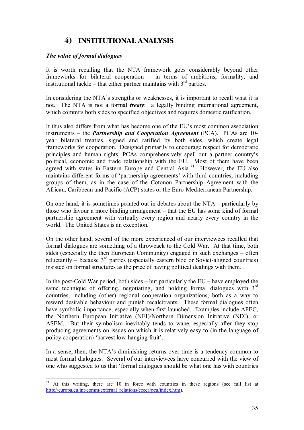# **4) INSTITUTIONAL ANALYSIS**

# *The value of formal dialogues*

It is worth recalling that the NTA framework goes considerably beyond other frameworks for bilateral cooperation  $-$  in terms of ambitions, formality, and institutional tackle – that either partner maintains with  $3<sup>rd</sup>$  parties.

In considering the NTA's strengths or weaknesses, it is important to recall what it is not. The NTA is not a formal *treaty*: a legally binding international agreement, which commits both sides to specified objectives and requires domestic ratification.

It thus also differs from what has become one of the EU's most common association instruments – the *Partnership and Cooperation Agreement (PCA).* PCAs are 10year bilateral treaties, signed and ratified by both sides, which create legal frameworks for cooperation. Designed primarily to encourage respect for democratic principles and human rights, PCAs comprehensively spell out a partner country's political, economic and trade relationship with the EU. Most of them have been agreed with states in Eastern Europe and Central Asia.<sup>71</sup> However, the EU also maintains different forms of 'partnership agreements' with third countries, including groups of them, as in the case of the Cotonou Partnership Agreement with the African, Caribbean and Pacific (ACP) states or the Euro-Mediterranean Partnership.

On one hand, it is sometimes pointed out in debates about the  $NTA$  – particularly by those who favour a more binding arrangement  $-$  that the EU has some kind of formal partnership agreement with virtually every region and nearly every country in the world. The United States is an exception.

On the other hand, several of the more experienced of our interviewees recalled that formal dialogues are something of a throwback to the Cold War. At that time, both sides (especially the then European Community) engaged in such exchanges  $-$  often reluctantly – because  $3<sup>rd</sup>$  parties (especially eastern bloc or Soviet-aligned countries) insisted on formal structures as the price of having political dealings with them.

In the post-Cold War period, both sides  $-$  but particularly the EU  $-$  have employed the same technique of offering, negotiating, and holding formal dialogues with  $3<sup>rd</sup>$ countries, including (other) regional cooperation organizations, both as a way to reward desirable behaviour and punish recalcitrants. These formal dialogues often have symbolic importance, especially when first launched. Examples include APEC, the Northern European Initiative (NEI)/Northern Dimension Initiative (NDI), or ASEM. But their symbolism inevitably tends to wane, especially after they stop producing agreements on issues on which it is relatively easy to (in the language of policy cooperation) 'harvest low-hanging fruit'.

In a sense, then, the NTA's diminishing returns over time is a tendency common to most formal dialogues. Several of our interviewees have concurred with the view of one who suggested to us that ëformal dialogues should be what one has with countries

 $\overline{a}$  $71$  At this writing, there are 10 in force with countries in these regions (see full list at http://europa.eu.int/comm/external\_relations/ceeca/pca/index.htm).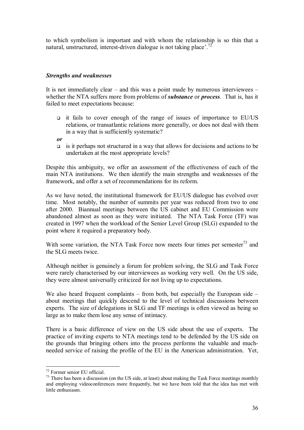to which symbolism is important and with whom the relationship is so thin that a natural, unstructured, interest-driven dialogue is not taking place<sup> $2$ . 72</sup>

# *Strengths and weaknesses*

It is not immediately clear  $-$  and this was a point made by numerous interviewees  $$ whether the NTA suffers more from problems of *substance* or *process*. That is, has it failed to meet expectations because:

- $\Box$  it fails to cover enough of the range of issues of importance to EU/US relations, or transatlantic relations more generally, or does not deal with them in a way that is sufficiently systematic?
- *or*
- $\Box$  is it perhaps not structured in a way that allows for decisions and actions to be undertaken at the most appropriate levels?

Despite this ambiguity, we offer an assessment of the effectiveness of each of the main NTA institutions. We then identify the main strengths and weaknesses of the framework, and offer a set of recommendations for its reform.

As we have noted, the institutional framework for EU/US dialogue has evolved over time. Most notably, the number of summits per year was reduced from two to one after 2000. Biannual meetings between the US cabinet and EU Commission were abandoned almost as soon as they were initiated. The NTA Task Force (TF) was created in 1997 when the workload of the Senior Level Group (SLG) expanded to the point where it required a preparatory body.

With some variation, the NTA Task Force now meets four times per semester<sup>73</sup> and the SLG meets twice.

Although neither is genuinely a forum for problem solving, the SLG and Task Force were rarely characterised by our interviewees as working very well. On the US side, they were almost universally criticized for not living up to expectations.

We also heard frequent complaints  $-$  from both, but especially the European side  $$ about meetings that quickly descend to the level of technical discussions between experts. The size of delegations in SLG and TF meetings is often viewed as being so large as to make them lose any sense of intimacy.

There is a basic difference of view on the US side about the use of experts. The practice of inviting experts to NTA meetings tend to be defended by the US side on the grounds that bringing others into the process performs the valuable and muchneeded service of raising the profile of the EU in the American administration. Yet,

<sup>72</sup> Former senior EU official.

<sup>&</sup>lt;sup>73</sup> There has been a discussion (on the US side, at least) about making the Task Force meetings monthly and employing videoconferences more frequently, but we have been told that the idea has met with little enthusiasm.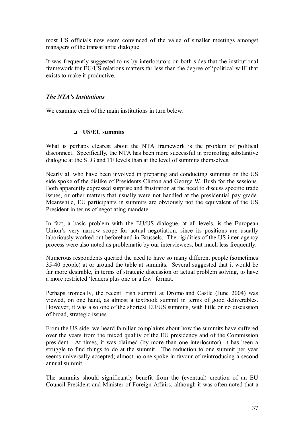most US officials now seem convinced of the value of smaller meetings amongst managers of the transatlantic dialogue.

It was frequently suggested to us by interlocutors on both sides that the institutional framework for EU/US relations matters far less than the degree of 'political will' that exists to make it productive.

#### *The NTA's Institutions*

We examine each of the main institutions in turn below:

#### ! **US/EU summits**

What is perhaps clearest about the NTA framework is the problem of political disconnect. Specifically, the NTA has been more successful in promoting substantive dialogue at the SLG and TF levels than at the level of summits themselves.

Nearly all who have been involved in preparing and conducting summits on the US side spoke of the dislike of Presidents Clinton and George W. Bush for the sessions. Both apparently expressed surprise and frustration at the need to discuss specific trade issues, or other matters that usually were not handled at the presidential pay grade. Meanwhile, EU participants in summits are obviously not the equivalent of the US President in terms of negotiating mandate.

In fact, a basic problem with the EU/US dialogue, at all levels, is the European Union's very narrow scope for actual negotiation, since its positions are usually laboriously worked out beforehand in Brussels. The rigidities of the US inter-agency process were also noted as problematic by our interviewees, but much less frequently.

Numerous respondents queried the need to have so many different people (sometimes 35-40 people) at or around the table at summits. Several suggested that it would be far more desirable, in terms of strategic discussion or actual problem solving, to have a more restricted 'leaders plus one or a few' format.

Perhaps ironically, the recent Irish summit at Dromoland Castle (June 2004) was viewed, on one hand, as almost a textbook summit in terms of good deliverables. However, it was also one of the shortest EU/US summits, with little or no discussion of broad, strategic issues.

From the US side, we heard familiar complaints about how the summits have suffered over the years from the mixed quality of the EU presidency and of the Commission president. At times, it was claimed (by more than one interlocutor), it has been a struggle to find things to do at the summit. The reduction to one summit per year seems universally accepted; almost no one spoke in favour of reintroducing a second annual summit.

The summits should significantly benefit from the (eventual) creation of an EU Council President and Minister of Foreign Affairs, although it was often noted that a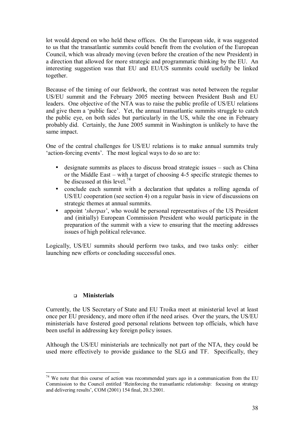lot would depend on who held these offices. On the European side, it was suggested to us that the transatlantic summits could benefit from the evolution of the European Council, which was already moving (even before the creation of the new President) in a direction that allowed for more strategic and programmatic thinking by the EU. An interesting suggestion was that EU and EU/US summits could usefully be linked together.

Because of the timing of our fieldwork, the contrast was noted between the regular US/EU summit and the February 2005 meeting between President Bush and EU leaders. One objective of the NTA was to raise the public profile of US/EU relations and give them a 'public face'. Yet, the annual transatlantic summits struggle to catch the public eye, on both sides but particularly in the US, while the one in February probably did. Certainly, the June 2005 summit in Washington is unlikely to have the same impact.

One of the central challenges for US/EU relations is to make annual summits truly 'action-forcing events'. The most logical ways to do so are to:

- $\bullet$  designate summits as places to discuss broad strategic issues  $-$  such as China or the Middle East  $-$  with a target of choosing 4-5 specific strategic themes to be discussed at this level.<sup>74</sup>
- conclude each summit with a declaration that updates a rolling agenda of US/EU cooperation (see section 4) on a regular basis in view of discussions on strategic themes at annual summits.
- appoint *'sherpas'*, who would be personal representatives of the US President and (initially) European Commission President who would participate in the preparation of the summit with a view to ensuring that the meeting addresses issues of high political relevance.

Logically, US/EU summits should perform two tasks, and two tasks only: either launching new efforts or concluding successful ones.

### ! **Ministerials**

Currently, the US Secretary of State and EU Troika meet at ministerial level at least once per EU presidency, and more often if the need arises. Over the years, the US/EU ministerials have fostered good personal relations between top officials, which have been useful in addressing key foreign policy issues.

Although the US/EU ministerials are technically not part of the NTA, they could be used more effectively to provide guidance to the SLG and TF. Specifically, they

 $\overline{a}$  $74$  We note that this course of action was recommended years ago in a communication from the EU Commission to the Council entitled ëReinforcing the transatlantic relationship: focusing on strategy and delivering results<sup>2</sup>, COM (2001) 154 final,  $20.3.2001$ .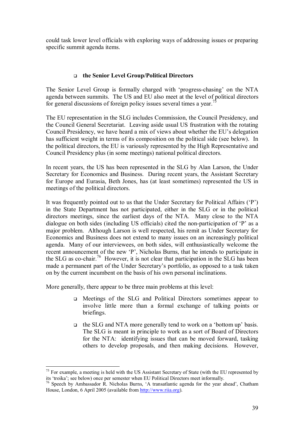could task lower level officials with exploring ways of addressing issues or preparing specific summit agenda items.

## ! **the Senior Level Group/Political Directors**

The Senior Level Group is formally charged with 'progress-chasing' on the NTA agenda between summits. The US and EU also meet at the level of political directors for general discussions of foreign policy issues several times a year.<sup>7</sup>

The EU representation in the SLG includes Commission, the Council Presidency, and the Council General Secretariat. Leaving aside usual US frustration with the rotating Council Presidency, we have heard a mix of views about whether the EU's delegation has sufficient weight in terms of its composition on the political side (see below). In the political directors, the EU is variously represented by the High Representative and Council Presidency plus (in some meetings) national political directors.

In recent years, the US has been represented in the SLG by Alan Larson, the Under Secretary for Economics and Business. During recent years, the Assistant Secretary for Europe and Eurasia, Beth Jones, has (at least sometimes) represented the US in meetings of the political directors.

It was frequently pointed out to us that the Under Secretary for Political Affairs  $(\hat{P})$ in the State Department has not participated, either in the SLG or in the political directors meetings, since the earliest days of the NTA. Many close to the NTA dialogue on both sides (including US officials) cited the non-participation of  $P$  as a major problem. Although Larson is well respected, his remit as Under Secretary for Economics and Business does not extend to many issues on an increasingly political agenda. Many of our interviewees, on both sides, will enthusiastically welcome the recent announcement of the new 'P', Nicholas Burns, that he intends to participate in the SLG as co-chair.<sup>76</sup> However, it is not clear that participation in the SLG has been made a permanent part of the Under Secretary's portfolio, as opposed to a task taken on by the current incumbent on the basis of his own personal inclinations.

More generally, there appear to be three main problems at this level:

- ! Meetings of the SLG and Political Directors sometimes appear to involve little more than a formal exchange of talking points or briefings.
- □ the SLG and NTA more generally tend to work on a 'bottom up' basis. The SLG is meant in principle to work as a sort of Board of Directors for the NTA: identifying issues that can be moved forward, tasking others to develop proposals, and then making decisions. However,

 $\overline{a}$  $75$  For example, a meeting is held with the US Assistant Secretary of State (with the EU represented by its ëtroikaí; see below) once per semester when EU Political Directors meet informally.

<sup>&</sup>lt;sup>76</sup> Speech by Ambassador R. Nicholas Burns, 'A transatlantic agenda for the year ahead', Chatham House, London, 6 April 2005 (available from http://www.riia.org).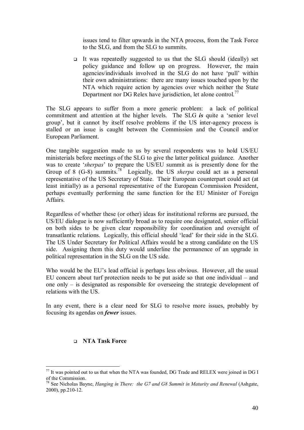issues tend to filter upwards in the NTA process, from the Task Force to the SLG, and from the SLG to summits.

! It was repeatedly suggested to us that the SLG should (ideally) set policy guidance and follow up on progress. However, the main agencies/individuals involved in the SLG do not have 'pull' within their own administrations: there are many issues touched upon by the NTA which require action by agencies over which neither the State Department nor DG Relex have jurisdiction, let alone control.<sup>77</sup>

The SLG appears to suffer from a more generic problem: a lack of political commitment and attention at the higher levels. The SLG *is* quite a 'senior level group', but it cannot by itself resolve problems if the US inter-agency process is stalled or an issue is caught between the Commission and the Council and/or European Parliament.

One tangible suggestion made to us by several respondents was to hold US/EU ministerials before meetings of the SLG to give the latter political guidance. Another was to create *'sherpas'* to prepare the US/EU summit as is presently done for the Group of 8 (G-8) summits.78 Logically, the US *sherpa* could act as a personal representative of the US Secretary of State. Their European counterpart could act (at least initially) as a personal representative of the European Commission President, perhaps eventually performing the same function for the EU Minister of Foreign Affairs.

Regardless of whether these (or other) ideas for institutional reforms are pursued, the US/EU dialogue is now sufficiently broad as to require one designated, senior official on both sides to be given clear responsibility for coordination and oversight of transatlantic relations. Logically, this official should 'lead' for their side in the SLG. The US Under Secretary for Political Affairs would be a strong candidate on the US side. Assigning them this duty would underline the permanence of an upgrade in political representation in the SLG on the US side.

Who would be the EU's lead official is perhaps less obvious. However, all the usual EU concern about turf protection needs to be put aside so that one individual  $-$  and one only  $-$  is designated as responsible for overseeing the strategic development of relations with the US.

In any event, there is a clear need for SLG to resolve more issues, probably by focusing its agendas on *fewer* issues.

#### ! **NTA Task Force**

 $77$  It was pointed out to us that when the NTA was founded, DG Trade and RELEX were joined in DG I of the Commission.

<sup>&</sup>lt;sup>78</sup> See Nicholas Bayne, *Hanging in There: the G7 and G8 Summit in Maturity and Renewal (Ashgate,* 2000), pp.210-12.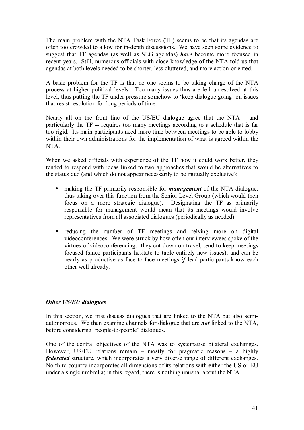The main problem with the NTA Task Force (TF) seems to be that its agendas are often too crowded to allow for in-depth discussions. We have seen some evidence to suggest that TF agendas (as well as SLG agendas) *have* become more focused in recent years. Still, numerous officials with close knowledge of the NTA told us that agendas at both levels needed to be shorter, less cluttered, and more action-oriented.

A basic problem for the TF is that no one seems to be taking charge of the NTA process at higher political levels. Too many issues thus are left unresolved at this level, thus putting the TF under pressure somehow to 'keep dialogue going' on issues that resist resolution for long periods of time.

Nearly all on the front line of the US/EU dialogue agree that the NTA  $-$  and particularly the TF -- requires too many meetings according to a schedule that is far too rigid. Its main participants need more time between meetings to be able to lobby within their own administrations for the implementation of what is agreed within the NTA.

When we asked officials with experience of the TF how it could work better, they tended to respond with ideas linked to two approaches that would be alternatives to the status quo (and which do not appear necessarily to be mutually exclusive):

- making the TF primarily responsible for *management* of the NTA dialogue, thus taking over this function from the Senior Level Group (which would then focus on a more strategic dialogue). Designating the TF as primarily responsible for management would mean that its meetings would involve representatives from all associated dialogues (periodically as needed).
- reducing the number of TF meetings and relying more on digital videoconferences. We were struck by how often our interviewees spoke of the virtues of videoconferencing: they cut down on travel, tend to keep meetings focused (since participants hesitate to table entirely new issues), and can be nearly as productive as face-to-face meetings *if* lead participants know each other well already.

### *Other US/EU dialogues*

In this section, we first discuss dialogues that are linked to the NTA but also semiautonomous. We then examine channels for dialogue that are *not* linked to the NTA, before considering 'people-to-people' dialogues.

One of the central objectives of the NTA was to systematise bilateral exchanges. However, US/EU relations remain  $-$  mostly for pragmatic reasons  $-$  a highly *federated* structure, which incorporates a very diverse range of different exchanges. No third country incorporates all dimensions of its relations with either the US or EU under a single umbrella; in this regard, there is nothing unusual about the NTA.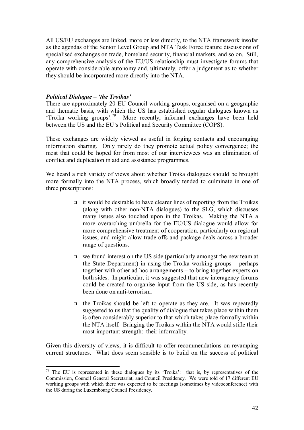All US/EU exchanges are linked, more or less directly, to the NTA framework insofar as the agendas of the Senior Level Group and NTA Task Force feature discussions of specialised exchanges on trade, homeland security, financial markets, and so on. Still, any comprehensive analysis of the EU/US relationship must investigate forums that operate with considerable autonomy and, ultimately, offer a judgement as to whether they should be incorporated more directly into the NTA.

### *Political Dialogue – 'the Troikas'*

 $\overline{a}$ 

There are approximately 20 EU Council working groups, organised on a geographic and thematic basis, with which the US has established regular dialogues known as 'Troika working groups'.<sup>79</sup> More recently, informal exchanges have been held between the US and the EU's Political and Security Committee (COPS).

These exchanges are widely viewed as useful in forging contacts and encouraging information sharing. Only rarely do they promote actual policy convergence; the most that could be hoped for from most of our interviewees was an elimination of conflict and duplication in aid and assistance programmes.

We heard a rich variety of views about whether Troika dialogues should be brought more formally into the NTA process, which broadly tended to culminate in one of three prescriptions:

- $\Box$  it would be desirable to have clearer lines of reporting from the Troikas (along with other non-NTA dialogues) to the SLG, which discusses many issues also touched upon in the Troikas. Making the NTA a more overarching umbrella for the EU/US dialogue would allow for more comprehensive treatment of cooperation, particularly on regional issues, and might allow trade-offs and package deals across a broader range of questions.
- $\Box$  we found interest on the US side (particularly amongst the new team at the State Department) in using the Troika working groups  $-$  perhaps together with other ad hoc arrangements  $-$  to bring together experts on both sides. In particular, it was suggested that new interagency forums could be created to organise input from the US side, as has recently been done on anti-terrorism.
- $\Box$  the Troikas should be left to operate as they are. It was repeatedly suggested to us that the quality of dialogue that takes place within them is often considerably superior to that which takes place formally within the NTA itself. Bringing the Troikas within the NTA would stifle their most important strength: their informality.

Given this diversity of views, it is difficult to offer recommendations on revamping current structures. What does seem sensible is to build on the success of political

 $79$  The EU is represented in these dialogues by its 'Troika': that is, by representatives of the Commission, Council General Secretariat, and Council Presidency. We were told of 17 different EU working groups with which there was expected to be meetings (sometimes by videoconference) with the US during the Luxembourg Council Presidency.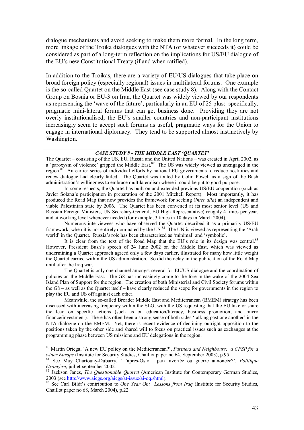dialogue mechanisms and avoid seeking to make them more formal. In the long term, more linkage of the Troika dialogues with the NTA (or whatever succeeds it) could be considered as part of a long-term reflection on the implications for US/EU dialogue of the EU's new Constitutional Treaty (if and when ratified).

In addition to the Troikas, there are a variety of EU/US dialogues that take place on broad foreign policy (especially regional) issues in multilateral forums. One example is the so-called Quartet on the Middle East (see case study 8). Along with the Contact Group on Bosnia or EU-3 on Iran, the Quartet was widely viewed by our respondents as representing the 'wave of the future', particularly in an EU of 25 plus: specifically, pragmatic mini-lateral forums that can get business done. Providing they are not overly institutionalised, the EU's smaller countries and non-participant institutions increasingly seem to accept such forums as useful, pragmatic ways for the Union to engage in international diplomacy. They tend to be supported almost instinctively by Washington.

#### *CASE STUDY 8 - THE MIDDLE EAST ëQUARTETí*

The Quartet – consisting of the US, EU, Russia and the United Nations – was created in April 2002, as a 'paroxysm of violence' gripped the Middle East.<sup>80</sup> The US was widely viewed as unengaged in the region.81 An earlier series of individual efforts by national EU governments to reduce hostilities and renew dialogue had clearly failed. The Quartet was touted by Colin Powell as a sign of the Bush administration's willingness to embrace multilateralism where it could be put to good purpose.

In some respects, the Quartet has built on and extended previous US/EU cooperation (such as Javier Solana's participation in preparation of the 2001 Mitchell Report). Most importantly, it has produced the Road Map that now provides the framework for seeking (*inter alia*) an independent and viable Palestinian state by 2006. The Quartet has been convened at its most senior level (US and Russian Foreign Ministers, UN Secretary-General, EU High Representative) roughly 4 times per year, and at working level whenever needed (for example, 3 times in 10 days in March 2004).

Numerous interviewees who have observed the Quartet described it as a primarily US/EU framework, when it is not entirely dominated by the US. $^{82}$  The UN is viewed as representing the 'Arab world' in the Quartet. Russia's role has been characterised as 'minimal' and 'symbolic'.

It is clear from the text of the Road Map that the EU's role in its design was central.<sup>83</sup> However, President Bush's speech of 24 June 2002 on the Middle East, which was viewed as undermining a Quartet approach agreed only a few days earlier, illustrated for many how little weight the Quartet carried within the US administration. So did the delay in the publication of the Road Map until after the Iraq war.

The Quartet is only one channel amongst several for EU/US dialogue and the coordination of policies on the Middle East. The G8 has increasingly come to the fore in the wake of the 2004 Sea Island Plan of Support for the region. The creation of both Ministerial and Civil Society forums within the  $G8 -$  as well as the Quartet itself – have clearly reduced the scope for governments in the region to play the EU and US off against each other.

Meanwhile, the so-called Broader Middle East and Mediterranean (BMEM) strategy has been discussed with increasing frequency within the SLG, with the US requesting that the EU take or share the lead on specific actions (such as on education/literacy, business promotion, and micro finance/investment). There has often been a strong sense of both sides 'talking past one another' in the NTA dialogue on the BMEM. Yet, there is recent evidence of declining outright opposition to the positions taken by the other side and shared will to focus on practical issues such as exchanges at the programming phase between US missions and EU delegations in the region.

 $80$  Martin Ortega, 'A new EU policy on the Mediterranean?', *Partners and Neighbours: a CFSP for a wider Europe* (Institute for Security Studies, Chaillot paper no 64, September 2003), p.95

<sup>&</sup>lt;sup>81</sup> See May Chartouny-Dubarry, 'L'après-Oslo: paix avortée ou guerre annoncée?', *Politique* étrangère juillet-september 2002.

<sup>&</sup>lt;sup>82</sup> Jackson Janes, *The Questionable Quartet* (American Institute for Contemporary German Studies, 2003 (see http://www.aicgs.org/aicgs/at-issue/ai-gq.shtml).

<sup>&</sup>lt;sup>83</sup> See Carl Bildt's contribution to *One Year On: Lessons from Iraq* (Institute for Security Studies, Chaillot paper no 68, March 2004), p.22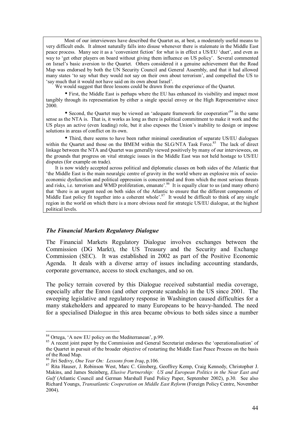Most of our interviewees have described the Quartet as, at best, a moderately useful means to very difficult ends. It almost naturally falls into disuse whenever there is stalemate in the Middle East peace process. Many see it as a 'convenient fiction' for what is in effect a US/EU 'duet', and even as way to 'get other players on board without giving them influence on US policy'. Several commented on Israel's basic aversion to the Quartet. Others considered it a genuine achievement that the Road Map was endorsed by both the UN Security Council and General Assembly, and that it had allowed many states 'to say what they would not say on their own about terrorism', and compelled the US to 'say much that it would not have said on its own about Israel'.

We would suggest that three lessons could be drawn from the experience of the Quartet.

• First, the Middle East is perhaps where the EU has enhanced its visibility and impact most tangibly through its representation by either a single special envoy or the High Representative since 2000.

• Second, the Quartet may be viewed an 'adequate framework for cooperation<sup>84</sup> in the same sense as the NTA is. That is, it works as long as there is political commitment to make it work and the US plays an active (even leading) role, but it also exposes the Union's inability to design or impose solutions in areas of conflict on its own.

• Third, there seems to have been rather minimal coordination of separate US/EU dialogues within the Quartet and those on the BMEM within the SLG/NTA Task Force.<sup>85</sup> The lack of direct linkage between the NTA and Quartet was generally viewed positively by many of our interviewees, on the grounds that progress on vital strategic issues in the Middle East was not held hostage to US/EU disputes (for example on trade).

It is now widely accepted across political and diplomatic classes on both sides of the Atlantic that the Middle East is the main neuralgic centre of gravity in the world where an explosive mix of socioeconomic dysfunction and political oppression is concentrated and from which the most serious threats and risks, i.e. terrorism and WMD proliferation, emanate<sup>3.86</sup> It is equally clear to us (and many others) that ëthere is an urgent need on both sides of the Atlantic to ensure that the different components of Middle East policy fit together into a coherent whole<sup>'.87</sup> It would be difficult to think of any single region in the world on which there is a more obvious need for strategic US/EU dialogue, at the highest political levels.

#### *The Financial Markets Regulatory Dialogue*

The Financial Markets Regulatory Dialogue involves exchanges between the Commission (DG Markt), the US Treasury and the Security and Exchange Commission (SEC). It was established in 2002 as part of the Positive Economic Agenda. It deals with a diverse array of issues including accounting standards, corporate governance, access to stock exchanges, and so on.

The policy terrain covered by this Dialogue received substantial media coverage, especially after the Enron (and other corporate scandals) in the US since 2001. The sweeping legislative and regulatory response in Washington caused difficulties for a many stakeholders and appeared to many Europeans to be heavy-handed. The need for a specialised Dialogue in this area became obvious to both sides since a number

 $84$  Ortega, 'A new EU policy on the Mediterranean', p.99.

<sup>&</sup>lt;sup>85</sup> A recent joint paper by the Commission and General Secretariat endorses the 'operationalisation' of the Quartet in pursuit of the broader objective of restarting the Middle East Peace Process on the basis of the Road Map.<br><sup>86</sup> Jiri Sedivy, *One Year On: Lessons from Iraq*, p.106.

<sup>87</sup> Rita Hauser, J. Robinson West, Marc C. Ginsberg, Geoffrey Kemp, Craig Kennedy, Christopher J. Makins, and James Steinberg, *Elusive Partnership: US and European Politics in the Near East and Gulf* (Atlantic Council and German Marshall Fund Policy Paper, September 2002), p.30. See also Richard Youngs, *Transatlantic Cooperation on Middle East Reform* (Foreign Policy Centre, November 2004).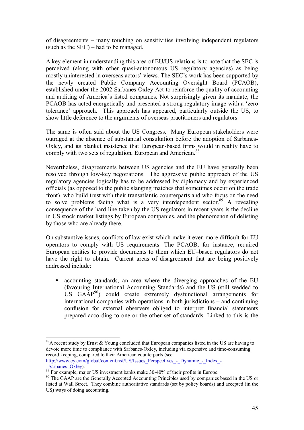of disagreements – many touching on sensitivities involving independent regulators (such as the  $SEC$ ) – had to be managed.

A key element in understanding this area of EU/US relations is to note that the SEC is perceived (along with other quasi-autonomous US regulatory agencies) as being mostly uninterested in overseas actors' views. The SEC's work has been supported by the newly created Public Company Accounting Oversight Board (PCAOB), established under the 2002 Sarbanes-Oxley Act to reinforce the quality of accounting and auditing of America's listed companies. Not surprisingly given its mandate, the PCAOB has acted energetically and presented a strong regulatory image with a 'zero toleranceí approach. This approach has appeared, particularly outside the US, to show little deference to the arguments of overseas practitioners and regulators.

The same is often said about the US Congress. Many European stakeholders were outraged at the absence of substantial consultation before the adoption of Sarbanes-Oxley, and its blanket insistence that European-based firms would in reality have to comply with two sets of regulation, European and American.<sup>88</sup>

Nevertheless, disagreements between US agencies and the EU have generally been resolved through low-key negotiations. The aggressive public approach of the US regulatory agencies logically has to be addressed by diplomacy and by experienced officials (as opposed to the public slanging matches that sometimes occur on the trade front), who build trust with their transatlantic counterparts and who focus on the need to solve problems facing what is a very interdependent sector.<sup>89</sup> A revealing consequence of the hard line taken by the US regulators in recent years is the decline in US stock market listings by European companies, and the phenomenon of delisting by those who are already there.

On substantive issues, conflicts of law exist which make it even more difficult for EU operators to comply with US requirements. The PCAOB, for instance, required European entities to provide documents to them which EU-based regulators do not have the right to obtain. Current areas of disagreement that are being positively addressed include:

• accounting standards, an area where the diverging approaches of the EU (favouring International Accounting Standards) and the US (still wedded to US  $GAAP^{90}$  could create extremely dysfunctional arrangements for international companies with operations in both jurisdictions  $-$  and continuing confusion for external observers obliged to interpret financial statements prepared according to one or the other set of standards. Linked to this is the

```
http://www.ey.com/global/content.nsf/US/Issues_Perspectives_-_Dynamic_-_Index_-<br>Sarbanes_Oxlev)
```
<sup>&</sup>lt;sup>88</sup>A recent study by Ernst & Young concluded that European companies listed in the US are having to devote more time to compliance with Sarbanes-Oxley, including via expensive and time-consuming record keeping, compared to their American counterparts (see

 $\frac{\text{Satuaries, OXley}}{\text{89}}$ . For example, major US investment banks make 30-40% of their profits in Europe.

<sup>&</sup>lt;sup>90</sup> The GAAP are the Generally Accepted Accounting Principles used by companies based in the US or listed at Wall Street. They combine authoritative standards (set by policy boards) and accepted (in the US) ways of doing accounting.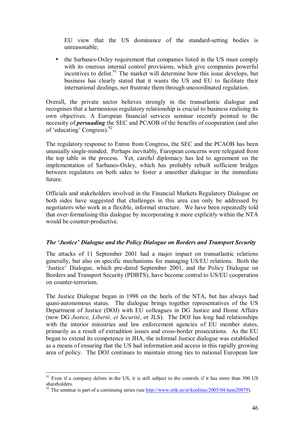EU view that the US dominance of the standard-setting bodies is unreasonable;

• the Sarbanes-Oxley requirement that companies listed in the US must comply with its onerous internal control provisions, which give companies powerful incentives to delist.<sup>91</sup> The market will determine how this issue develops, but business has clearly stated that it wants the US and EU to facilitate their international dealings, not frustrate them through uncoordinated regulation.

Overall, the private sector believes strongly in the transatlantic dialogue and recognises that a harmonious regulatory relationship is crucial to business realising its own objectives. A European financial services seminar recently pointed to the necessity of *persuading* the SEC and PCAOB of the benefits of cooperation (and also of 'educating' Congress).  $92$ 

The regulatory response to Enron from Congress, the SEC and the PCAOB has been unusually single-minded. Perhaps inevitably, European concerns were relegated from the top table in the process. Yet, careful diplomacy has led to agreement on the implementation of Sarbanes-Oxley, which has probably rebuilt sufficient bridges between regulators on both sides to foster a smoother dialogue in the immediate future.

Officials and stakeholders involved in the Financial Markets Regulatory Dialogue on both sides have suggested that challenges in this area can only be addressed by negotiators who work in a flexible, informal structure. We have been repeatedly told that over-formalising this dialogue by incorporating it more explicitly within the NTA would be counter-productive.

### *The 'Justice' Dialogue and the Policy Dialogue on Borders and Transport Security*

The attacks of 11 September 2001 had a major impact on transatlantic relations generally, but also on specific mechanisms for managing US/EU relations. Both the ëJusticeí Dialogue, which pre-dated September 2001, and the Policy Dialogue on Borders and Transport Security (PDBTS), have become central to US/EU cooperation on counter-terrorism.

The Justice Dialogue began in 1998 on the heels of the NTA, but has always had quasi-autonomous status. The dialogue brings together representatives of the US Department of Justice (DOJ) with EU colleagues in DG Justice and Home Affairs (now DG *Justice, Liberté, et Securité*, or JLS). The DOJ has long had relationships with the interior ministries and law enforcement agencies of EU member states, primarily as a result of extradition issues and cross-border prosecutions. As the EU began to extend its competence in JHA, the informal Justice dialogue was established as a means of ensuring that the US had information and access in this rapidly growing area of policy. The DOJ continues to maintain strong ties to national European law

 $91$  Even if a company delists in the US, it is still subject to the controls if it has more than 300 US shareholders.

<sup>&</sup>lt;sup>92</sup> The seminar is part of a continuing series (see http://www.ettk.ee/et/koolitus/2005/04/item20879).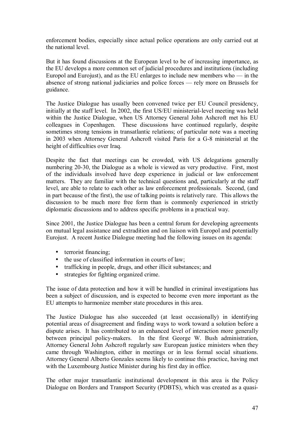enforcement bodies, especially since actual police operations are only carried out at the national level.

But it has found discussions at the European level to be of increasing importance, as the EU develops a more common set of judicial procedures and institutions (including Europol and Eurojust), and as the EU enlarges to include new members who  $-$  in the absence of strong national judiciaries and police forces — rely more on Brussels for guidance.

The Justice Dialogue has usually been convened twice per EU Council presidency, initially at the staff level. In 2002, the first US/EU ministerial-level meeting was held within the Justice Dialogue, when US Attorney General John Ashcroft met his EU colleagues in Copenhagen. These discussions have continued regularly, despite sometimes strong tensions in transatlantic relations; of particular note was a meeting in 2003 when Attorney General Ashcroft visited Paris for a G-8 ministerial at the height of difficulties over Iraq.

Despite the fact that meetings can be crowded, with US delegations generally numbering 20-30, the Dialogue as a whole is viewed as very productive. First, most of the individuals involved have deep experience in judicial or law enforcement matters. They are familiar with the technical questions and, particularly at the staff level, are able to relate to each other as law enforcement professionals. Second, (and in part because of the first), the use of talking points is relatively rare. This allows the discussion to be much more free form than is commonly experienced in strictly diplomatic discussions and to address specific problems in a practical way.

Since 2001, the Justice Dialogue has been a central forum for developing agreements on mutual legal assistance and extradition and on liaison with Europol and potentially Eurojust. A recent Justice Dialogue meeting had the following issues on its agenda:

- terrorist financing;
- the use of classified information in courts of law;
- trafficking in people, drugs, and other illicit substances; and
- strategies for fighting organized crime.

The issue of data protection and how it will be handled in criminal investigations has been a subject of discussion, and is expected to become even more important as the EU attempts to harmonize member state procedures in this area.

The Justice Dialogue has also succeeded (at least occasionally) in identifying potential areas of disagreement and finding ways to work toward a solution before a dispute arises. It has contributed to an enhanced level of interaction more generally between principal policy-makers. In the first George W. Bush administration, Attorney General John Ashcroft regularly saw European justice ministers when they came through Washington, either in meetings or in less formal social situations. Attorney General Alberto Gonzales seems likely to continue this practice, having met with the Luxembourg Justice Minister during his first day in office.

The other major transatlantic institutional development in this area is the Policy Dialogue on Borders and Transport Security (PDBTS), which was created as a quasi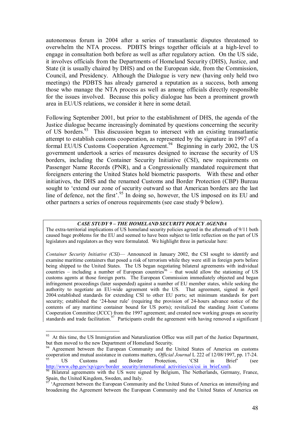autonomous forum in 2004 after a series of transatlantic disputes threatened to overwhelm the NTA process. PDBTS brings together officials at a high-level to engage in consultation both before as well as after regulatory action. On the US side, it involves officials from the Departments of Homeland Security (DHS), Justice, and State (it is usually chaired by DHS) and on the European side, from the Commission, Council, and Presidency. Although the Dialogue is very new (having only held two meetings) the PDBTS has already garnered a reputation as a success, both among those who manage the NTA process as well as among officials directly responsible for the issues involved. Because this policy dialogue has been a prominent growth area in EU/US relations, we consider it here in some detail.

Following September 2001, but prior to the establishment of DHS, the agenda of the Justice dialogue became increasingly dominated by questions concerning the security of US borders.<sup>93</sup> This discussion began to intersect with an existing transatlantic attempt to establish customs cooperation, as represented by the signature in 1997 of a formal EU/US Customs Cooperation Agreement.<sup>94</sup> Beginning in early 2002, the US government undertook a series of measures designed to increase the security of US borders, including the Container Security Initiative (CSI), new requirements on Passenger Name Records (PNR), and a Congressionally mandated requirement that foreigners entering the United States hold biometric passports. With these and other initiatives, the DHS and the renamed Customs and Border Protection (CBP) Bureau sought to ëextend our zone of security outward so that American borders are the last line of defence, not the first<sup>'</sup>.<sup>95</sup> In doing so, however, the US imposed on its EU and other partners a series of onerous requirements (see case study 9 below).

#### **CASE STUDY 9 - THE HOMELAND SECURITY POLICY AGENDA**

The extra-territorial implications of US homeland security policies agreed in the aftermath of 9/11 both caused huge problems for the EU and seemed to have been subject to little reflection on the part of US legislators and regulators as they were formulated. We highlight three in particular here:

*Container Security Initiative (CSI)*— Announced in January 2002, the CSI sought to identify and examine maritime containers that posed a risk of terrorism while they were still in foreign ports before being shipped to the United States. The US began negotiating bilateral agreements with individual countries – including a number of European countries<sup>96</sup> – that would allow the stationing of US customs agents at those foreign ports. The European Commission immediately objected and began infringement proceedings (later suspended) against a number of EU member states, while seeking the authority to negotiate an EU-wide agreement with the US. That agreement, signed in April 2004*:*established standards for extending CSI to other EU ports; set minimum standards for port security; established the '24-hour rule' (requiring the provision of 24-hours advance notice of the contents of any maritime container bound for US ports); revitalized the standing Joint Customs Cooperation Committee (JCCC) from the 1997 agreement; and created new working groups on security standards and trade facilitation.<sup>97</sup> Participants credit the agreement with having removed a significant

<sup>&</sup>lt;sup>93</sup> At this time, the US Immigration and Naturalization Office was still part of the Justice Department, but then moved to the new Department of Homeland Security.

<sup>&</sup>lt;sup>94</sup> Agreement between the European Community and the United States of America on customs cooperation and mutual assistance in customs matters, *Official Journal* L 222 of 12/08/1997, pp. 17-24.<br><sup>95</sup> US Customs and Border Protection, <sup>e</sup>CSI in Brief<sup>\*</sup> (see

http://www.cbp.gov/xp/cgov/border\_security/international\_activities/csi/csi\_in\_brief.xml). 96 Bilateral agreements with the US were signed by Belgium, The Netherlands, Germany, France, Spain, the United Kingdom, Sweden, and Italy.

Agreement between the European Community and the United States of America on intensifying and broadening the Agreement between the European Community and the United States of America on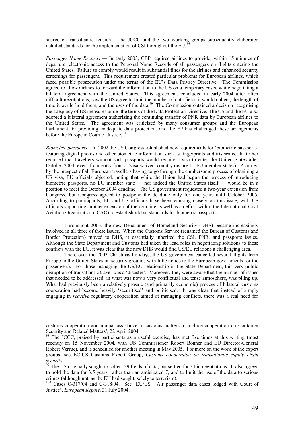source of transatlantic tension. The JCCC and the two working groups subsequently elaborated detailed standards for the implementation of CSI throughout the EU.

*Passenger Name Records* — In early 2003, CBP required airlines to provide, within 15 minutes of departure, electronic access to the Personal Name Records of all passengers on flights entering the United States. Failure to comply would result in substantial fines for the airlines and enhanced security screenings for passengers. This requirement created particular problems for European airlines, which faced possible prosecution under the terms of the EU's Data Privacy Directive. The Commission agreed to allow airlines to forward the information to the US on a temporary basis, while negotiating a bilateral agreement with the United States. This agreement, concluded in early 2004 after often difficult negotiations, saw the US agree to limit the number of data fields it would collect, the length of time it would hold them, and the uses of the data.<sup>99</sup> The Commission obtained a decision recognising the adequacy of US measures under the terms of the Data Protection Directive. The US and the EU also adopted a bilateral agreement authorizing the continuing transfer of PNR data by European airlines to the United States. The agreement was criticized by many consumer groups and the European Parliament for providing inadequate data protection, and the EP has challenged these arrangements before the European Court of Justice.<sup>100</sup>

*Biometric passports – In 2002 the US Congress established new requirements for 'biometric passports'* featuring digital photos and other biometric information such as fingerprints and iris scans. It further required that travellers without such passports would require a visa to enter the United States after October 2004, even if currently from a 'visa waiver' country (as are 15 EU member states). Alarmed by the prospect of all European travellers having to go through the cumbersome process of obtaining a US visa, EU officials objected, noting that while the Union had begun the process of introducing biometric passports, no  $EU$  member state  $-$  nor indeed the United States itself  $-$  would be in a position to meet the October 2004 deadline. The US government requested a two-year extension from Congress, but Congress agreed to postpone the deadline only for one year, until October 2005. According to participants, EU and US officials have been working closely on this issue, with US officials supporting another extension of the deadline as well as an effort within the International Civil Aviation Organization (ICAO) to establish global standards for biometric passports.

Throughout 2003, the new Department of Homeland Security (DHS) became increasingly involved in all three of these issues. When the Customs Service (renamed the Bureau of Customs and Border Protection) moved to DHS, it essentially inherited the CSI, PNR, and passports issues. Although the State Department and Customs had taken the lead roles in negotiating solutions to these conflicts with the EU, it was clear that the new DHS would find US/EU relations a challenging area.

Then, over the 2003 Christmas holidays, the US government cancelled several flights from Europe to the United States on security grounds with little notice to the European governments (or the passengers). For those managing the US/EU relationship in the State Department, this very public disruption of transatlantic travel was a 'disaster'. Moreover, they were aware that the number of issues that needed to be addressed, in what was now a very conflictual and tense atmosphere, was piling up. What had previously been a relatively prosaic (and primarily economic) process of bilateral customs cooperation had become heavily 'securitised' and politicised. It was clear that instead of simply engaging in *reactive* regulatory cooperation aimed at managing conflicts, there was a real need for

customs cooperation and mutual assistance in customs matters to include cooperation on Container Security and Related Matters', 22 April 2004.<br><sup>98</sup> The *ICCC* 

<sup>98</sup> The JCCC, praised by participants as a useful exercise, has met five times at this writing (most recently on 15 November 2004, with US Commissioner Robert Bonner and EU Director-General Robert Verrue), and is scheduled for another meeting in May 2005. For more on the work of the expert groups, see EC-US Customs Expert Group, *Customs cooperation on transatlantic supply chain security*. 99 The US originally sought to collect 39 fields of data, but settled for 34 in negotiations. It also agreed

to hold the data for 3.5 years, rather than an anticipated 7, and to limit the use of the data to serious crimes (although not, as the EU had sought, solely to terrorism).

<sup>&</sup>lt;sup>100</sup> Cases C-317/04 and C-318/04. See 'EU/US: Air passenger data cases lodged with Court of Justice', *European Report*, 31 July 2004.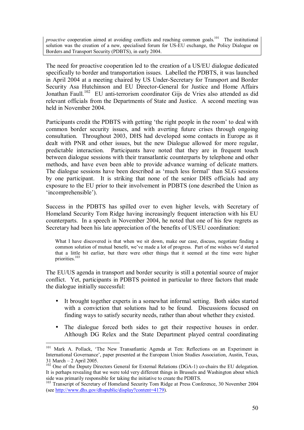*proactive* cooperation aimed at avoiding conflicts and reaching common goals.<sup>101</sup> The institutional solution was the creation of a new, specialised forum for US-EU exchange, the Policy Dialogue on Borders and Transport Security (PDBTS), in early 2004.

The need for proactive cooperation led to the creation of a US/EU dialogue dedicated specifically to border and transportation issues. Labelled the PDBTS, it was launched in April 2004 at a meeting chaired by US Under-Secretary for Transport and Border Security Asa Hutchinson and EU Director-General for Justice and Home Affairs Jonathan Faull.<sup>102</sup> EU anti-terrorism coordinator Gijs de Vries also attended as did relevant officials from the Departments of State and Justice. A second meeting was held in November 2004.

Participants credit the PDBTS with getting 'the right people in the room' to deal with common border security issues, and with averting future crises through ongoing consultation. Throughout 2003, DHS had developed some contacts in Europe as it dealt with PNR and other issues, but the new Dialogue allowed for more regular, predictable interaction. Participants have noted that they are in frequent touch between dialogue sessions with their transatlantic counterparts by telephone and other methods, and have even been able to provide advance warning of delicate matters. The dialogue sessions have been described as 'much less formal' than SLG sessions by one participant. It is striking that none of the senior DHS officials had any exposure to the EU prior to their involvement in PDBTS (one described the Union as 'incomprehensible').

Success in the PDBTS has spilled over to even higher levels, with Secretary of Homeland Security Tom Ridge having increasingly frequent interaction with his EU counterparts. In a speech in November 2004, he noted that one of his few regrets as Secretary had been his late appreciation of the benefits of US/EU coordination:

What I have discovered is that when we sit down, make our case, discuss, negotiate finding a common solution of mutual benefit, we've made a lot of progress. Part of me wishes we'd started that a little bit earlier, but there were other things that it seemed at the time were higher priorities.<sup>103</sup>

The EU/US agenda in transport and border security is still a potential source of major conflict. Yet, participants in PDBTS pointed in particular to three factors that made the dialogue initially successful:

- It brought together experts in a somewhat informal setting. Both sides started with a conviction that solutions had to be found. Discussions focused on finding ways to satisfy security needs, rather than about whether they existed.
- The dialogue forced both sides to get their respective houses in order. Although DG Relex and the State Department played central coordinating

<sup>&</sup>lt;sup>101</sup> Mark A. Pollack, 'The New Transatlantic Agenda at Ten: Reflections on an Experiment in International Governance', paper presented at the European Union Studies Association, Austin, Texas,  $31$  March  $-2$  April 2005.

<sup>&</sup>lt;sup>102</sup> One of the Deputy Directors General for External Relations (DGA-1) co-chairs the EU delegation. It is perhaps revealing that we were told very different things in Brussels and Washington about which side was primarily responsible for taking the initiative to create the PDBTS.

<sup>&</sup>lt;sup>103</sup> Transcript of Secretary of Homeland Security Tom Ridge at Press Conference, 30 November 2004 (see http://www.dhs.gov/dhspublic/display?content=4179).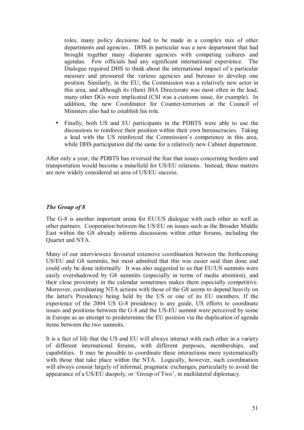roles, many policy decisions had to be made in a complex mix of other departments and agencies. DHS in particular was a new department that had brought together many disparate agencies with competing cultures and agendas. Few officials had any significant international experience. The Dialogue required DHS to think about the international impact of a particular measure and pressured the various agencies and bureaus to develop one position. Similarly, in the EU, the Commission was a relatively new actor in this area, and although its (then) JHA Directorate was most often in the lead, many other DGs were implicated (CSI was a customs issue, for example). In addition, the new Coordinator for Counter-terrorism at the Council of Ministers also had to establish his role.

• Finally, both US and EU participants in the PDBTS were able to use the discussions to reinforce their position within their own bureaucracies. Taking a lead with the US reinforced the Commission's competence in this area, while DHS participation did the same for a relatively new Cabinet department.

After only a year, the PDBTS has reversed the fear that issues concerning borders and transportation would become a minefield for US/EU relations. Instead, these matters are now widely considered an area of US/EU success.

### *The Group of 8*

The G-8 is another important arena for EU/US dialogue with each other as well as other partners. Cooperation between the US/EU on issues such as the Broader Middle East within the G8 already informs discussions within other forums, including the Quartet and NTA.

Many of our interviewees favoured extensive coordination between the forthcoming US/EU and G8 summits, but most admitted that this was easier said than done and could only be done informally. It was also suggested to us that EU/US summits were easily overshadowed by G8 summits (especially in terms of media attention), and their close proximity in the calendar sometimes makes them especially competitive. Moreover, coordinating NTA actions with those of the G8 seems to depend heavily on the latter's Presidency being held by the US or one of its EU members. If the experience of the 2004 US G-8 presidency is any guide, US efforts to coordinate issues and positions between the G-8 and the US-EU summit were perceived by some in Europe as an attempt to predetermine the EU position via the duplication of agenda items between the two summits.

It is a fact of life that the US and EU will always interact with each other in a variety of different international forums, with different purposes, memberships, and capabilities. It may be possible to coordinate these interactions more systematically with those that take place within the NTA. Logically, however, such coordination will always consist largely of informal, pragmatic exchanges, particularly to avoid the appearance of a US/EU duopoly, or 'Group of Two', in multilateral diplomacy.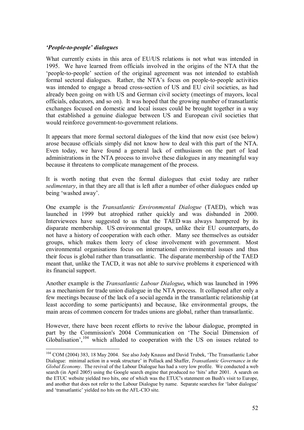#### *f*People-to-people' dialogues

 $\overline{a}$ 

What currently exists in this area of EU/US relations is not what was intended in 1995. We have learned from officials involved in the origins of the NTA that the 'people-to-people' section of the original agreement was not intended to establish formal sectoral dialogues. Rather, the NTA's focus on people-to-people activities was intended to engage a broad cross-section of US and EU civil societies, as had already been going on with US and German civil society (meetings of mayors, local officials, educators, and so on). It was hoped that the growing number of transatlantic exchanges focused on domestic and local issues could be brought together in a way that established a genuine dialogue between US and European civil societies that would reinforce government-to-government relations.

It appears that more formal sectoral dialogues of the kind that now exist (see below) arose because officials simply did not know how to deal with this part of the NTA. Even today, we have found a general lack of enthusiasm on the part of lead administrations in the NTA process to involve these dialogues in any meaningful way because it threatens to complicate management of the process.

It is worth noting that even the formal dialogues that exist today are rather *sedimentary*, in that they are all that is left after a number of other dialogues ended up being 'washed away'.

One example is the *Transatlantic Environmental Dialogue* (TAED), which was launched in 1999 but atrophied rather quickly and was disbanded in 2000. Interviewees have suggested to us that the TAED was always hampered by its disparate membership. US environmental groups, unlike their EU counterparts, do not have a history of cooperation with each other. Many see themselves as outsider groups, which makes them leery of close involvement with government. Most environmental organisations focus on international environmental issues and thus their focus is global rather than transatlantic. The disparate membership of the TAED meant that, unlike the TACD, it was not able to survive problems it experienced with its financial support.

Another example is the *Transatlantic Labour Dialogue,* which was launched in 1996 as a mechanism for trade union dialogue in the NTA process. It collapsed after only a few meetings because of the lack of a social agenda in the transatlantic relationship (at least according to some participants) and because, like environmental groups, the main areas of common concern for trades unions are global, rather than transatlantic.

However, there have been recent efforts to revive the labour dialogue, prompted in part by the Commission's 2004 Communication on 'The Social Dimension of Globalisation<sup>', 104</sup> which alluded to cooperation with the US on issues related to

<sup>&</sup>lt;sup>104</sup> COM (2004) 383, 18 May 2004. See also Jody Knauss and David Trubek, 'The Transatlantic Labor Dialogue: minimal action in a weak structure' in Pollack and Shaffer, *Transatlantic Governance in the Global Economy*. The revival of the Labour Dialogue has had a very low profile. We conducted a web search (in April 2005) using the Google search engine that produced no ëhitsí after 2001. A search on the ETUC website yielded two hits, one of which was the ETUC's statement on Bush's visit to Europe, and another that does not refer to the Labour Dialogue by name. Separate searches for 'labor dialogue' and 'transatlantic' yielded no hits on the AFL-CIO site.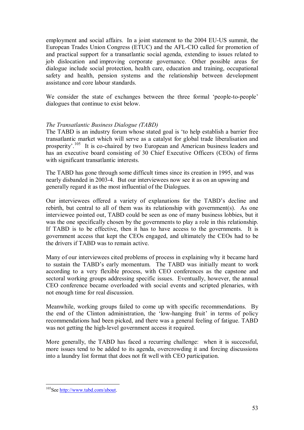employment and social affairs. In a joint statement to the 2004 EU-US summit, the European Trades Union Congress (ETUC) and the AFL-CIO called for promotion of and practical support for a transatlantic social agenda, extending to issues related to job dislocation and improving corporate governance. Other possible areas for dialogue include social protection, health care, education and training, occupational safety and health, pension systems and the relationship between development assistance and core labour standards.

We consider the state of exchanges between the three formal 'people-to-people' dialogues that continue to exist below.

### *The Transatlantic Business Dialogue (TABD)*

The TABD is an industry forum whose stated goal is ëto help establish a barrier free transatlantic market which will serve as a catalyst for global trade liberalisation and prosperity<sup>105</sup> It is co-chaired by two European and American business leaders and has an executive board consisting of 30 Chief Executive Officers (CEOs) of firms with significant transatlantic interests.

The TABD has gone through some difficult times since its creation in 1995, and was nearly disbanded in 2003-4. But our interviewees now see it as on an upswing and generally regard it as the most influential of the Dialogues.

Our interviewees offered a variety of explanations for the TABD's decline and rebirth, but central to all of them was its relationship with government(s). As one interviewee pointed out, TABD could be seen as one of many business lobbies, but it was the one specifically chosen by the governments to play a role in this relationship. If TABD is to be effective, then it has to have access to the governments. It is government access that kept the CEOs engaged, and ultimately the CEOs had to be the drivers if TABD was to remain active.

Many of our interviewees cited problems of process in explaining why it became hard to sustain the TABD's early momentum. The TABD was initially meant to work according to a very flexible process, with CEO conferences as the capstone and sectoral working groups addressing specific issues. Eventually, however, the annual CEO conference became overloaded with social events and scripted plenaries, with not enough time for real discussion.

Meanwhile, working groups failed to come up with specific recommendations. By the end of the Clinton administration, the 'low-hanging fruit' in terms of policy recommendations had been picked, and there was a general feeling of fatigue. TABD was not getting the high-level government access it required.

More generally, the TABD has faced a recurring challenge: when it is successful, more issues tend to be added to its agenda, overcrowding it and forcing discussions into a laundry list format that does not fit well with CEO participation.

<sup>&</sup>lt;sup>105</sup>See http://www.tabd.com/about.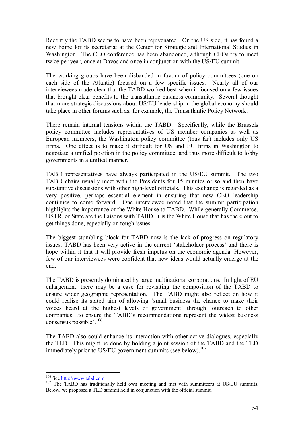Recently the TABD seems to have been rejuvenated. On the US side, it has found a new home for its secretariat at the Center for Strategic and International Studies in Washington. The CEO conference has been abandoned, although CEOs try to meet twice per year, once at Davos and once in conjunction with the US/EU summit.

The working groups have been disbanded in favour of policy committees (one on each side of the Atlantic) focused on a few specific issues. Nearly all of our interviewees made clear that the TABD worked best when it focused on a few issues that brought clear benefits to the transatlantic business community. Several thought that more strategic discussions about US/EU leadership in the global economy should take place in other forums such as, for example, the Transatlantic Policy Network.

There remain internal tensions within the TABD. Specifically, while the Brussels policy committee includes representatives of US member companies as well as European members, the Washington policy committee (thus far) includes only US firms. One effect is to make it difficult for US and EU firms in Washington to negotiate a unified position in the policy committee, and thus more difficult to lobby governments in a unified manner.

TABD representatives have always participated in the US/EU summit. The two TABD chairs usually meet with the Presidents for 15 minutes or so and then have substantive discussions with other high-level officials. This exchange is regarded as a very positive, perhaps essential element in ensuring that new CEO leadership continues to come forward. One interviewee noted that the summit participation highlights the importance of the White House to TABD. While generally Commerce, USTR, or State are the liaisons with TABD, it is the White House that has the clout to get things done, especially on tough issues.

The biggest stumbling block for TABD now is the lack of progress on regulatory issues. TABD has been very active in the current 'stakeholder process' and there is hope within it that it will provide fresh impetus on the economic agenda. However, few of our interviewees were confident that new ideas would actually emerge at the end.

The TABD is presently dominated by large multinational corporations. In light of EU enlargement, there may be a case for revisiting the composition of the TABD to ensure wider geographic representation. The TABD might also reflect on how it could realise its stated aim of allowing 'small business the chance to make their voices heard at the highest levels of government' through 'outreach to other companies...to ensure the TABD's recommendations represent the widest business consensus possible<sup>'</sup>.<sup>106</sup>

The TABD also could enhance its interaction with other active dialogues, especially the TLD. This might be done by holding a joint session of the TABD and the TLD immediately prior to US/EU government summits (see below).<sup>107</sup>

 $106$  See http://www.tabd.com

<sup>&</sup>lt;sup>107</sup> The TABD has traditionally held own meeting and met with summiteers at US/EU summits. Below, we proposed a TLD summit held in conjunction with the official summit.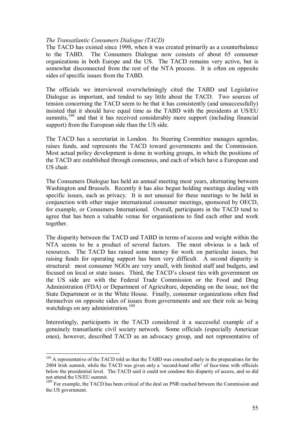#### *The Transatlantic Consumers Dialogue (TACD)*

The TACD has existed since 1998, when it was created primarily as a counterbalance to the TABD. The Consumers Dialogue now consists of about 65 consumer organizations in both Europe and the US. The TACD remains very active, but is somewhat disconnected from the rest of the NTA process. It is often on opposite sides of specific issues from the TABD.

The officials we interviewed overwhelmingly cited the TABD and Legislative Dialogue as important, and tended to say little about the TACD. Two sources of tension concerning the TACD seem to be that it has consistently (and unsuccessfully) insisted that it should have equal time as the TABD with the presidents at US/EU summits,<sup>108</sup> and that it has received considerably more support (including financial support) from the European side than the US side.

The TACD has a secretariat in London. Its Steering Committee manages agendas, raises funds, and represents the TACD toward governments and the Commission. Most actual policy development is done in working groups, in which the positions of the TACD are established through consensus, and each of which have a European and US chair.

The Consumers Dialogue has held an annual meeting most years, alternating between Washington and Brussels. Recently it has also begun holding meetings dealing with specific issues, such as privacy. It is not unusual for these meetings to be held in conjunction with other major international consumer meetings, sponsored by OECD, for example, or Consumers International. Overall, participants in the TACD tend to agree that has been a valuable venue for organisations to find each other and work together.

The disparity between the TACD and TABD in terms of access and weight within the NTA seems to be a product of several factors. The most obvious is a lack of resources. The TACD has raised some money for work on particular issues, but raising funds for operating support has been very difficult. A second disparity is structural: most consumer NGOs are very small, with limited staff and budgets, and focused on local or state issues. Third, the TACD's closest ties with government on the US side are with the Federal Trade Commission or the Food and Drug Administration (FDA) or Department of Agriculture, depending on the issue, not the State Department or in the White House. Finally, consumer organizations often find themselves on opposite sides of issues from governments and see their role as being watchdogs on any administration.<sup>109</sup>

Interestingly, participants in the TACD considered it a successful example of a genuinely transatlantic civil society network. Some officials (especially American ones), however, described TACD as an advocacy group, and not representative of

<sup>&</sup>lt;sup>108</sup> A representative of the TACD told us that the TABD was consulted early in the preparations for the 2004 Irish summit, while the TACD was given only a 'second-hand offer' of face-time with officials below the presidential level. The TACD said it could not condone this disparity of access, and so did not attend the US/EU summit.

<sup>&</sup>lt;sup>109</sup> For example, the TACD has been critical of the deal on PNR reached between the Commission and the US government.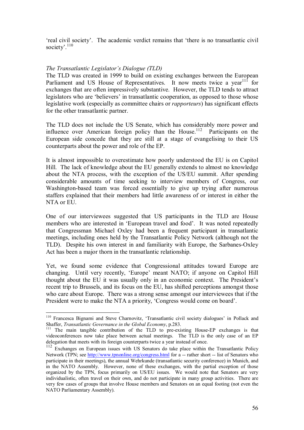freal civil society. The academic verdict remains that 'there is no transatlantic civil' society $^{110}$ 

#### *The Transatlantic Legislator's Dialogue (TLD)*

 $\overline{a}$ 

The TLD was created in 1999 to build on existing exchanges between the European Parliament and US House of Representatives. It now meets twice a vear<sup>111</sup> for exchanges that are often impressively substantive. However, the TLD tends to attract legislators who are 'believers' in transatlantic cooperation, as opposed to those whose legislative work (especially as committee chairs or *rapporteurs*) has significant effects for the other transatlantic partner.

The TLD does not include the US Senate, which has considerably more power and influence over American foreign policy than the House.<sup>112</sup> Participants on the European side concede that they are still at a stage of evangelising to their US counterparts about the power and role of the EP.

It is almost impossible to overestimate how poorly understood the EU is on Capitol Hill. The lack of knowledge about the EU generally extends to almost no knowledge about the NTA process, with the exception of the US/EU summit. After spending considerable amounts of time seeking to interview members of Congress, our Washington-based team was forced essentially to give up trying after numerous staffers explained that their members had little awareness of or interest in either the NTA or EU.

One of our interviewees suggested that US participants in the TLD are House members who are interested in 'European travel and food'. It was noted repeatedly that Congressman Michael Oxley had been a frequent participant in transatlantic meetings, including ones held by the Transatlantic Policy Network (although not the TLD). Despite his own interest in and familiarity with Europe, the Sarbanes-Oxley Act has been a major thorn in the transatlantic relationship.

Yet, we found some evidence that Congressional attitudes toward Europe are changing. Until very recently, 'Europe' meant NATO; if anyone on Capitol Hill thought about the EU it was usually only in an economic context. The Presidentís recent trip to Brussels, and its focus on the EU, has shifted perceptions amongst those who care about Europe. There was a strong sense amongst our interviewees that if the President were to make the NTA a priority, 'Congress would come on board'.

<sup>&</sup>lt;sup>110</sup> Francesca Bignami and Steve Charnovitz, 'Transatlantic civil society dialogues' in Pollack and Shaffer, *Transatlantic Governance in the Global Economy*, p.283.<br><sup>111</sup> The main tangible contribution of the TLD to pre-existing House-EP exchanges is that

videoconferences now take place between actual meetings. The TLD is the only case of an EP delegation that meets with its foreign counterparts twice a year instead of once.

<sup>&</sup>lt;sup>112</sup> Exchanges on European issues with US Senators do take place within the Transatlantic Policy Network (TPN; see http://www.tpnonline.org/congress.html for a -- rather short -- list of Senators who participate in their meetings), the annual Wehrkunde (transatlantic security conference) in Munich, and in the NATO Assembly. However, none of these exchanges, with the partial exception of those organized by the TPN, focus primarily on US/EU issues. We would note that Senators are very individualistic, often travel on their own, and do not participate in many group activities. There are very few cases of groups that involve House members and Senators on an equal footing (not even the NATO Parliamentary Assembly).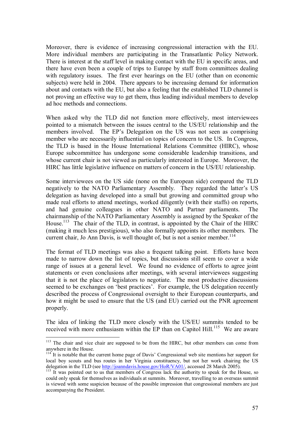Moreover, there is evidence of increasing congressional interaction with the EU. More individual members are participating in the Transatlantic Policy Network. There is interest at the staff level in making contact with the EU in specific areas, and there have even been a couple of trips to Europe by staff from committees dealing with regulatory issues. The first ever hearings on the EU (other than on economic subjects) were held in 2004. There appears to be increasing demand for information about and contacts with the EU, but also a feeling that the established TLD channel is not proving an effective way to get them, thus leading individual members to develop ad hoc methods and connections.

When asked why the TLD did not function more effectively, most interviewees pointed to a mismatch between the issues central to the US/EU relationship and the members involved. The EP's Delegation on the US was not seen as comprising member who are necessarily influential on topics of concern to the US. In Congress, the TLD is based in the House International Relations Committee (HIRC), whose Europe subcommittee has undergone some considerable leadership transitions, and whose current chair is not viewed as particularly interested in Europe. Moreover, the HIRC has little legislative influence on matters of concern in the US/EU relationship.

Some interviewees on the US side (none on the European side) compared the TLD negatively to the NATO Parliamentary Assembly. They regarded the latter's US delegation as having developed into a small but growing and committed group who made real efforts to attend meetings, worked diligently (with their staffs) on reports, and had genuine colleagues in other NATO and Partner parliaments. The chairmanship of the NATO Parliamentary Assembly is assigned by the Speaker of the House.<sup>113</sup> The chair of the TLD, in contrast, is appointed by the Chair of the HIRC (making it much less prestigious), who also formally appoints its other members. The current chair, Jo Ann Davis, is well thought of, but is not a senior member.<sup>114</sup>

The format of TLD meetings was also a frequent talking point. Efforts have been made to narrow down the list of topics, but discussions still seem to cover a wide range of issues at a general level. We found no evidence of efforts to agree joint statements or even conclusions after meetings, with several interviewees suggesting that it is not the place of legislators to negotiate. The most productive discussions seemed to be exchanges on 'best practices'. For example, the US delegation recently described the process of Congressional oversight to their European counterparts, and how it might be used to ensure that the US (and EU) carried out the PNR agreement properly.

The idea of linking the TLD more closely with the US/EU summits tended to be received with more enthusiasm within the EP than on Capitol Hill.<sup>115</sup> We are aware

<sup>&</sup>lt;sup>113</sup> The chair and vice chair are supposed to be from the HIRC, but other members can come from anywhere in the House.

 $114$ <sup> $\degree$ </sup>It is notable that the current home page of Davis' Congressional web site mentions her support for local boy scouts and bus routes in her Virginia constituency, but not her work chairing the US delegation in the TLD (see http://joanndavis.house.gov/HoR/VA01/, accessed 28 March 2005).

<sup>&</sup>lt;sup>115</sup> It was pointed out to us that members of Congress lack the authority to speak for the House, so could only speak for themselves as individuals at summits. Moreover, travelling to an overseas summit is viewed with some suspicion because of the possible impression that congressional members are just accompanying the President.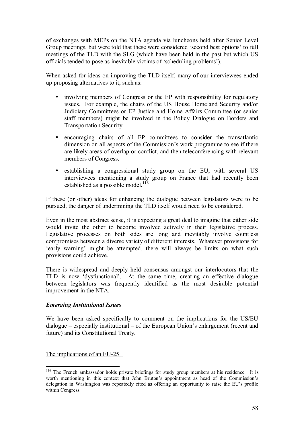of exchanges with MEPs on the NTA agenda via luncheons held after Senior Level Group meetings, but were told that these were considered 'second best options' to full meetings of the TLD with the SLG (which have been held in the past but which US officials tended to pose as inevitable victims of 'scheduling problems').

When asked for ideas on improving the TLD itself, many of our interviewees ended up proposing alternatives to it, such as:

- involving members of Congress or the EP with responsibility for regulatory issues. For example, the chairs of the US House Homeland Security and/or Judiciary Committees or EP Justice and Home Affairs Committee (or senior staff members) might be involved in the Policy Dialogue on Borders and Transportation Security.
- encouraging chairs of all EP committees to consider the transatlantic dimension on all aspects of the Commission's work programme to see if there are likely areas of overlap or conflict, and then teleconferencing with relevant members of Congress.
- establishing a congressional study group on the EU, with several US interviewees mentioning a study group on France that had recently been established as a possible model.<sup>116</sup>

If these (or other) ideas for enhancing the dialogue between legislators were to be pursued, the danger of undermining the TLD itself would need to be considered.

Even in the most abstract sense, it is expecting a great deal to imagine that either side would invite the other to become involved actively in their legislative process. Legislative processes on both sides are long and inevitably involve countless compromises between a diverse variety of different interests. Whatever provisions for 'early warning' might be attempted, there will always be limits on what such provisions could achieve.

There is widespread and deeply held consensus amongst our interlocutors that the TLD is now 'dysfunctional'. At the same time, creating an effective dialogue between legislators was frequently identified as the most desirable potential improvement in the NTA.

### *Emerging Institutional Issues*

We have been asked specifically to comment on the implications for the US/EU  $dialogue - especially institutional - of the European Union's enlargement (recent and)$ future) and its Constitutional Treaty.

The implications of an EU-25+

<sup>&</sup>lt;sup>116</sup> The French ambassador holds private briefings for study group members at his residence. It is worth mentioning in this context that John Bruton's appointment as head of the Commission's delegation in Washington was repeatedly cited as offering an opportunity to raise the EU's profile within Congress.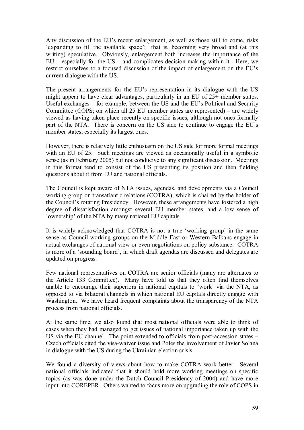Any discussion of the EU's recent enlargement, as well as those still to come, risks 'expanding to fill the available space': that is, becoming very broad and (at this writing) speculative. Obviously, enlargement both increases the importance of the  $EU - especially for the US - and complicates decision-making within it. Here, we$ restrict ourselves to a focused discussion of the impact of enlargement on the EU's current dialogue with the US.

The present arrangements for the EU's representation in its dialogue with the US might appear to have clear advantages, particularly in an EU of 25+ member states. Useful exchanges  $-$  for example, between the US and the EU's Political and Security Committee (COPS; on which all 25 EU member states are represented) – are widely viewed as having taken place recently on specific issues, although not ones formally part of the NTA. There is concern on the US side to continue to engage the EU's member states, especially its largest ones.

However, there is relatively little enthusiasm on the US side for more formal meetings with an EU of 25. Such meetings are viewed as occasionally useful in a symbolic sense (as in February 2005) but not conducive to any significant discussion. Meetings in this format tend to consist of the US presenting its position and then fielding questions about it from EU and national officials.

The Council is kept aware of NTA issues, agendas, and developments via a Council working group on transatlantic relations (COTRA), which is chaired by the holder of the Council's rotating Presidency. However, these arrangements have fostered a high degree of dissatisfaction amongst several EU member states, and a low sense of 'ownership' of the NTA by many national EU capitals.

It is widely acknowledged that COTRA is not a true 'working group' in the same sense as Council working groups on the Middle East or Western Balkans engage in actual exchanges of national view or even negotiations on policy substance. COTRA is more of a 'sounding board', in which draft agendas are discussed and delegates are updated on progress.

Few national representatives on COTRA are senior officials (many are alternates to the Article 133 Committee). Many have told us that they often find themselves unable to encourage their superiors in national capitals to 'work' via the NTA, as opposed to via bilateral channels in which national EU capitals directly engage with Washington. We have heard frequent complaints about the transparency of the NTA process from national officials.

At the same time, we also found that most national officials were able to think of cases when they had managed to get issues of national importance taken up with the US via the EU channel. The point extended to officials from post-accession states  $-$ Czech officials cited the visa-waiver issue and Poles the involvement of Javier Solana in dialogue with the US during the Ukrainian election crisis.

We found a diversity of views about how to make COTRA work better. Several national officials indicated that it should hold more working meetings on specific topics (as was done under the Dutch Council Presidency of 2004) and have more input into COREPER. Others wanted to focus more on upgrading the role of COPS in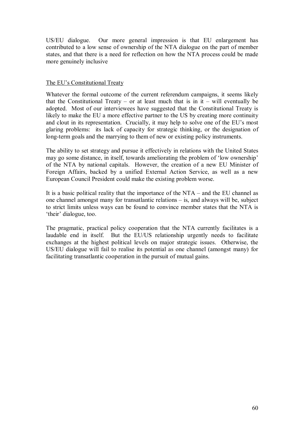US/EU dialogue. Our more general impression is that EU enlargement has contributed to a low sense of ownership of the NTA dialogue on the part of member states, and that there is a need for reflection on how the NTA process could be made more genuinely inclusive

#### The EU's Constitutional Treaty

Whatever the formal outcome of the current referendum campaigns, it seems likely that the Constitutional Treaty – or at least much that is in it – will eventually be adopted. Most of our interviewees have suggested that the Constitutional Treaty is likely to make the EU a more effective partner to the US by creating more continuity and clout in its representation. Crucially, it may help to solve one of the EU's most glaring problems: its lack of capacity for strategic thinking, or the designation of long-term goals and the marrying to them of new or existing policy instruments.

The ability to set strategy and pursue it effectively in relations with the United States may go some distance, in itself, towards ameliorating the problem of 'low ownership' of the NTA by national capitals. However, the creation of a new EU Minister of Foreign Affairs, backed by a unified External Action Service, as well as a new European Council President could make the existing problem worse.

It is a basic political reality that the importance of the  $NTA$  – and the EU channel as one channel amongst many for transatlantic relations  $-$  is, and always will be, subject to strict limits unless ways can be found to convince member states that the NTA is 'their' dialogue, too.

The pragmatic, practical policy cooperation that the NTA currently facilitates is a laudable end in itself. But the EU/US relationship urgently needs to facilitate exchanges at the highest political levels on major strategic issues. Otherwise, the US/EU dialogue will fail to realise its potential as one channel (amongst many) for facilitating transatlantic cooperation in the pursuit of mutual gains.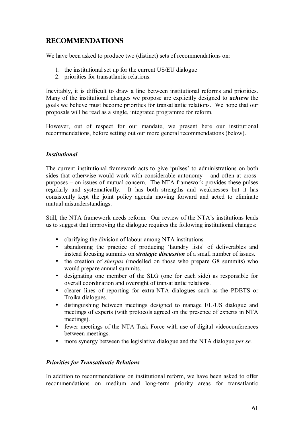# **RECOMMENDATIONS**

We have been asked to produce two (distinct) sets of recommendations on:

- 1. the institutional set up for the current US/EU dialogue
- 2. priorities for transatlantic relations.

Inevitably, it is difficult to draw a line between institutional reforms and priorities. Many of the institutional changes we propose are explicitly designed to *achieve* the goals we believe must become priorities for transatlantic relations. We hope that our proposals will be read as a single, integrated programme for reform.

However, out of respect for our mandate, we present here our institutional recommendations, before setting out our more general recommendations (below).

# *Institutional*

The current institutional framework acts to give 'pulses' to administrations on both sides that otherwise would work with considerable autonomy  $-$  and often at crosspurposes  $-$  on issues of mutual concern. The NTA framework provides these pulses regularly and systematically. It has both strengths and weaknesses but it has consistently kept the joint policy agenda moving forward and acted to eliminate mutual misunderstandings.

Still, the NTA framework needs reform. Our review of the NTA's institutions leads us to suggest that improving the dialogue requires the following institutional changes:

- clarifying the division of labour among NTA institutions.
- abandoning the practice of producing 'laundry lists' of deliverables and instead focusing summits on *strategic discussion* of a small number of issues.
- the creation of *sherpas* (modelled on those who prepare G8 summits) who would prepare annual summits.
- designating one member of the SLG (one for each side) as responsible for overall coordination and oversight of transatlantic relations.
- clearer lines of reporting for extra-NTA dialogues such as the PDBTS or Troika dialogues.
- distinguishing between meetings designed to manage EU/US dialogue and meetings of experts (with protocols agreed on the presence of experts in NTA meetings).
- fewer meetings of the NTA Task Force with use of digital videoconferences between meetings.
- more synergy between the legislative dialogue and the NTA dialogue *per se.*

### *Priorities for Transatlantic Relations*

In addition to recommendations on institutional reform, we have been asked to offer recommendations on medium and long-term priority areas for transatlantic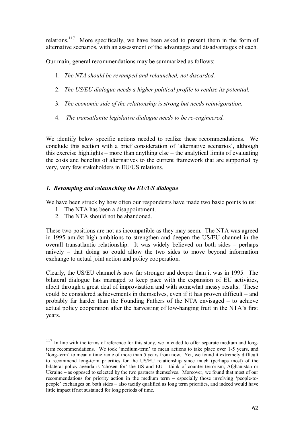relations.117 More specifically, we have been asked to present them in the form of alternative scenarios, with an assessment of the advantages and disadvantages of each.

Our main, general recommendations may be summarized as follows:

- 1. *The NTA should be revamped and relaunched, not discarded.*
- 2. *The US/EU dialogue needs a higher political profile to realise its potential.*
- 3. *The economic side of the relationship is strong but needs reinvigoration.*
- 4. *The transatlantic legislative dialogue needs to be re-engineered.*

We identify below specific actions needed to realize these recommendations. We conclude this section with a brief consideration of 'alternative scenarios', although this exercise highlights  $-$  more than anything else  $-$  the analytical limits of evaluating the costs and benefits of alternatives to the current framework that are supported by very, very few stakeholders in EU/US relations.

#### *1. Revamping and relaunching the EU/US dialogue*

We have been struck by how often our respondents have made two basic points to us:

- 1. The NTA has been a disappointment.
- 2. The NTA should not be abandoned.

 $\overline{a}$ 

These two positions are not as incompatible as they may seem. The NTA was agreed in 1995 amidst high ambitions to strengthen and deepen the US/EU channel in the overall transatlantic relationship. It was widely believed on both sides  $-$  perhaps naively  $-$  that doing so could allow the two sides to move beyond information exchange to actual joint action and policy cooperation.

Clearly, the US/EU channel *is* now far stronger and deeper than it was in 1995. The bilateral dialogue has managed to keep pace with the expansion of EU activities, albeit through a great deal of improvisation and with somewhat messy results. These could be considered achievements in themselves, even if it has proven difficult  $-$  and probably far harder than the Founding Fathers of the NTA envisaged  $-$  to achieve actual policy cooperation after the harvesting of low-hanging fruit in the NTA's first years.

In line with the terms of reference for this study, we intended to offer separate medium and longterm recommendations. We took 'medium-term' to mean actions to take place over 1-5 years, and 'long-term' to mean a timeframe of more than 5 years from now. Yet, we found it extremely difficult to recommend long-term priorities for the US/EU relationship since much (perhaps most) of the bilateral policy agenda is 'chosen for' the US and  $EU -$  think of counter-terrorism, Afghanistan or Ukraine – as opposed to selected by the two partners themselves. Moreover, we found that most of our recommendations for priority action in the medium term – especially those involving 'people-topeople' exchanges on both sides – also tacitly qualified as long term priorities, and indeed would have little impact if not sustained for long periods of time.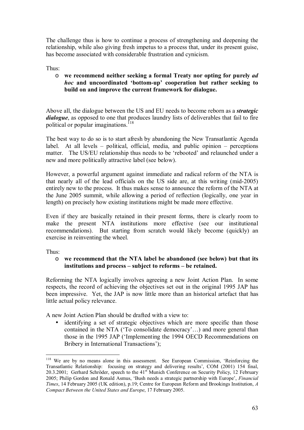The challenge thus is how to continue a process of strengthening and deepening the relationship, while also giving fresh impetus to a process that, under its present guise, has become associated with considerable frustration and cynicism.

#### Thus:

#### o **we recommend neither seeking a formal Treaty nor opting for purely** *ad hoc* and uncoordinated 'bottom-up' cooperation but rather seeking to **build on and improve the current framework for dialogue.**

Above all, the dialogue between the US and EU needs to become reborn as a *strategic dialogue*, as opposed to one that produces laundry lists of deliverables that fail to fire political or popular imaginations.<sup>118</sup>

The best way to do so is to start afresh by abandoning the New Transatlantic Agenda label. At all levels  $-$  political, official, media, and public opinion  $-$  perceptions matter. The US/EU relationship thus needs to be 'rebooted' and relaunched under a new and more politically attractive label (see below).

However, a powerful argument against immediate and radical reform of the NTA is that nearly all of the lead officials on the US side are, at this writing (mid-2005) entirely new to the process. It thus makes sense to announce the reform of the NTA at the June 2005 summit, while allowing a period of reflection (logically, one year in length) on precisely how existing institutions might be made more effective.

Even if they are basically retained in their present forms, there is clearly room to make the present NTA institutions more effective (see our institutional recommendations). But starting from scratch would likely become (quickly) an exercise in reinventing the wheel.

Thus:

 $\overline{a}$ 

#### o **we recommend that the NTA label be abandoned (see below) but that its**  institutions and process – subject to reforms – be retained.

Reforming the NTA logically involves agreeing a new Joint Action Plan. In some respects, the record of achieving the objectives set out in the original 1995 JAP has been impressive. Yet, the JAP is now little more than an historical artefact that has little actual policy relevance.

A new Joint Action Plan should be drafted with a view to:

identifying a set of strategic objectives which are more specific than those contained in the NTA ( $\text{T}_0$  consolidate democracy $\text{T}_0$ ) and more general than those in the 1995 JAP (ëImplementing the 1994 OECD Recommendations on Bribery in International Transactions');

<sup>&</sup>lt;sup>118</sup> We are by no means alone in this assessment. See European Commission, 'Reinforcing the Transatlantic Relationship: focusing on strategy and delivering results', COM (2001) 154 final, 20.3.2001; Gerhard Schröder, speech to the 41<sup>st</sup> Munich Conference on Security Policy, 12 February 2005; Philip Gordon and Ronald Asmus, 'Bush needs a strategic partnership with Europe', *Financial Times*, 14 February 2005 (UK edition), p.19; Centre for European Reform and Brookings Institution, *A Compact Between the United States and Europe*, 17 February 2005.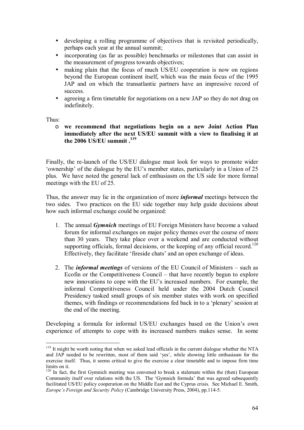- developing a rolling programme of objectives that is revisited periodically, perhaps each year at the annual summit;
- incorporating (as far as possible) benchmarks or milestones that can assist in the measurement of progress towards objectives;
- making plain that the focus of much US/EU cooperation is now on regions beyond the European continent itself, which was the main focus of the 1995 JAP and on which the transatlantic partners have an impressive record of success.
- agreeing a firm timetable for negotiations on a new JAP so they do not drag on indefinitely.

Thus:

 $\overline{a}$ 

o **we recommend that negotiations begin on a new Joint Action Plan immediately after the next US/EU summit with a view to finalising it at the 2006 US/EU summit .119** 

Finally, the re-launch of the US/EU dialogue must look for ways to promote wider 'ownership' of the dialogue by the EU's member states, particularly in a Union of 25 plus. We have noted the general lack of enthusiasm on the US side for more formal meetings with the EU of 25.

Thus, the answer may lie in the organization of more *informal* meetings between the two sides. Two practices on the EU side together may help guide decisions about how such informal exchange could be organized:

- 1. The annual *Gymnich* meetings of EU Foreign Ministers have become a valued forum for informal exchanges on major policy themes over the course of more than 30 years. They take place over a weekend and are conducted without supporting officials, formal decisions, or the keeping of any official record.<sup>120</sup> Effectively, they facilitate 'fireside chats' and an open exchange of ideas.
- 2. The *informal meetings* of versions of the EU Council of Ministers such as Ecofin or the Competitiveness Council  $-$  that have recently begun to explore new innovations to cope with the EU's increased numbers. For example, the informal Competitiveness Council held under the 2004 Dutch Council Presidency tasked small groups of six member states with work on specified themes, with findings or recommendations fed back in to a 'plenary' session at the end of the meeting.

Developing a formula for informal US/EU exchanges based on the Union's own experience of attempts to cope with its increased numbers makes sense. In some

<sup>&</sup>lt;sup>119</sup> It might be worth noting that when we asked lead officials in the current dialogue whether the NTA and JAP needed to be rewritten, most of them said 'yes', while showing little enthusiasm for the exercise itself. Thus, it seems critical to give the exercise a clear timetable and to impose firm time limits on it.

 $120$  In fact, the first Gymnich meeting was convened to break a stalemate within the (then) European Community itself over relations with the US. The 'Gymnich formula' that was agreed subsequently facilitated US/EU policy cooperation on the Middle East and the Cyprus crisis. See Michael E. Smith, *Europe's Foreign and Security Policy (Cambridge University Press, 2004), pp.114-5.*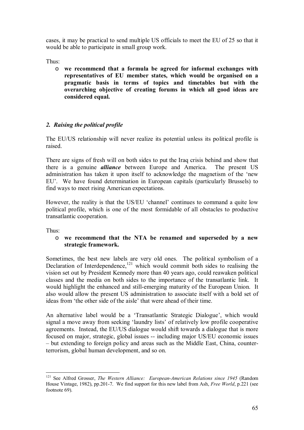cases, it may be practical to send multiple US officials to meet the EU of 25 so that it would be able to participate in small group work.

Thus:

o **we recommend that a formula be agreed for informal exchanges with representatives of EU member states, which would be organised on a pragmatic basis in terms of topics and timetables but with the overarching objective of creating forums in which all good ideas are considered equal.** 

# *2. Raising the political profile*

The EU/US relationship will never realize its potential unless its political profile is raised.

There are signs of fresh will on both sides to put the Iraq crisis behind and show that there is a genuine *alliance* between Europe and America. The present US administration has taken it upon itself to acknowledge the magnetism of the 'new EU'. We have found determination in European capitals (particularly Brussels) to find ways to meet rising American expectations.

However, the reality is that the US/EU 'channel' continues to command a quite low political profile, which is one of the most formidable of all obstacles to productive transatlantic cooperation.

Thus:

#### o **we recommend that the NTA be renamed and superseded by a new strategic framework.**

Sometimes, the best new labels are very old ones. The political symbolism of a Declaration of Interdependence, $121$  which would commit both sides to realising the vision set out by President Kennedy more than 40 years ago, could reawaken political classes and the media on both sides to the importance of the transatlantic link. It would highlight the enhanced and still-emerging maturity of the European Union. It also would allow the present US administration to associate itself with a bold set of ideas from 'the other side of the aisle' that were ahead of their time.

An alternative label would be a 'Transatlantic Strategic Dialogue', which would signal a move away from seeking 'laundry lists' of relatively low profile cooperative agreements. Instead, the EU/US dialogue would shift towards a dialogue that is more focused on major, strategic, global issues -- including major US/EU economic issues – but extending to foreign policy and areas such as the Middle East, China, counterterrorism, global human development, and so on.

 $\overline{a}$ <sup>121</sup> See Alfred Grosser, *The Western Alliance: European-American Relations since 1945* (Random House Vintage, 1982), pp.201-7. We find support for this new label from Ash, *Free World*, p.221 (see footnote 69).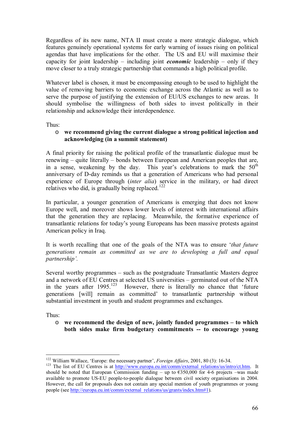Regardless of its new name, NTA II must create a more strategic dialogue, which features genuinely operational systems for early warning of issues rising on political agendas that have implications for the other. The US and EU will maximise their capacity for joint leadership – including joint *economic* leadership – only if they move closer to a truly strategic partnership that commands a high political profile.

Whatever label is chosen, it must be encompassing enough to be used to highlight the value of removing barriers to economic exchange across the Atlantic as well as to serve the purpose of justifying the extension of EU/US exchanges to new areas. It should symbolise the willingness of both sides to invest politically in their relationship and acknowledge their interdependence.

Thus:

#### o **we recommend giving the current dialogue a strong political injection and acknowledging (in a summit statement)**

A final priority for raising the political profile of the transatlantic dialogue must be renewing  $-$  quite literally  $-$  bonds between European and American peoples that are, in a sense, weakening by the day. This year's celebrations to mark the  $50<sup>th</sup>$ anniversary of D-day reminds us that a generation of Americans who had personal experience of Europe through (*inter alia*) service in the military, or had direct relatives who did, is gradually being replaced.<sup>122</sup>

In particular, a younger generation of Americans is emerging that does not know Europe well, and moreover shows lower levels of interest with international affairs that the generation they are replacing. Meanwhile, the formative experience of transatlantic relations for today's young Europeans has been massive protests against American policy in Iraq.

It is worth recalling that one of the goals of the NTA was to ensure ë*that future generations remain as committed as we are to developing a full and equal*  partnership<sup>'</sup>.

Several worthy programmes  $-$  such as the postgraduate Transatlantic Masters degree and a network of EU Centres at selected US universities – germinated out of the NTA in the years after  $1995$ <sup>123</sup> However, there is literally no chance that 'future generations [will] remain as committed to transatlantic partnership without substantial investment in youth and student programmes and exchanges.

Thus:

o **we recommend the design of new, jointly funded programmes – to which both sides make firm budgetary commitments -- to encourage young** 

<sup>&</sup>lt;sup>122</sup> William Wallace, 'Europe: the necessary partner', Foreign Affairs, 2001, 80 (3): 16-34.

<sup>&</sup>lt;sup>123</sup> The list of EU Centres is at http://www.europa.eu.int/comm/external\_relations/us/intro/ct.htm. It should be noted that European Commission funding – up to  $\epsilon$ 350,000 for 4-6 projects – was made available to promote US-EU people-to-people dialogue between civil society organisations in 2004. However, the call for proposals does not contain any special mention of youth programmes or young people (see http://europa.eu.int/comm/external\_relations/us/grants/index.htm#1).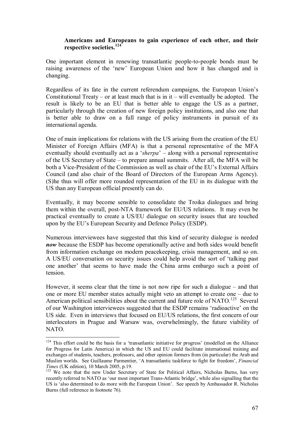#### **Americans and Europeans to gain experience of each other, and their respective societies.<sup>124</sup>**

One important element in renewing transatlantic people-to-people bonds must be raising awareness of the 'new' European Union and how it has changed and is changing.

Regardless of its fate in the current referendum campaigns, the European Union's Constitutional Treaty – or at least much that is in it – will eventually be adopted. The result is likely to be an EU that is better able to engage the US as a partner, particularly through the creation of new foreign policy institutions, and also one that is better able to draw on a full range of policy instruments in pursuit of its international agenda.

One of main implications for relations with the US arising from the creation of the EU Minister of Foreign Affairs (MFA) is that a personal representative of the MFA eventually should eventually act as a *'sherpa'* – along with a personal representative of the US Secretary of State – to prepare annual summits. After all, the MFA will be both a Vice-President of the Commission as well as chair of the EU's External Affairs Council (and also chair of the Board of Directors of the European Arms Agency). (S)he thus will offer more rounded representation of the EU in its dialogue with the US than any European official presently can do.

Eventually, it may become sensible to consolidate the Troika dialogues and bring them within the overall, post-NTA framework for EU/US relations. It may even be practical eventually to create a US/EU dialogue on security issues that are touched upon by the EU's European Security and Defence Policy (ESDP).

Numerous interviewees have suggested that this kind of security dialogue is needed *now* because the ESDP has become operationally active and both sides would benefit from information exchange on modern peacekeeping, crisis management, and so on. A US/EU conversation on security issues could help avoid the sort of ëtalking past one another' that seems to have made the China arms embargo such a point of tension.

However, it seems clear that the time is not now ripe for such a dialogue  $-$  and that one or more EU member states actually might veto an attempt to create one  $-\frac{1}{2}$  due to American political sensibilities about the current and future role of NATO.<sup>125</sup> Several of our Washington interviewees suggested that the ESDP remains 'radioactive' on the US side. Even in interviews that focused on EU/US relations, the first concern of our interlocutors in Prague and Warsaw was, overwhelmingly, the future viability of NATO.

 $124$  This effort could be the basis for a 'transatlantic initiative for progress' (modelled on the Alliance for Progress for Latin America) in which the US and EU could facilitate international training and exchanges of students, teachers, professors, and other opinion formers from (in particular) the Arab and Muslim worlds. See Guillaume Parmentier, 'A transatlantic taskforce to fight for freedom', *Financial Times* (UK edition), 10 March 2005, p.19.

<sup>&</sup>lt;sup>125</sup> We note that the new Under Secretary of State for Political Affairs, Nicholas Burns, has very recently referred to NATO as 'our most important Trans-Atlantic bridge', while also signalling that the US is 'also determined to do more with the European Union'. See speech by Ambassador R. Nicholas Burns (full reference in footnote 76).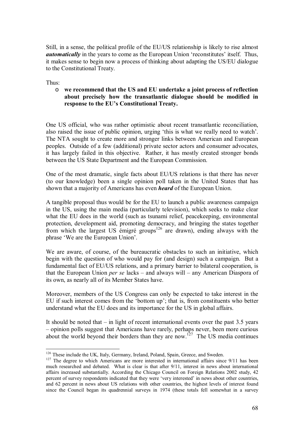Still, in a sense, the political profile of the EU/US relationship is likely to rise almost *automatically* in the years to come as the European Union 'reconstitutes' itself. Thus, it makes sense to begin now a process of thinking about adapting the US/EU dialogue to the Constitutional Treaty.

Thus:

 $\overline{a}$ 

#### o **we recommend that the US and EU undertake a joint process of reflection about precisely how the transatlantic dialogue should be modified in**  response to the EU's Constitutional Treaty.

One US official, who was rather optimistic about recent transatlantic reconciliation, also raised the issue of public opinion, urging 'this is what we really need to watch'. The NTA sought to create more and stronger links between American and European peoples. Outside of a few (additional) private sector actors and consumer advocates, it has largely failed in this objective. Rather, it has mostly created stronger bonds between the US State Department and the European Commission.

One of the most dramatic, single facts about EU/US relations is that there has never (to our knowledge) been a single opinion poll taken in the United States that has shown that a majority of Americans has even *heard* of the European Union.

A tangible proposal thus would be for the EU to launch a public awareness campaign in the US, using the main media (particularly television), which seeks to make clear what the EU does in the world (such as tsunami relief, peace keeping, environmental protection, development aid, promoting democracy, and bringing the states together from which the largest US  $\epsilon$ migré groups<sup>126</sup> are drawn), ending always with the phrase 'We are the European Union'.

We are aware, of course, of the bureaucratic obstacles to such an initiative, which begin with the question of who would pay for (and design) such a campaign. But a fundamental fact of EU/US relations, and a primary barrier to bilateral cooperation, is that the European Union *per se* lacks – and always will – any American Diaspora of its own, as nearly all of its Member States have.

Moreover, members of the US Congress can only be expected to take interest in the EU if such interest comes from the 'bottom up'; that is, from constituents who better understand what the EU does and its importance for the US in global affairs.

It should be noted that  $\overline{\phantom{a}}$  in light of recent international events over the past 3.5 years – opinion polls suggest that Americans have rarely, perhaps never, been more curious about the world beyond their borders than they are now.<sup>127</sup> The US media continues

<sup>&</sup>lt;sup>126</sup> These include the UK, Italy, Germany, Ireland, Poland, Spain, Greece, and Sweden.<br><sup>127</sup> The degree to which Americans are more interested in international affairs since  $9/11$  has been much researched and debated. What is clear is that after 9/11, interest in news about international affairs increased substantially. According the Chicago Council on Foreign Relations 2002 study, 42 percent of survey respondents indicated that they were 'very interested' in news about other countries. and 62 percent in news about US relations with other countries, the highest levels of interest found since the Council began its quadrennial surveys in 1974 (these totals fell somewhat in a survey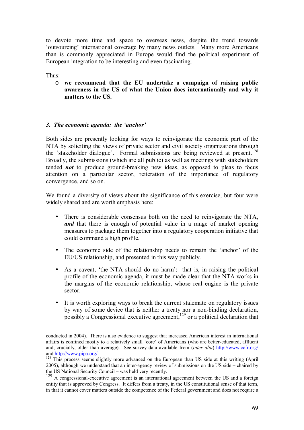to devote more time and space to overseas news, despite the trend towards 'outsourcing' international coverage by many news outlets. Many more Americans than is commonly appreciated in Europe would find the political experiment of European integration to be interesting and even fascinating.

Thus:

o **we recommend that the EU undertake a campaign of raising public awareness in the US of what the Union does internationally and why it matters to the US.**

#### *3. The economic agenda: the ëanchorí*

Both sides are presently looking for ways to reinvigorate the economic part of the NTA by soliciting the views of private sector and civil society organizations through the 'stakeholder dialogue'. Formal submissions are being reviewed at present.<sup>128</sup> Broadly, the submissions (which are all public) as well as meetings with stakeholders tended *not* to produce ground-breaking new ideas, as opposed to pleas to focus attention on a particular sector, reiteration of the importance of regulatory convergence, and so on.

We found a diversity of views about the significance of this exercise, but four were widely shared and are worth emphasis here:

- There is considerable consensus both on the need to reinvigorate the NTA, *and* that there is enough of potential value in a range of market opening measures to package them together into a regulatory cooperation initiative that could command a high profile.
- The economic side of the relationship needs to remain the 'anchor' of the EU/US relationship, and presented in this way publicly.
- As a caveat, 'the NTA should do no harm': that is, in raising the political profile of the economic agenda, it must be made clear that the NTA works in the margins of the economic relationship, whose real engine is the private sector.
- It is worth exploring ways to break the current stalemate on regulatory issues by way of some device that is neither a treaty nor a non-binding declaration, possibly a Congressional executive agreement, $129$  or a political declaration that

conducted in 2004). There is also evidence to suggest that increased American interest in international affairs is confined mostly to a relatively small 'core' of Americans (who are better-educated, affluent and, crucially, older than average). See survey data available from (*inter alia*) http://www.ccfr.org/

and http://www.pipa.org/.<br><sup>128</sup> This process seems slightly more advanced on the European than US side at this writing (April  $2005$ ), although we understand that an inter-agency review of submissions on the US side – chaired by the US National Security Council – was held very recently.

<sup>&</sup>lt;sup>129</sup> A congressional-executive agreement is an international agreement between the US and a foreign entity that is approved by Congress. It differs from a treaty, in the US constitutional sense of that term, in that it cannot cover matters outside the competence of the Federal government and does not require a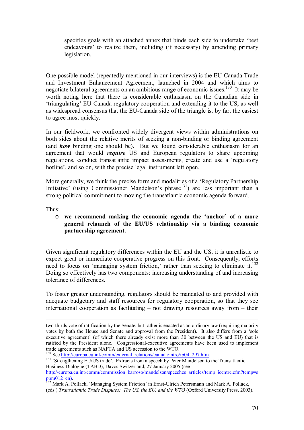specifies goals with an attached annex that binds each side to undertake 'best endeavours' to realize them, including (if necessary) by amending primary legislation.

One possible model (repeatedly mentioned in our interviews) is the EU-Canada Trade and Investment Enhancement Agreement, launched in 2004 and which aims to negotiate bilateral agreements on an ambitious range of economic issues.<sup>130</sup> It may be worth noting here that there is considerable enthusiasm on the Canadian side in ëtriangulatingí EU-Canada regulatory cooperation and extending it to the US, as well as widespread consensus that the EU-Canada side of the triangle is, by far, the easiest to agree most quickly.

In our fieldwork, we confronted widely divergent views within administrations on both sides about the relative merits of seeking a non-binding or binding agreement (and *how* binding one should be). But we found considerable enthusiasm for an agreement that would *require* US and European regulators to share upcoming regulations, conduct transatlantic impact assessments, create and use a 'regulatory hotline', and so on, with the precise legal instrument left open.

More generally, we think the precise form and modalities of a 'Regulatory Partnership Initiative' (using Commissioner Mandelson's phrase<sup>131</sup>) are less important than a strong political commitment to moving the transatlantic economic agenda forward.

Thus:

#### o **we recommend making the economic agenda the ëanchorí of a more general relaunch of the EU/US relationship via a binding economic partnership agreement.**

Given significant regulatory differences within the EU and the US, it is unrealistic to expect great or immediate cooperative progress on this front. Consequently, efforts need to focus on 'managing system friction,' rather than seeking to eliminate it. $132$ Doing so effectively has two components: increasing understanding of and increasing tolerance of differences.

To foster greater understanding, regulators should be mandated to and provided with adequate budgetary and staff resources for regulatory cooperation, so that they see international cooperation as facilitating  $-$  not drawing resources away from  $-$  their

<sup>131</sup> Strengthening EU/US trade<sup>2</sup>. Extracts from a speech by Peter Mandelson to the Transatlantic Business Dialogue (TABD), Davos Switzerland, 27 January 2005 (see http://europa.eu.int/comm/commission\_barroso/mandelson/speeches\_articles/temp\_icentre.cfm?temp=s

two-thirds vote of ratification by the Senate, but rather is enacted as an ordinary law (requiring majority votes by both the House and Senate and approval from the President). It also differs from a ësole executive agreement' (of which there already exist more than 30 between the US and EU) that is ratified by the President alone. Congressional-executive agreements have been used to implement trade agreements such as NAFTA and US accession to the WTO.<br><sup>130</sup> See http://europa.eu.int/comm/external\_relations/canada/intro/ip04\_297.htm.

ppm012\_en).<br><sup>132</sup> Mark A. Pollack, 'Managing System Friction' in Ernst-Ulrich Petersmann and Mark A. Pollack, (eds.) *Transatlantic Trade Disputes: The US, the EU, and the WTO* (Oxford University Press, 2003).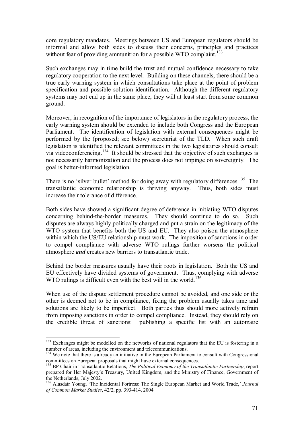core regulatory mandates. Meetings between US and European regulators should be informal and allow both sides to discuss their concerns, principles and practices without fear of providing ammunition for a possible WTO complaint.<sup>133</sup>

Such exchanges may in time build the trust and mutual confidence necessary to take regulatory cooperation to the next level. Building on these channels, there should be a true early warning system in which consultations take place at the point of problem specification and possible solution identification. Although the different regulatory systems may not end up in the same place, they will at least start from some common ground.

Moreover, in recognition of the importance of legislators in the regulatory process, the early warning system should be extended to include both Congress and the European Parliament. The identification of legislation with external consequences might be performed by the (proposed; see below) secretariat of the TLD. When such draft legislation is identified the relevant committees in the two legislatures should consult via videoconferencing.<sup>134</sup> It should be stressed that the objective of such exchanges is not necessarily harmonization and the process does not impinge on sovereignty. The goal is better-informed legislation.

There is no 'silver bullet' method for doing away with regulatory differences.<sup>135</sup> The transatlantic economic relationship is thriving anyway. Thus, both sides must increase their tolerance of difference.

Both sides have showed a significant degree of deference in initiating WTO disputes concerning behind-the-border measures. They should continue to do so. Such disputes are always highly politically charged and put a strain on the legitimacy of the WTO system that benefits both the US and EU. They also poison the atmosphere within which the US/EU relationship must work. The imposition of sanctions in order to compel compliance with adverse WTO rulings further worsens the political atmosphere *and* creates new barriers to transatlantic trade.

Behind the border measures usually have their roots in legislation. Both the US and EU effectively have divided systems of government. Thus, complying with adverse WTO rulings is difficult even with the best will in the world.<sup>136</sup>

When use of the dispute settlement procedure cannot be avoided, and one side or the other is deemed not to be in compliance, fixing the problem usually takes time and solutions are likely to be imperfect. Both parties thus should more actively refrain from imposing sanctions in order to compel compliance. Instead, they should rely on the credible threat of sanctions: publishing a specific list with an automatic

<sup>&</sup>lt;sup>133</sup> Exchanges might be modelled on the networks of national regulators that the EU is fostering in a number of areas, including the environment and telecommunications.

<sup>&</sup>lt;sup>134</sup> We note that there is already an initiative in the European Parliament to consult with Congressional committees on European proposals that might have external consequences.

<sup>&</sup>lt;sup>135</sup> BP Chair in Transatlantic Relations, *The Political Economy of the Transatlantic Partnership*, report prepared for Her Majestyís Treasury, United Kingdom, and the Ministry of Finance, Government of the Netherlands, July 2002.

<sup>&</sup>lt;sup>136</sup> Alasdair Young, 'The Incidental Fortress: The Single European Market and World Trade,' *Journal of Common Market Studies*, 42/2, pp. 393-414, 2004.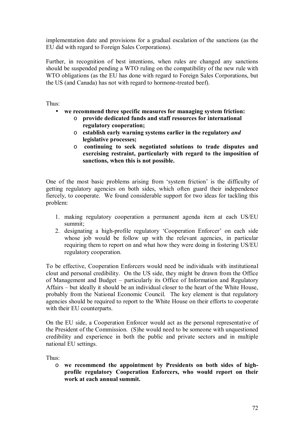implementation date and provisions for a gradual escalation of the sanctions (as the EU did with regard to Foreign Sales Corporations).

Further, in recognition of best intentions, when rules are changed any sanctions should be suspended pending a WTO ruling on the compatibility of the new rule with WTO obligations (as the EU has done with regard to Foreign Sales Corporations, but the US (and Canada) has not with regard to hormone-treated beef).

Thus:

- **we recommend three specific measures for managing system friction:** 
	- o **provide dedicated funds and staff resources for international regulatory cooperation;**
	- o **establish early warning systems earlier in the regulatory** *and* **legislative processes;**
	- o **continuing to seek negotiated solutions to trade disputes and exercising restraint, particularly with regard to the imposition of sanctions, when this is not possible.**

One of the most basic problems arising from 'system friction' is the difficulty of getting regulatory agencies on both sides, which often guard their independence fiercely, to cooperate. We found considerable support for two ideas for tackling this problem:

- 1. making regulatory cooperation a permanent agenda item at each US/EU summit;
- 2. designating a high-profile regulatory 'Cooperation Enforcer' on each side whose job would be follow up with the relevant agencies, in particular requiring them to report on and what how they were doing in fostering US/EU regulatory cooperation.

To be effective, Cooperation Enforcers would need be individuals with institutional clout and personal credibility. On the US side, they might be drawn from the Office of Management and Budget – particularly its Office of Information and Regulatory Affairs – but ideally it should be an individual closer to the heart of the White House, probably from the National Economic Council. The key element is that regulatory agencies should be required to report to the White House on their efforts to cooperate with their EU counterparts.

On the EU side, a Cooperation Enforcer would act as the personal representative of the President of the Commission. (S)he would need to be someone with unquestioned credibility and experience in both the public and private sectors and in multiple national EU settings.

Thus:

o **we recommend the appointment by Presidents on both sides of highprofile regulatory Cooperation Enforcers, who would report on their work at each annual summit.**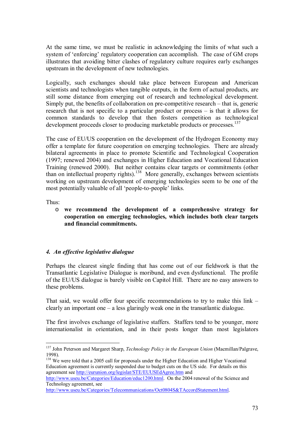At the same time, we must be realistic in acknowledging the limits of what such a system of 'enforcing' regulatory cooperation can accomplish. The case of GM crops illustrates that avoiding bitter clashes of regulatory culture requires early exchanges upstream in the development of new technologies.

Logically, such exchanges should take place between European and American scientists and technologists when tangible outputs, in the form of actual products, are still some distance from emerging out of research and technological development. Simply put, the benefits of collaboration on pre-competitive research  $-$  that is, generic research that is not specific to a particular product or process  $-$  is that it allows for common standards to develop that then fosters competition as technological development proceeds closer to producing marketable products or processes.<sup>137</sup>

The case of EU/US cooperation on the development of the Hydrogen Economy may offer a template for future cooperation on emerging technologies. There are already bilateral agreements in place to promote Scientific and Technological Cooperation (1997; renewed 2004) and exchanges in Higher Education and Vocational Education Training (renewed 2000). But neither contains clear targets or commitments (other than on intellectual property rights).<sup>138</sup> More generally, exchanges between scientists working on upstream development of emerging technologies seem to be one of the most potentially valuable of all 'people-to-people' links.

Thus:

 $\overline{a}$ 

o **we recommend the development of a comprehensive strategy for cooperation on emerging technologies, which includes both clear targets and financial commitments.**

# *4. An effective legislative dialogue*

Perhaps the clearest single finding that has come out of our fieldwork is that the Transatlantic Legislative Dialogue is moribund, and even dysfunctional. The profile of the EU/US dialogue is barely visible on Capitol Hill. There are no easy answers to these problems.

That said, we would offer four specific recommendations to try to make this link  $\overline{\phantom{a}}$ clearly an important one  $-\alpha$  less glaringly weak one in the transatlantic dialogue.

The first involves exchange of legislative staffers. Staffers tend to be younger, more internationalist in orientation, and in their posts longer than most legislators

<sup>137</sup> John Peterson and Margaret Sharp, *Technology Policy in the European Union* (Macmillan/Palgrave, 1998).

<sup>&</sup>lt;sup>138</sup> We were told that a 2005 call for proposals under the Higher Education and Higher Vocational Education agreement is currently suspended due to budget cuts on the US side. For details on this agreement see http://eurunion.org/legislat/STE/EUUSEdAgree.htm and

http://www.useu.be/Categories/Education/educ1200.html. On the 2004 renewal of the Science and Technology agreement, see

http://www.useu.be/Categories/Telecommunications/Oct0804S&TAccordStatement.html.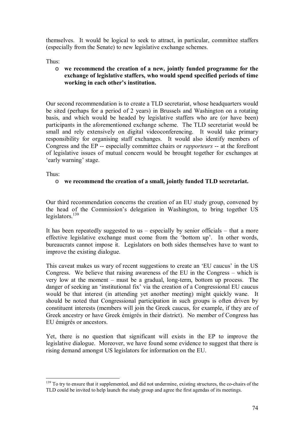themselves. It would be logical to seek to attract, in particular, committee staffers (especially from the Senate) to new legislative exchange schemes.

Thus:

# o **we recommend the creation of a new, jointly funded programme for the exchange of legislative staffers, who would spend specified periods of time**  working in each other's institution.

Our second recommendation is to create a TLD secretariat, whose headquarters would be sited (perhaps for a period of 2 years) in Brussels and Washington on a rotating basis, and which would be headed by legislative staffers who are (or have been) participants in the aforementioned exchange scheme. The TLD secretariat would be small and rely extensively on digital videoconferencing. It would take primary responsibility for organising staff exchanges. It would also identify members of Congress and the EP -- especially committee chairs or *rapporteurs* -- at the forefront of legislative issues of mutual concern would be brought together for exchanges at 'early warning' stage.

Thus:

 $\overline{a}$ 

# o **we recommend the creation of a small, jointly funded TLD secretariat.**

Our third recommendation concerns the creation of an EU study group, convened by the head of the Commission's delegation in Washington, to bring together US legislators. $139$ 

It has been repeatedly suggested to us  $-$  especially by senior officials  $-$  that a more effective legislative exchange must come from the 'bottom up'. In other words, bureaucrats cannot impose it. Legislators on both sides themselves have to want to improve the existing dialogue.

This caveat makes us wary of recent suggestions to create an 'EU caucus' in the US Congress. We believe that raising awareness of the EU in the Congress  $-$  which is very low at the moment  $-$  must be a gradual, long-term, bottom up process. The danger of seeking an 'institutional fix' via the creation of a Congressional EU caucus would be that interest (in attending yet another meeting) might quickly wane. It should be noted that Congressional participation in such groups is often driven by constituent interests (members will join the Greek caucus, for example, if they are of Greek ancestry or have Greek émigrés in their district). No member of Congress has EU émigrés or ancestors.

Yet, there is no question that significant will exists in the EP to improve the legislative dialogue. Moreover, we have found some evidence to suggest that there is rising demand amongst US legislators for information on the EU.

<sup>&</sup>lt;sup>139</sup> To try to ensure that it supplemented, and did not undermine, existing structures, the co-chairs of the TLD could be invited to help launch the study group and agree the first agendas of its meetings.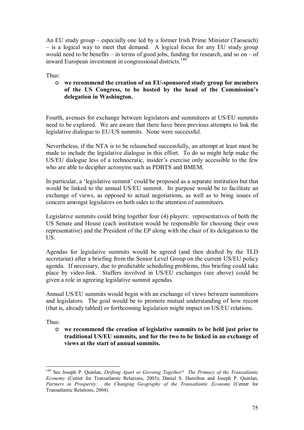An EU study group  $-$  especially one led by a former Irish Prime Minister (Taoseach)  $-$  is a logical way to meet that demand. A logical focus for any EU study group would need to be benefits – in terms of good jobs, funding for research, and so on  $-$  of inward European investment in congressional districts.<sup>140</sup>

Thus:

o **we recommend the creation of an EU-sponsored study group for members**  of the US Congress, to be hosted by the head of the Commission's **delegation in Washington.**

Fourth, avenues for exchange between legislators and summiteers at US/EU summits need to be explored. We are aware that there have been previous attempts to link the legislative dialogue to EU/US summits. None were successful.

Nevertheless, if the NTA is to be relaunched successfully, an attempt at least must be made to include the legislative dialogue in this effort. To do so might help make the US/EU dialogue less of a technocratic, insider's exercise only accessible to the few who are able to decipher acronyms such as PDBTS and BMEM.

In particular, a 'legislative summit' could be proposed as a separate institution but that would be linked to the annual US/EU summit. Its purpose would be to facilitate an exchange of views, as opposed to actual negotiations, as well as to bring issues of concern amongst legislators on both sides to the attention of summiteers.

Legislative summits could bring together four (4) players: representatives of both the US Senate and House (each institution would be responsible for choosing their own representative) and the President of the EP along with the chair of its delegation to the US.

Agendas for legislative summits would be agreed (and then drafted by the TLD secretariat) after a briefing from the Senior Level Group on the current US/EU policy agenda. If necessary, due to predictable scheduling problems, this briefing could take place by video-link. Staffers involved in US/EU exchanges (see above) could be given a role in agreeing legislative summit agendas.

Annual US/EU summits would begin with an exchange of views between summiteers and legislators. The goal would be to promote mutual understanding of how recent (that is, already tabled) or forthcoming legislation might impact on US/EU relations.

Thus:

 $\overline{a}$ 

o **we recommend the creation of legislative summits to be held just prior to traditional US/EU summits, and for the two to be linked in an exchange of views at the start of annual summits.**

<sup>140</sup> See Joseph P. Quinlan, *Drifting Apart or Growing Together? The Primacy of the Transatlantic Economy* (Center for Transatlantic Relations, 2003); Daniel S. Hamilton and Joseph P. Quinlan, Partners in Prosperity: the Changing Geography of the Transatlantic Economy (Center for Transatlantic Relations, 2004).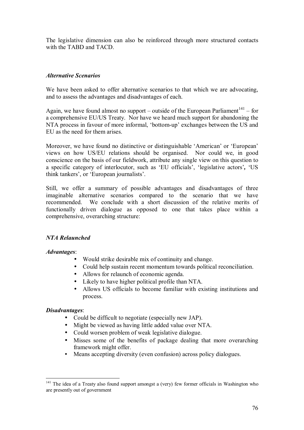The legislative dimension can also be reinforced through more structured contacts with the TABD and TACD.

# *Alternative Scenarios*

We have been asked to offer alternative scenarios to that which we are advocating, and to assess the advantages and disadvantages of each.

Again, we have found almost no support – outside of the European Parliament<sup>141</sup> – for a comprehensive EU/US Treaty. Nor have we heard much support for abandoning the NTA process in favour of more informal, 'bottom-up' exchanges between the US and EU as the need for them arises.

Moreover, we have found no distinctive or distinguishable 'American' or 'European' views on how US/EU relations should be organised. Nor could we, in good conscience on the basis of our fieldwork, attribute any single view on this question to a specific category of interlocutor, such as 'EU officials', 'legislative actors', 'US think tankers', or 'European journalists'.

Still, we offer a summary of possible advantages and disadvantages of three imaginable alternative scenarios compared to the scenario that we have recommended. We conclude with a short discussion of the relative merits of functionally driven dialogue as opposed to one that takes place within a comprehensive, overarching structure:

# *NTA Relaunched*

# *Advantages*:

- Would strike desirable mix of continuity and change.
- Could help sustain recent momentum towards political reconciliation.
- Allows for relaunch of economic agenda.
- Likely to have higher political profile than NTA.
- Allows US officials to become familiar with existing institutions and process.

# *Disadvantages*:

 $\overline{a}$ 

- Could be difficult to negotiate (especially new JAP).
- Might be viewed as having little added value over NTA.
- Could worsen problem of weak legislative dialogue.
- Misses some of the benefits of package dealing that more overarching framework might offer.
- Means accepting diversity (even confusion) across policy dialogues.

<sup>&</sup>lt;sup>141</sup> The idea of a Treaty also found support amongst a (very) few former officials in Washington who are presently out of government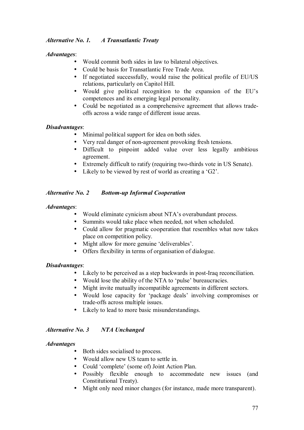# *Alternative No. 1. A Transatlantic Treaty*

# *Advantages*:

- Would commit both sides in law to bilateral objectives.
- Could be basis for Transatlantic Free Trade Area.
- If negotiated successfully, would raise the political profile of EU/US relations, particularly on Capitol Hill.
- Would give political recognition to the expansion of the EU's competences and its emerging legal personality.
- Could be negotiated as a comprehensive agreement that allows tradeoffs across a wide range of different issue areas.

# *Disadvantages*:

- Minimal political support for idea on both sides.
- Very real danger of non-agreement provoking fresh tensions.
- Difficult to pinpoint added value over less legally ambitious agreement.
- Extremely difficult to ratify (requiring two-thirds vote in US Senate).
- Likely to be viewed by rest of world as creating a ' $G2$ '.

### *Alternative No. 2 Bottom-up Informal Cooperation*

### *Advantages*:

- Would eliminate cynicism about NTA's overabundant process.
- Summits would take place when needed, not when scheduled.
- Could allow for pragmatic cooperation that resembles what now takes place on competition policy.
- Might allow for more genuine 'deliverables'.
- Offers flexibility in terms of organisation of dialogue.

# *Disadvantages*:

- Likely to be perceived as a step backwards in post-Iraq reconciliation.
- Would lose the ability of the NTA to 'pulse' bureaucracies.
- Might invite mutually incompatible agreements in different sectors.
- Would lose capacity for 'package deals' involving compromises or trade-offs across multiple issues.
- Likely to lead to more basic misunderstandings.

# *Alternative No. 3 NTA Unchanged*

### *Advantages*

- Both sides socialised to process.
- Would allow new US team to settle in.
- Could 'complete' (some of) Joint Action Plan.
- Possibly flexible enough to accommodate new issues (and Constitutional Treaty).
- Might only need minor changes (for instance, made more transparent).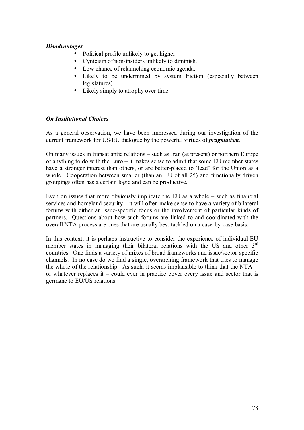## *Disadvantages*

- Political profile unlikely to get higher.
- Cynicism of non-insiders unlikely to diminish.
- Low chance of relaunching economic agenda.
- Likely to be undermined by system friction (especially between legislatures).
- Likely simply to atrophy over time.

# *On Institutional Choices*

As a general observation, we have been impressed during our investigation of the current framework for US/EU dialogue by the powerful virtues of *pragmatism*.

On many issues in transatlantic relations  $-$  such as Iran (at present) or northern Europe or anything to do with the Euro  $-$  it makes sense to admit that some EU member states have a stronger interest than others, or are better-placed to 'lead' for the Union as a whole. Cooperation between smaller (than an EU of all 25) and functionally driven groupings often has a certain logic and can be productive.

Even on issues that more obviously implicate the EU as a whole  $-$  such as financial services and homeland security  $-$  it will often make sense to have a variety of bilateral forums with either an issue-specific focus or the involvement of particular kinds of partners. Questions about how such forums are linked to and coordinated with the overall NTA process are ones that are usually best tackled on a case-by-case basis.

In this context, it is perhaps instructive to consider the experience of individual EU member states in managing their bilateral relations with the US and other 3<sup>rd</sup> countries. One finds a variety of mixes of broad frameworks and issue/sector-specific channels. In no case do we find a single, overarching framework that tries to manage the whole of the relationship. As such, it seems implausible to think that the NTA - or whatever replaces it  $\sim$  could ever in practice cover every issue and sector that is germane to EU/US relations.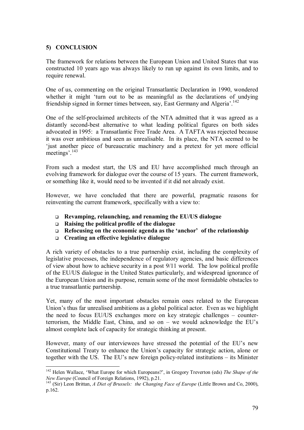# **5) CONCLUSION**

 $\overline{a}$ 

The framework for relations between the European Union and United States that was constructed 10 years ago was always likely to run up against its own limits, and to require renewal.

One of us, commenting on the original Transatlantic Declaration in 1990, wondered whether it might 'turn out to be as meaningful as the declarations of undying friendship signed in former times between, say, East Germany and Algeria<sup>'</sup>.<sup>142</sup>

One of the self-proclaimed architects of the NTA admitted that it was agreed as a distantly second-best alternative to what leading political figures on both sides advocated in 1995: a Transatlantic Free Trade Area. A TAFTA was rejected because it was over ambitious and seen as unrealisable. In its place, the NTA seemed to be ëjust another piece of bureaucratic machinery and a pretext for yet more official meetings<sup> $143$ </sup>

From such a modest start, the US and EU have accomplished much through an evolving framework for dialogue over the course of 15 years. The current framework, or something like it, would need to be invented if it did not already exist.

However, we have concluded that there are powerful, pragmatic reasons for reinventing the current framework, specifically with a view to:

- ! **Revamping, relaunching, and renaming the EU/US dialogue**
- ! **Raising the political profile of the dialogue**
- □ Refocusing on the economic agenda as the 'anchor' of the relationship
- ! **Creating an effective legislative dialogue**

A rich variety of obstacles to a true partnership exist, including the complexity of legislative processes, the independence of regulatory agencies, and basic differences of view about how to achieve security in a post 9/11 world. The low political profile of the EU/US dialogue in the United States particularly, and widespread ignorance of the European Union and its purpose, remain some of the most formidable obstacles to a true transatlantic partnership.

Yet, many of the most important obstacles remain ones related to the European Union's thus far unrealised ambitions as a global political actor. Even as we highlight the need to focus EU/US exchanges more on key strategic challenges  $-$  counterterrorism, the Middle East, China, and so on  $-$  we would acknowledge the EU's almost complete lack of capacity for strategic thinking at present.

However, many of our interviewees have stressed the potential of the EU's new Constitutional Treaty to enhance the Union's capacity for strategic action, alone or together with the US. The EU's new foreign policy-related institutions  $-$  its Minister

<sup>&</sup>lt;sup>142</sup> Helen Wallace, 'What Europe for which Europeans?', in Gregory Treverton (eds) *The Shape of the New Europe* (Council of Foreign Relations, 1992), p.21.<br><sup>143</sup> (Sir) Leon Brittan, *A Diet of Brussels: the Changing Face of Europe* (Little Brown and Co, 2000),

p.162.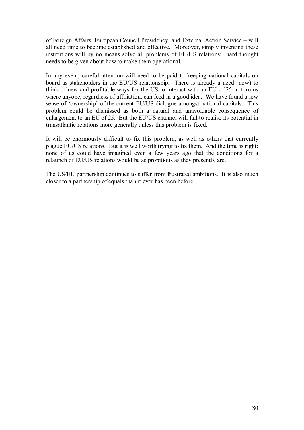of Foreign Affairs, European Council Presidency, and External Action Service – will all need time to become established and effective. Moreover, simply inventing these institutions will by no means solve all problems of EU/US relations: hard thought needs to be given about how to make them operational.

In any event, careful attention will need to be paid to keeping national capitals on board as stakeholders in the EU/US relationship. There is already a need (now) to think of new and profitable ways for the US to interact with an EU of 25 in forums where anyone, regardless of affiliation, can feed in a good idea. We have found a low sense of 'ownership' of the current EU/US dialogue amongst national capitals. This problem could be dismissed as both a natural and unavoidable consequence of enlargement to an EU of 25. But the EU/US channel will fail to realise its potential in transatlantic relations more generally unless this problem is fixed.

It will be enormously difficult to fix this problem, as well as others that currently plague EU/US relations. But it is well worth trying to fix them. And the time is right: none of us could have imagined even a few years ago that the conditions for a relaunch of EU/US relations would be as propitious as they presently are.

The US/EU partnership continues to suffer from frustrated ambitions. It is also much closer to a partnership of equals than it ever has been before.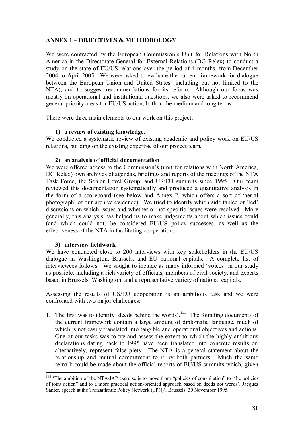# **ANNEX 1 – OBJECTIVES & METHODOLOGY**

We were contracted by the European Commission's Unit for Relations with North America in the Directorate-General for External Relations (DG Relex) to conduct a study on the state of EU/US relations over the period of 4 months, from December 2004 to April 2005. We were asked to evaluate the current framework for dialogue between the European Union and United States (including but not limited to the NTA), and to suggest recommendations for its reform. Although our focus was mostly on operational and institutional questions, we also were asked to recommend general priority areas for EU/US action, both in the medium and long terms.

There were three main elements to our work on this project:

### **1)** a **review of existing knowledge.**

We conducted a systematic review of existing academic and policy work on EU/US relations, building on the existing expertise of our project team.

### **2)** an **analysis of official documentation**

We were offered access to the Commission's (unit for relations with North America, DG Relex) own archives of agendas, briefings and reports of the meetings of the NTA Task Force, the Senior Level Group, and US/EU summits since 1995. Our team reviewed this documentation systematically and produced a quantitative analysis in the form of a scoreboard (see below and Annex 2, which offers a sort of ëaerial photograph' of our archive evidence). We tried to identify which side tabled or 'led' discussions on which issues and whether or not specific issues were resolved.More generally, this analysis has helped us to make judgements about which issues could (and which could not) be considered EU/US policy successes, as well as the effectiveness of the NTA in facilitating cooperation.

# **3) interview fieldwork**

We have conducted close to 200 interviews with key stakeholders in the EU/US dialogue in Washington, Brussels, and EU national capitals. A complete list of interviewees follows. We sought to include as many informed 'voices' in our study as possible, including a rich variety of officials, members of civil society, and experts based in Brussels, Washington, and a representative variety of national capitals.

Assessing the results of US/EU cooperation is an ambitious task and we were confronted with two major challenges:

1. The first was to identify 'deeds behind the words'.<sup>144</sup> The founding documents of the current framework contain a large amount of diplomatic language, much of which is not easily translated into tangible and operational objectives and actions. One of our tasks was to try and assess the extent to which the highly ambitious declarations dating back to 1995 have been translated into concrete results or, alternatively, represent false piety. The NTA is a general statement about the relationship and mutual commitment to it by both partners. Much the same remark could be made about the official reports of EU/US summits which, given

 $\overline{a}$  $144$  'The ambition of the NTA/JAP exercise is to move from "policies of consultation" to "the policies of joint action" and to a more practical action-oriented approach based on deeds not words<sup>?</sup>. Jacques Santer, speech at the Transatlantic Policy Network (TPN)', Brussels, 30 November 1995.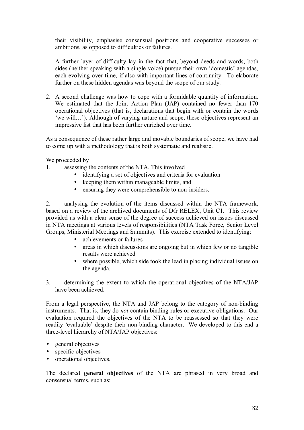their visibility, emphasise consensual positions and cooperative successes or ambitions, as opposed to difficulties or failures.

A further layer of difficulty lay in the fact that, beyond deeds and words, both sides (neither speaking with a single voice) pursue their own 'domestic' agendas, each evolving over time, if also with important lines of continuity. To elaborate further on these hidden agendas was beyond the scope of our study.

2. A second challenge was how to cope with a formidable quantity of information. We estimated that the Joint Action Plan (JAP) contained no fewer than 170 operational objectives (that is, declarations that begin with or contain the words 'we will...'). Although of varying nature and scope, these objectives represent an impressive list that has been further enriched over time.

As a consequence of these rather large and movable boundaries of scope, we have had to come up with a methodology that is both systematic and realistic.

We proceeded by

- 1. assessing the contents of the NTA. This involved
	- identifying a set of objectives and criteria for evaluation
	- keeping them within manageable limits, and
	- ensuring they were comprehensible to non-insiders.

2. analysing the evolution of the items discussed within the NTA framework, based on a review of the archived documents of DG RELEX, Unit C1. This review provided us with a clear sense of the degree of success achieved on issues discussed in NTA meetings at various levels of responsibilities (NTA Task Force, Senior Level Groups, Ministerial Meetings and Summits). This exercise extended to identifying:

- achievements or failures
- areas in which discussions are ongoing but in which few or no tangible results were achieved
- where possible, which side took the lead in placing individual issues on the agenda.
- 3. determining the extent to which the operational objectives of the NTA/JAP have been achieved.

From a legal perspective, the NTA and JAP belong to the category of non-binding instruments. That is, they do *not* contain binding rules or executive obligations. Our evaluation required the objectives of the NTA to be reassessed so that they were readily 'evaluable' despite their non-binding character. We developed to this end a three-level hierarchy of NTA/JAP objectives:

- general objectives
- specific objectives
- operational objectives.

The declared **general objectives** of the NTA are phrased in very broad and consensual terms, such as: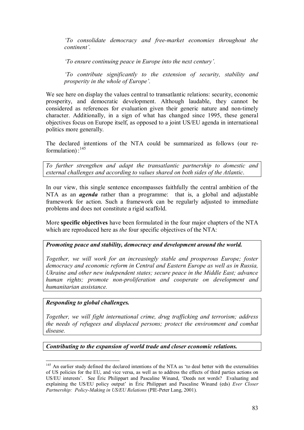*ëTo consolidate democracy and free-market economies throughout the continent'.* 

*fo ensure continuing peace in Europe into the next century'.* 

*ëTo contribute significantly to the extension of security, stability and prosperity in the whole of Europe'.* 

We see here on display the values central to transatlantic relations: security, economic prosperity, and democratic development. Although laudable, they cannot be considered as references for evaluation given their generic nature and non-timely character. Additionally, in a sign of what has changed since 1995, these general objectives focus on Europe itself, as opposed to a joint US/EU agenda in international politics more generally.

The declared intentions of the NTA could be summarized as follows (our reformulation): $145$ 

*To further strengthen and adapt the transatlantic partnership to domestic and external challenges and according to values shared on both sides of the Atlantic*.

In our view, this single sentence encompasses faithfully the central ambition of the NTA as an *agenda* rather than a programme: that is, a global and adjustable framework for action. Such a framework can be regularly adjusted to immediate problems and does not constitute a rigid scaffold.

More **specific objectives** have been formulated in the four major chapters of the NTA which are reproduced here as *the* four specific objectives of the NTA:

# *Promoting peace and stability, democracy and development around the world.*

*Together, we will work for an increasingly stable and prosperous Europe; foster democracy and economic reform in Central and Eastern Europe as well as in Russia, Ukraine and other new independent states; secure peace in the Middle East; advance human rights; promote non-proliferation and cooperate on development and humanitarian assistance.* 

*Responding to global challenges.*

*Together, we will fight international crime, drug trafficking and terrorism; address the needs of refugees and displaced persons; protect the environment and combat disease.* 

*Contributing to the expansion of world trade and closer economic relations.* 

<sup>&</sup>lt;sup>145</sup> An earlier study defined the declared intentions of the NTA as 'to deal better with the externalities of US policies for the EU, and vice versa, as well as to address the effects of third parties actions on US/EU interests<sup>2</sup>. See Éric Philippart and Pascaline Winand, 'Deeds not words? Evaluating and explaining the US/EU policy output' in Éric Philippart and Pascaline Winand (eds) *Ever Closer Partnership: Policy-Making in US/EU Relations* (PIE-Peter Lang, 2001).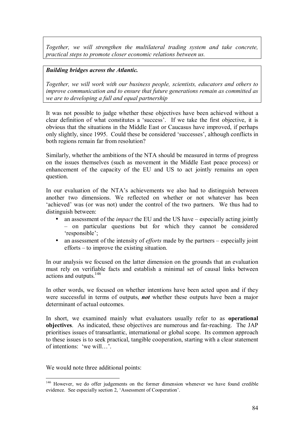*Together, we will strengthen the multilateral trading system and take concrete, practical steps to promote closer economic relations between us.* 

# *Building bridges across the Atlantic.*

*Together, we will work with our business people, scientists, educators and others to improve communication and to ensure that future generations remain as committed as we are to developing a full and equal partnership* 

It was not possible to judge whether these objectives have been achieved without a clear definition of what constitutes a 'success'. If we take the first objective, it is obvious that the situations in the Middle East or Caucasus have improved, if perhaps only slightly, since 1995. Could these be considered 'successes', although conflicts in both regions remain far from resolution?

Similarly, whether the ambitions of the NTA should be measured in terms of progress on the issues themselves (such as movement in the Middle East peace process) or enhancement of the capacity of the EU and US to act jointly remains an open question.

In our evaluation of the NTA's achievements we also had to distinguish between another two dimensions. We reflected on whether or not whatever has been 'achieved' was (or was not) under the control of the two partners. We thus had to distinguish between:

- an assessment of the *impact* the EU and the US have  $-$  especially acting jointly - on particular questions but for which they cannot be considered 'responsible':
- an assessment of the intensity of *efforts* made by the partners  $-$  especially joint  $efforts - to improve the existing situation.$

In our analysis we focused on the latter dimension on the grounds that an evaluation must rely on verifiable facts and establish a minimal set of causal links between actions and outputs.146

In other words, we focused on whether intentions have been acted upon and if they were successful in terms of outputs, *not* whether these outputs have been a major determinant of actual outcomes.

In short, we examined mainly what evaluators usually refer to as **operational objectives**. As indicated, these objectives are numerous and far-reaching. The JAP prioritises issues of transatlantic, international or global scope. Its common approach to these issues is to seek practical, tangible cooperation, starting with a clear statement of intentions: 'we will...'.

We would note three additional points:

 $\overline{a}$ 

<sup>&</sup>lt;sup>146</sup> However, we do offer judgements on the former dimension whenever we have found credible evidence. See especially section 2, 'Assessment of Cooperation'.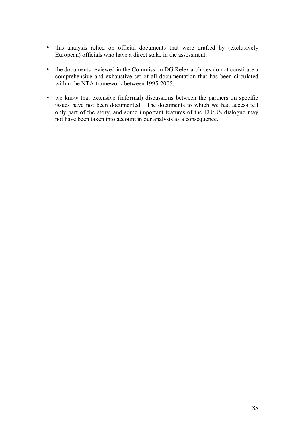- this analysis relied on official documents that were drafted by (exclusively European) officials who have a direct stake in the assessment.
- the documents reviewed in the Commission DG Relex archives do not constitute a comprehensive and exhaustive set of all documentation that has been circulated within the NTA framework between 1995-2005.
- we know that extensive (informal) discussions between the partners on specific issues have not been documented. The documents to which we had access tell only part of the story, and some important features of the EU/US dialogue may not have been taken into account in our analysis as a consequence.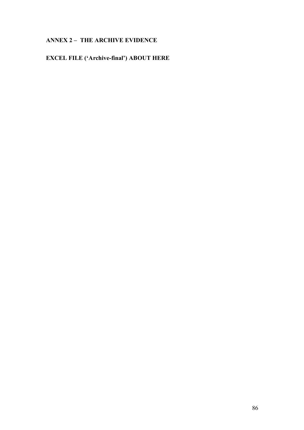# **ANNEX 2 - THE ARCHIVE EVIDENCE**

# **EXCEL FILE ('Archive-final') ABOUT HERE**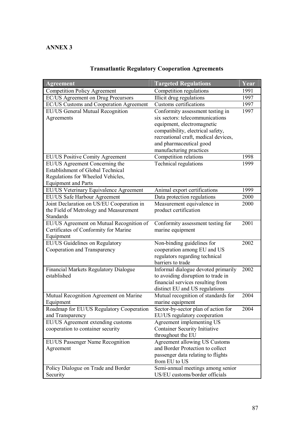# **ANNEX 3**

| <b>Agreement</b>                                            | <b>Targeted Regulations</b>                                             | Year |
|-------------------------------------------------------------|-------------------------------------------------------------------------|------|
| <b>Competition Policy Agreement</b>                         | Competition regulations                                                 | 1991 |
| EC/US Agreement on Drug Precursors                          | Illicit drug regulations                                                | 1997 |
| EC/US Customs and Cooperation Agreement                     | Customs certifications                                                  | 1997 |
| EU/US General Mutual Recognition                            | Conformity assessment testing in                                        | 1997 |
| Agreements                                                  | six sectors: telecommunications                                         |      |
|                                                             | equipment, electromagnetic                                              |      |
|                                                             | compatibility, electrical safety,                                       |      |
|                                                             | recreational craft, medical devices,                                    |      |
|                                                             | and pharmaceutical good<br>manufacturing practices                      |      |
| EU/US Positive Comity Agreement                             | Competition relations                                                   | 1998 |
| EU/US Agreement Concerning the                              | Technical regulations                                                   | 1999 |
| <b>Establishment of Global Technical</b>                    |                                                                         |      |
| Regulations for Wheeled Vehicles,                           |                                                                         |      |
| <b>Equipment and Parts</b>                                  |                                                                         |      |
| EU/US Veterinary Equivalence Agreement                      | Animal export certifications                                            | 1999 |
| <b>EU/US Safe Harbour Agreement</b>                         | Data protection regulations                                             | 2000 |
| Joint Declaration on US/EU Cooperation in                   | Measurement equivalence in                                              | 2000 |
| the Field of Metrology and Measurement                      | product certification                                                   |      |
| Standards                                                   |                                                                         |      |
| EU/US Agreement on Mutual Recognition of                    | Conformity assessment testing for                                       | 2001 |
| Certificates of Conformity for Marine                       | marine equipment                                                        |      |
| Equipment                                                   |                                                                         |      |
| EU/US Guidelines on Regulatory                              | Non-binding guidelines for                                              | 2002 |
| Cooperation and Transparency                                | cooperation among EU and US                                             |      |
|                                                             | regulators regarding technical                                          |      |
|                                                             | barriers to trade                                                       |      |
| <b>Financial Markets Regulatory Dialogue</b><br>established | Informal dialogue devoted primarily                                     | 2002 |
|                                                             | to avoiding disruption to trade in<br>financial services resulting from |      |
|                                                             | distinct EU and US regulations                                          |      |
| Mutual Recognition Agreement on Marine                      | Mutual recognition of standards for                                     | 2004 |
| Equipment                                                   | marine equipment                                                        |      |
| Roadmap for EU/US Regulatory Cooperation                    | Sector-by-sector plan of action for                                     | 2004 |
| and Transparency                                            | EU/US regulatory cooperation                                            |      |
| EU/US Agreement extending customs                           | Agreement implementing US                                               |      |
| cooperation to container security                           | <b>Container Security Initiative</b>                                    |      |
|                                                             | throughout the EU                                                       |      |
| EU/US Passenger Name Recognition                            | Agreement allowing US Customs                                           |      |
| Agreement                                                   | and Border Protection to collect                                        |      |
|                                                             | passenger data relating to flights                                      |      |
|                                                             | from EU to US                                                           |      |
| Policy Dialogue on Trade and Border                         | Semi-annual meetings among senior                                       |      |
| Security                                                    | US/EU customs/border officials                                          |      |

# **Transatlantic Regulatory Cooperation Agreements**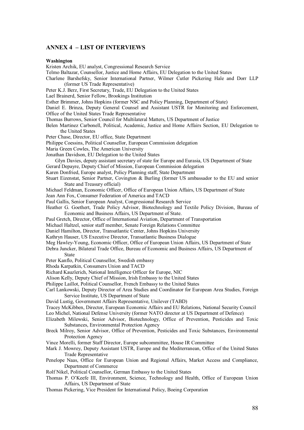### **ANNEX 4 - LIST OF INTERVIEWS**

#### **Washington**

Kristen Archik, EU analyst, Congressional Research Service

Telmo Baltazar, Counsellor, Justice and Home Affairs, EU Delegation to the United States

Charlene Barshefsky, Senior International Partner, Wilmer Cutler Pickering Hale and Dorr LLP (former US Trade Representative)

Peter K.J. Berz, First Secretary, Trade, EU Delegation to the United States

Lael Brainerd, Senior Fellow, Brookings Institution

Esther Brimmer, Johns Hopkins (former NSC and Policy Planning, Department of State)

Daniel E. Brinza, Deputy General Counsel and Assistant USTR for Monitoring and Enforcement, Office of the United States Trade Representative

Thomas Burrows, Senior Council for Multilateral Matters, US Department of Justice

Belen Martinez Carbonell, Political, Academic, Justice and Home Affairs Section, EU Delegation to the United States

Peter Chase, Director, EU office, State Department

Philippe Coessins, Political Counsellor, European Commission delegation

Maria Green Cowles, The American University

Jonathan Davidson, EU Delegation to the United States

Glyn Davies, deputy assistant secretary of state for Europe and Eurasia, US Department of State Gerard Depayre, Deputy Chief of Mission, European Commission delegation

Karen Donfried, Europe analyst, Policy Planning staff, State Department

Stuart Eizenstat, Senior Partner, Covington & Burling (former US ambassador to the EU and senior State and Treasury official)

Michael Feldman, Economic Officer, Office of European Union Affairs, US Department of State

Jean Ann Fox, Consumer Federation of America and TACD

Paul Gallis, Senior European Analyst, Congressional Research Service

- Heather G. Goethert, Trade Policy Advisor, Biotechnology and Textile Policy Division, Bureau of Economic and Business Affairs, US Department of State.
- Paul Gretch, Director, Office of International Aviation, Department of Transportation

Michael Haltzel, senior staff member, Senate Foreign Relations Committee

Daniel Hamilton, Director, Transatlantic Center, Johns Hopkins University

Kathryn Hauser, US Executive Director, Transatlantic Business Dialogue

Meg Hawley-Young, Economic Officer, Office of European Union Affairs, US Department of State

Debra Juncker, Bilateral Trade Office, Bureau of Economic and Business Affairs, US Department of State

Peter Kanflo, Political Counsellor, Swedish embassy

Rhoda Karpatkin, Consumers Union and TACD

Richard Kauzlerich, National Intelligence Officer for Europe, NIC

Alison Kelly, Deputy Chief of Mission, Irish Embassy to the United States

Philippe Laillot, Political Counsellor, French Embassy to the United States

Carl Lankowski, Deputy Director of Area Studies and Coordinator for European Area Studies, Foreign Service Institute, US Department of State

David Lustig, Government Affairs Representative, Unilever (TABD)

Tracey McKibben, Director, European Economic Affairs and EU Relations, National Security Council Leo Michel, National Defense University (former NATO director at US Department of Defence)

Elizabeth Milewski, Senior Advisor, Biotechnology, Office of Prevention, Pesticides and Toxic Substances, Environmental Protection Agency

Breck Milroy, Senior Advisor, Office of Prevention, Pesticides and Toxic Substances, Environmental Protection Agency

Vince Morelli, former Staff Director, Europe subcommittee, House IR Committee

- Mark J. Mowrey, Deputy Assistant USTR, Europe and the Mediterranean, Office of the United States Trade Representative
- Penelope Naas, Office for European Union and Regional Affairs, Market Access and Compliance, Department of Commerce
- Rolf Nikel, Political Counsellor, German Embassy to the United States
- Thomas P. O'Keefe III, Environment, Science, Technology and Health, Office of European Union Affairs, US Department of State
- Thomas Pickering, Vice President for International Policy, Boeing Corporation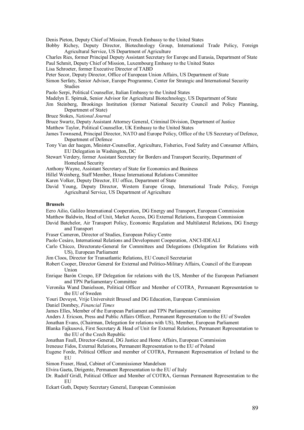Denis Pieton, Deputy Chief of Mission, French Embassy to the United States

Bobby Richey, Deputy Director, Biotechnology Group, International Trade Policy, Foreign Agricultural Service, US Department of Agriculture

Charles Ries, former Principal Deputy Assistant Secretary for Europe and Eurasia, Department of State Paul Schmit, Deputy Chief of Mission, Luxembourg Embassy to the United States

Lisa Schroeter, former Executive Director of TABD

Peter Secor, Deputy Director, Office of European Union Affairs, US Department of State

- Simon Serfaty, Senior Advisor, Europe Programme, Center for Strategic and International Security Studies
- Paolo Serpi, Political Counsellor, Italian Embassy to the United States
- Madelyn E. Spirnak, Senior Advisor for Agricultural Biotechnology, US Department of State
- Jim Steinberg, Brookings Institution (former National Security Council and Policy Planning, Department of State)
- Bruce Stokes, *National Journal*
- Bruce Swartz, Deputy Assistant Attorney General, Criminal Division, Department of Justice
- Matthew Taylor, Political Counsellor, UK Embassy to the United States
- James Townsend, Principal Director, NATO and Europe Policy, Office of the US Secretary of Defence, Department of Defence
- Tony Van der haegen, Minister-Counsellor, Agriculture, Fisheries, Food Safety and Consumer Affairs, EU Delegation in Washington, DC
- Stewart Verdery, former Assistant Secretary for Borders and Transport Security, Department of Homeland Security
- Anthony Wayne, Assistant Secretary of State for Economics and Business
- Hillel Weinberg, Staff Member, House International Relations Committee
- Karen Volker, Deputy Director, EU office, Department of State
- David Young, Deputy Director, Western Europe Group, International Trade Policy, Foreign Agricultural Service, US Department of Agriculture

#### **Brussels**

Eero Ailio, Galileo International Cooperation, DG Energy and Transport, European Commission

- Matthew Baldwin, Head of Unit, Market Access, DG External Relations, European Commission
- David Batchelor, Air Transport Policy, Economic Regulation and Multilateral Relations, DG Energy and Transport
- Fraser Cameron, Director of Studies, European Policy Centre
- Paolo Cesàro, International Relations and Development Cooperation, ANCI-IDEALI
- Carlo Chicco, Directorate-General for Committees and Delegations (Delegation for Relations with US), European Parliament
- Jim Cloos, Director for Transatlantic Relations, EU Council Secretariat
- Robert Cooper, Director General for External and Politico-Military Affairs, Council of the European Union
- Enrique Barón Crespo, EP Delegation for relations with the US, Member of the European Parliament and TPN Parliamentary Committee
- Veronika Wand Danielsson, Political Officer and Member of COTRA¸ Permanent Representation to the EU of Sweden
- Youri Devuyst, Vrije Universiteit Brussel and DG Education, European Commission Daniel Dombey, *Financial Times*
- James Elles, Member of the European Parliament and TPN Parliamentary Committee
- Anders J. Ericson, Press and Public Affairs Officer, Permanent Representation to the EU of Sweden
- Jonathan Evans, (Chairman, Delegation for relations with US), Member, European Parliament
- Blanka Faikusová, First Secretary & Head of Unit for External Relations, Permanent Representation to the EU of the Czech Republic
- Jonathan Faull, Director-General, DG Justice and Home Affairs, European Commission
- Ireneusz Fidos, External Relations, Permanent Representation to the EU of Poland
- Eugene Forde, Political Officer and member of COTRA, Permanent Representation of Ireland to the EU
- Simon Fraser, Head, Cabinet of Commissioner Mandelson
- Elvira Gaeta, Dirigente, Permanent Representation to the EU of Italy
- Dr. Rudolf Gridl, Political Officer and Member of COTRA, German Permanent Representation to the EU
- Eckart Guth, Deputy Secretary General, European Commission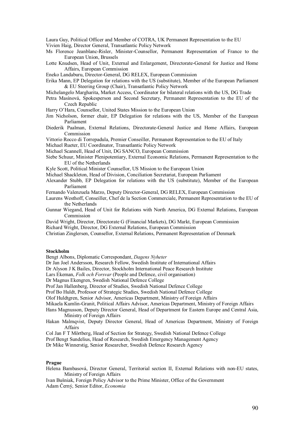Laura Guy, Political Officer and Member of COTRA, UK Permanent Representation to the EU Vivien Haig, Director General, Transatlantic Policy Network

- Ms Florence Jeanblanc-Risler, Minister-Counsellor, Permanent Representation of France to the European Union, Brussels
- Lotte Knudsen, Head of Unit, External and Enlargement, Directorate-General for Justice and Home Affairs, European Commission
- Eneko Landaburu, Director-General, DG RELEX, European Commission
- Erika Mann, EP Delegation for relations with the US (substitute), Member of the European Parliament & EU Steering Group (Chair), Transatlantic Policy Network
- Michelangelo Margharita, Market Access, Coordinator for bilateral relations with the US, DG Trade
- Petra Masínová, Spokesperson and Second Secretary, Permanent Representation to the EU of the Czech Republic
- Harry O'Hara, Counsellor, United States Mission to the European Union
- Jim Nicholson, former chair, EP Delegation for relations with the US, Member of the European Parliament
- Diederik Paalman, External Relations, Directorate-General Justice and Home Affairs, European Commission
- Vittorio Rocco di Torrepadula, Premier Conseiller, Permanent Representation to the EU of Italy
- Michael Rueter, EU Coordinator, Transatlantic Policy Network
- Michael Scannell, Head of Unit, DG SANCO, European Commission
- Siebe Schuur, Minister Plenipotentiary, External Economic Relations, Permanent Representation to the EU of the Netherlands
- Kyle Scott, Political Minister Counsellor, US Mission to the European Union
- Michael Shackleton, Head of Division, Conciliation Secretariat, European Parliament
- Alexander Stubb, EP Delegation for relations with the US (substitute), Member of the European Parliament
- Fernando Valenzuela Marzo, Deputy Director-General, DG RELEX, European Commission
- Laurens Westhoff, Conseiller, Chef de la Section Commerciale, Permanent Representation to the EU of the Netherlands
- Gunnar Wiegand, Head of Unit for Relations with North America, DG External Relations, European Commission
- David Wright, Director, Directorate G (Financial Markets), DG Markt, European Commission
- Richard Wright, Director, DG External Relations, European Commission
- Christian Zinglersen, Counsellor, External Relations, Permanent Representation of Denmark

#### **Stockholm**

- Bengt Albons, Diplomatic Correspondant, *Dagens Nyheter*
- Dr Jan Joel Andersson, Research Fellow, Swedish Institute of International Affairs
- Dr Alyson J K Bailes, Director, Stockholm International Peace Research Institute
- Lars Ekeman, *Folk och Forsvar* (People and Defence, civil organisation)
- Dr Magnus Ekengren, Swedish National Defence College
- Prof Jan Hallenberg, Director of Studies, Swedish National Defence College
- Prof Bo Huldt, Professor of Strategic Studies, Swedish National Defence College
- Olof Huldtgren, Senior Advisor, Americas Department, Ministry of Foreign Affairs

Mikaela Kumlin-Granit, Political Affairs Advisor, Americas Department, Ministry of Foreign Affairs

- Hans Magnusson, Deputy Director General, Head of Department for Eastern Europe and Central Asia, Ministry of Foreign Affairs
- Hakan Malmqvist, Deputy Director General, Head of Americas Department, Ministry of Foreign Affairs
- Col Jan F T Mˆrtberg, Head of Section for Strategy, Swedish National Defence College
- Prof Bengt Sundelius, Head of Research, Swedish Emergency Management Agency

Dr Mike Winnerstig, Senior Researcher, Swedish Defence Research Agency

#### **Prague**

Helena Bambasová, Director General, Territorial section II, External Relations with non-EU states, Ministry of Foreign Affairs

Ivan Buöniak, Foreign Policy Advisor to the Prime Minister, Office of the Government Adam Černý, Senior Editor, *Economia*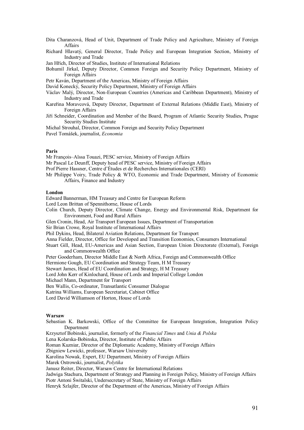- Dita Charanzová, Head of Unit, Department of Trade Policy and Agriculture, Ministry of Foreign Affairs
- Richard Hlavatý, General Director, Trade Policy and European Integration Section, Ministry of Industry and Trade
- Jan HřÌch, Director of Studies, Institute of International Relations
- Bohumil Jirkal, Deputy Director, Common Foreign and Security Policy Department, Ministry of Foreign Affairs
- Petr Kaván, Department of the Americas, Ministry of Foreign Affairs
- David Konecký, Security Policy Department, Ministry of Foreign Affairs
- Václav Malý, Director, Non-European Countries (Americas and Caribbean Department), Ministry of Industry and Trade
- Kareřina Moravcová, Deputy Director, Department of External Relations (Middle East), Ministry of Foreign Affairs
- JiřÌ Schneider, Coordination and Member of the Board, Program of Atlantic Security Studies, Prague Security Studies Institute

Michal Strouhal, Director, Common Foreign and Security Policy Department Pavel Tomášek, journalist, *Economia* 

### **Paris**

Mr François-Aïssa Touazi, PESC service, Ministry of Foreign Affairs

- Mr Pascal Le Deunff, Deputy head of PESC service, Ministry of Foreign Affairs
- Prof Pierre Hassner, Centre d'Études et de Recherches Internationales (CERI)
- Mr Philippe Voiry, Trade Policy & WTO, Economic and Trade Department, Ministry of Economic Affairs, Finance and Industry

### **London**

Edward Bannerman, HM Treasury and Centre for European Reform

- Lord Leon Brittan of Spennithorne, House of Lords
- Colin Church, Deputy Director, Climate Change, Energy and Environmental Risk, Department for Environment, Food and Rural Affairs
- Glen Cronin, Head, Air Transport European Issues, Department of Transportation
- Sir Brian Crowe, Royal Institute of International Affairs
- Phil Dykins, Head, Bilateral Aviation Relations, Department for Transport
- Anna Fielder, Director, Office for Developed and Transition Economies, Consumers International
- Stuart Gill, Head, EU-Americas and Asian Section, European Union Directorate (External), Foreign and Commonwealth Office
- Peter Gooderham, Director Middle East & North Africa, Foreign and Commonwealth Office

Hermione Gough, EU Coordination and Strategy Team, H M Treasury

Stewart James, Head of EU Coordination and Strategy, H M Treasury

- Lord John Kerr of Kinlochard, House of Lords and Imperial College London
- Michael Mann, Department for Transport
- Ben Wallis, Co-ordinator, Transatlantic Consumer Dialogue

Katrina Williams, European Secretariat, Cabinet Office

Lord David Williamson of Horton, House of Lords

### **Warsaw**

- Sebastian K. Barkowski, Office of the Committee for European Integration, Integration Policy Department
- Krzysztof Bobinski, journalist, formerly of the *Financial Times* and *Unia & Polska*

Lena Kolarska-Bobinska, Director, Institute of Public Affairs

Roman Kuzniar, Director of the Diplomatic Academy, Ministry of Foreign Affairs

Zbigniew Lewicki, professor, Warsaw University

Karolina Nowak, Expert, EU Department, Ministry of Foreign Affairs

Marek Ostrowski, journalist, *Polytika* 

Janusz Reiter, Director, Warsaw Centre for International Relations

Jadwiga Stachura, Department of Strategy and Planning in Foreign Policy, Ministry of Foreign Affairs Piotr Antoni Świtalski, Undersecretary of State, Ministry of Foreign Affairs

Henryk Szlajfer, Director of the Department of the Americas, Ministry of Foreign Affairs